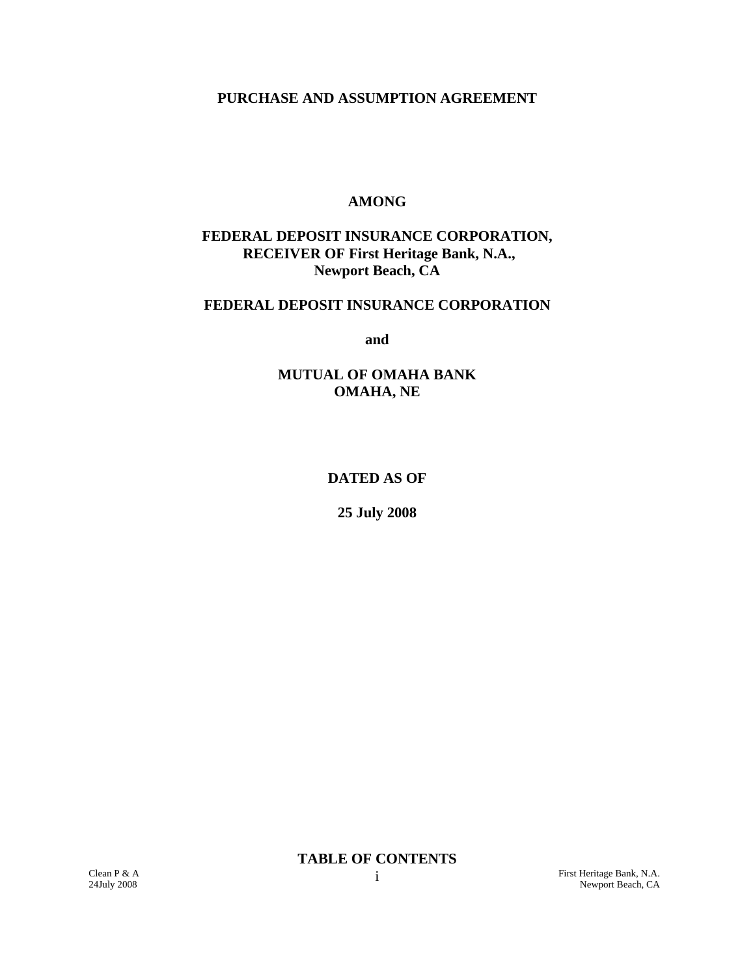#### **PURCHASE AND ASSUMPTION AGREEMENT**

#### **AMONG**

#### **FEDERAL DEPOSIT INSURANCE CORPORATION, RECEIVER OF First Heritage Bank, N.A., Newport Beach, CA**

### **FEDERAL DEPOSIT INSURANCE CORPORATION**

**and** 

**MUTUAL OF OMAHA BANK OMAHA, NE** 

### **DATED AS OF**

**25 July 2008** 

**TABLE OF CONTENTS**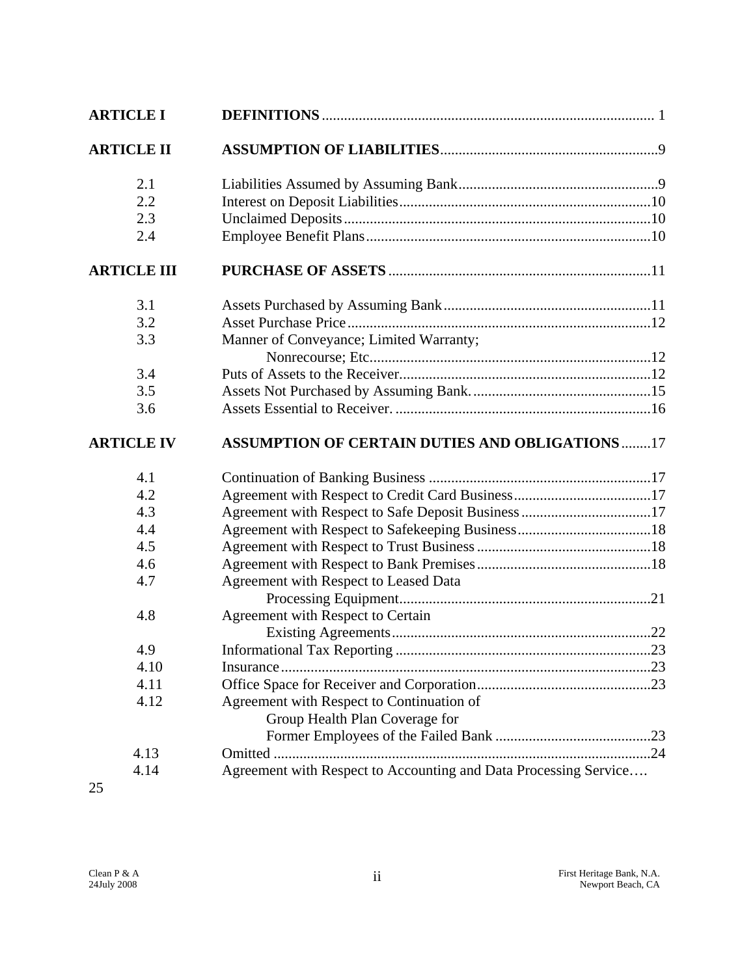| <b>ARTICLE I</b>   |                                                                  |  |  |
|--------------------|------------------------------------------------------------------|--|--|
| <b>ARTICLE II</b>  |                                                                  |  |  |
| 2.1                |                                                                  |  |  |
| 2.2                |                                                                  |  |  |
| 2.3                |                                                                  |  |  |
| 2.4                |                                                                  |  |  |
| <b>ARTICLE III</b> |                                                                  |  |  |
| 3.1                |                                                                  |  |  |
| 3.2                |                                                                  |  |  |
| 3.3                | Manner of Conveyance; Limited Warranty;                          |  |  |
|                    |                                                                  |  |  |
| 3.4                |                                                                  |  |  |
| 3.5                |                                                                  |  |  |
| 3.6                |                                                                  |  |  |
| <b>ARTICLE IV</b>  | <b>ASSUMPTION OF CERTAIN DUTIES AND OBLIGATIONS 17</b>           |  |  |
| 4.1                |                                                                  |  |  |
| 4.2                |                                                                  |  |  |
| 4.3                |                                                                  |  |  |
| 4.4                |                                                                  |  |  |
| 4.5                |                                                                  |  |  |
| 4.6                |                                                                  |  |  |
| 4.7                | Agreement with Respect to Leased Data                            |  |  |
|                    |                                                                  |  |  |
| 4.8                | Agreement with Respect to Certain                                |  |  |
|                    |                                                                  |  |  |
| 4.9                |                                                                  |  |  |
| 4.10               |                                                                  |  |  |
| 4.11               |                                                                  |  |  |
| 4.12               | Agreement with Respect to Continuation of                        |  |  |
|                    | Group Health Plan Coverage for                                   |  |  |
|                    |                                                                  |  |  |
| 4.13               |                                                                  |  |  |
| 4.14               | Agreement with Respect to Accounting and Data Processing Service |  |  |
| 25                 |                                                                  |  |  |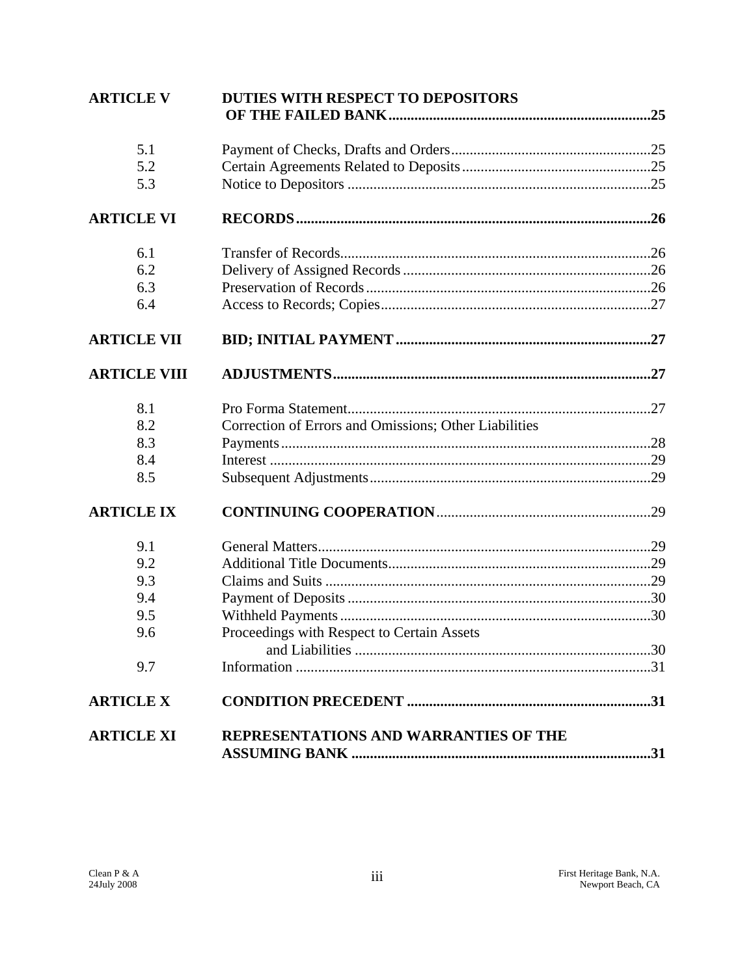| <b>ARTICLE V</b>    | DUTIES WITH RESPECT TO DEPOSITORS                     |  |  |
|---------------------|-------------------------------------------------------|--|--|
| 5.1                 |                                                       |  |  |
| 5.2                 |                                                       |  |  |
| 5.3                 |                                                       |  |  |
| <b>ARTICLE VI</b>   |                                                       |  |  |
| 6.1                 |                                                       |  |  |
| 6.2                 |                                                       |  |  |
| 6.3                 |                                                       |  |  |
| 6.4                 |                                                       |  |  |
| <b>ARTICLE VII</b>  |                                                       |  |  |
| <b>ARTICLE VIII</b> |                                                       |  |  |
| 8.1                 |                                                       |  |  |
| 8.2                 | Correction of Errors and Omissions; Other Liabilities |  |  |
| 8.3                 |                                                       |  |  |
| 8.4                 |                                                       |  |  |
| 8.5                 |                                                       |  |  |
| <b>ARTICLE IX</b>   |                                                       |  |  |
| 9.1                 |                                                       |  |  |
| 9.2                 |                                                       |  |  |
| 9.3                 |                                                       |  |  |
| 9.4                 |                                                       |  |  |
| 9.5                 |                                                       |  |  |
| 9.6                 | Proceedings with Respect to Certain Assets            |  |  |
| 9.7                 |                                                       |  |  |
| <b>ARTICLE X</b>    |                                                       |  |  |
| <b>ARTICLE XI</b>   | REPRESENTATIONS AND WARRANTIES OF THE                 |  |  |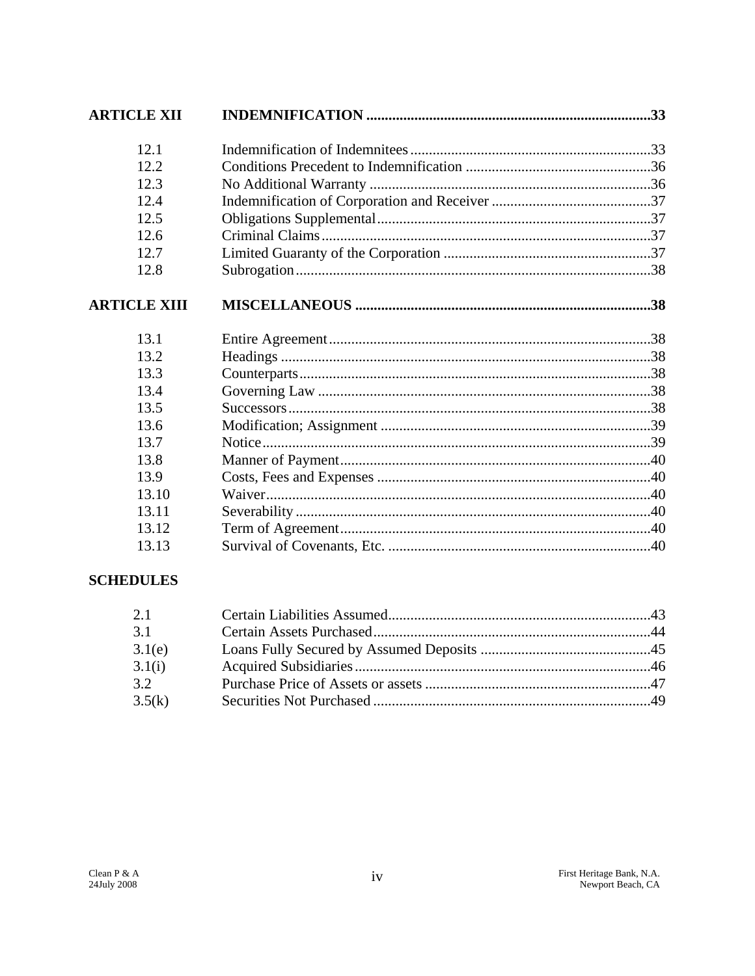| <b>ARTICLE XII</b>  |  |  |
|---------------------|--|--|
| 12.1                |  |  |
| 12.2                |  |  |
| 12.3                |  |  |
| 12.4                |  |  |
| 12.5                |  |  |
| 12.6                |  |  |
| 12.7                |  |  |
| 12.8                |  |  |
| <b>ARTICLE XIII</b> |  |  |
| 13.1                |  |  |
| 13.2                |  |  |
| 13.3                |  |  |
| 13.4                |  |  |
| 13.5                |  |  |
| 13.6                |  |  |
| 13.7                |  |  |
| 13.8                |  |  |
| 13.9                |  |  |
| 13.10               |  |  |
| 13.11               |  |  |
| 13.12               |  |  |
| 13.13               |  |  |
|                     |  |  |

## **SCHEDULES**

| 2.1    |  |
|--------|--|
| 3.1    |  |
| 3.1(e) |  |
| 3.1(i) |  |
| 3.2    |  |
| 3.5(k) |  |
|        |  |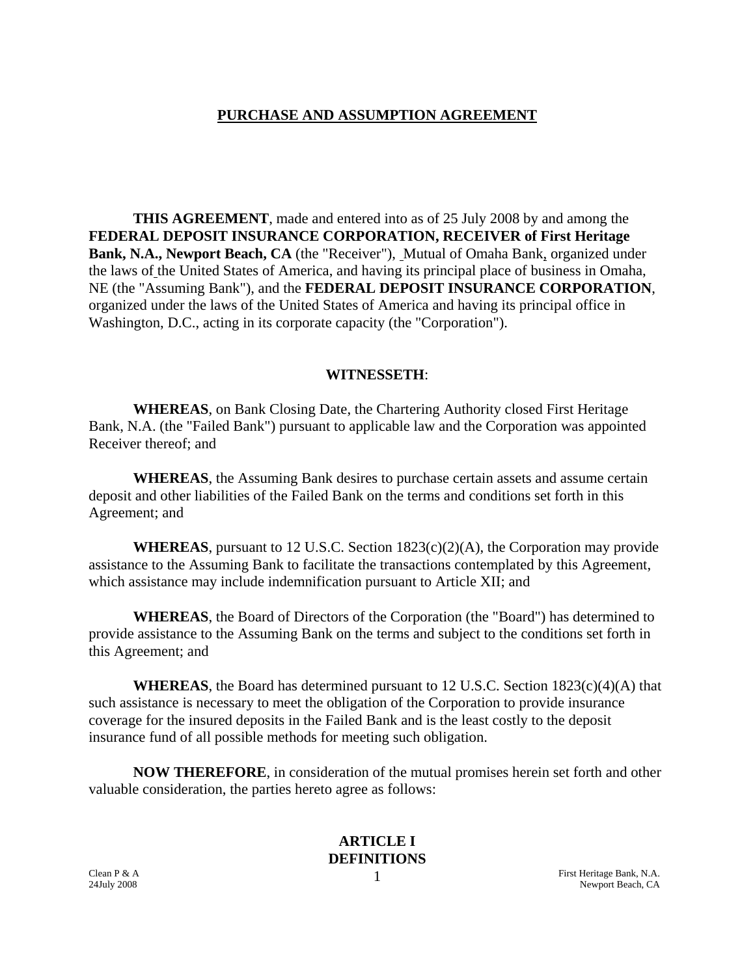#### **PURCHASE AND ASSUMPTION AGREEMENT**

<span id="page-4-0"></span>**THIS AGREEMENT**, made and entered into as of 25 July 2008 by and among the **FEDERAL DEPOSIT INSURANCE CORPORATION, RECEIVER of First Heritage Bank, N.A., Newport Beach, CA** (the "Receiver"), Mutual of Omaha Bank, organized under the laws of the United States of America, and having its principal place of business in Omaha, NE (the "Assuming Bank"), and the **FEDERAL DEPOSIT INSURANCE CORPORATION**, organized under the laws of the United States of America and having its principal office in Washington, D.C., acting in its corporate capacity (the "Corporation").

#### **WITNESSETH**:

**WHEREAS**, on Bank Closing Date, the Chartering Authority closed First Heritage Bank, N.A. (the "Failed Bank") pursuant to applicable law and the Corporation was appointed Receiver thereof; and

**WHEREAS**, the Assuming Bank desires to purchase certain assets and assume certain deposit and other liabilities of the Failed Bank on the terms and conditions set forth in this Agreement; and

**WHEREAS**, pursuant to 12 U.S.C. Section 1823(c)(2)(A), the Corporation may provide assistance to the Assuming Bank to facilitate the transactions contemplated by this Agreement, which assistance may include indemnification pursuant to Article XII; and

**WHEREAS**, the Board of Directors of the Corporation (the "Board") has determined to provide assistance to the Assuming Bank on the terms and subject to the conditions set forth in this Agreement; and

**WHEREAS**, the Board has determined pursuant to 12 U.S.C. Section 1823(c)(4)(A) that such assistance is necessary to meet the obligation of the Corporation to provide insurance coverage for the insured deposits in the Failed Bank and is the least costly to the deposit insurance fund of all possible methods for meeting such obligation.

**NOW THEREFORE**, in consideration of the mutual promises herein set forth and other valuable consideration, the parties hereto agree as follows:

### **ARTICLE I DEFINITIONS**

Clean P & A First Heritage Bank, N.A. 24July 2008 First Heritage Bank, N.A. 24July 2008 Newport Beach, CA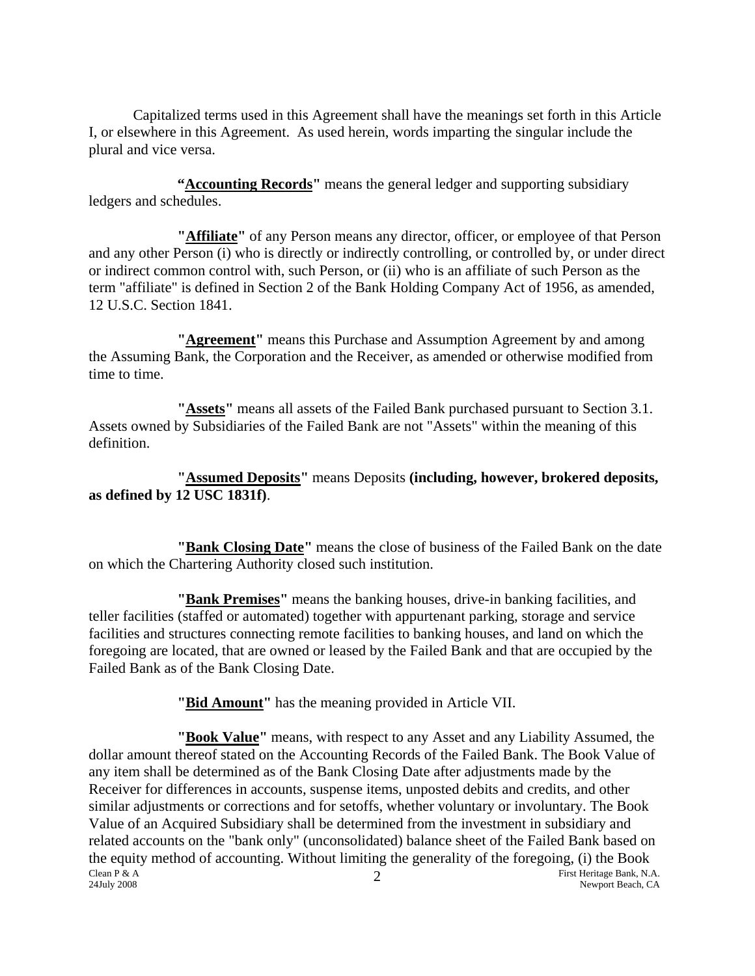Capitalized terms used in this Agreement shall have the meanings set forth in this Article I, or elsewhere in this Agreement. As used herein, words imparting the singular include the plural and vice versa.

**"Accounting Records"** means the general ledger and supporting subsidiary ledgers and schedules.

**"Affiliate"** of any Person means any director, officer, or employee of that Person and any other Person (i) who is directly or indirectly controlling, or controlled by, or under direct or indirect common control with, such Person, or (ii) who is an affiliate of such Person as the term "affiliate" is defined in Section 2 of the Bank Holding Company Act of 1956, as amended, 12 U.S.C. Section 1841.

**"Agreement"** means this Purchase and Assumption Agreement by and among the Assuming Bank, the Corporation and the Receiver, as amended or otherwise modified from time to time.

**"Assets"** means all assets of the Failed Bank purchased pursuant to Section 3.1. Assets owned by Subsidiaries of the Failed Bank are not "Assets" within the meaning of this definition.

**"Assumed Deposits"** means Deposits **(including, however, brokered deposits, as defined by 12 USC 1831f)**.

**"Bank Closing Date"** means the close of business of the Failed Bank on the date on which the Chartering Authority closed such institution.

**"Bank Premises"** means the banking houses, drive-in banking facilities, and teller facilities (staffed or automated) together with appurtenant parking, storage and service facilities and structures connecting remote facilities to banking houses, and land on which the foregoing are located, that are owned or leased by the Failed Bank and that are occupied by the Failed Bank as of the Bank Closing Date.

**"Bid Amount"** has the meaning provided in Article VII.

**"Book Value"** means, with respect to any Asset and any Liability Assumed, the dollar amount thereof stated on the Accounting Records of the Failed Bank. The Book Value of any item shall be determined as of the Bank Closing Date after adjustments made by the Receiver for differences in accounts, suspense items, unposted debits and credits, and other similar adjustments or corrections and for setoffs, whether voluntary or involuntary. The Book Value of an Acquired Subsidiary shall be determined from the investment in subsidiary and related accounts on the "bank only" (unconsolidated) balance sheet of the Failed Bank based on the equity method of accounting. Without limiting the generality of the foregoing, (i) the Book Clean P & A First Heritage Bank, N.A.  $2^{2\text{Total}}$   $2^{2\text{Total}}$   $2^{2\text{Total}}$   $2^{2\text{Total}}$   $2^{2\text{Total}}$   $2^{2\text{Total}}$   $2^{2\text{Total}}$   $2^{2\text{Total}}$   $2^{2\text{Total}}$ 24July 2008 Newport Beach, CA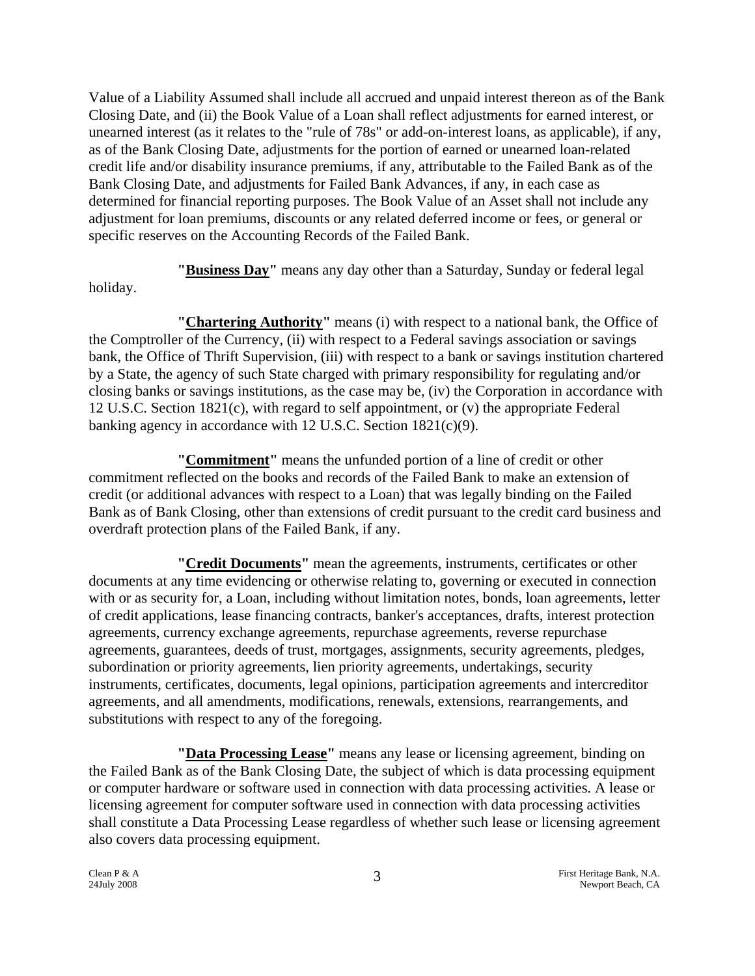Value of a Liability Assumed shall include all accrued and unpaid interest thereon as of the Bank Closing Date, and (ii) the Book Value of a Loan shall reflect adjustments for earned interest, or unearned interest (as it relates to the "rule of 78s" or add-on-interest loans, as applicable), if any, as of the Bank Closing Date, adjustments for the portion of earned or unearned loan-related credit life and/or disability insurance premiums, if any, attributable to the Failed Bank as of the Bank Closing Date, and adjustments for Failed Bank Advances, if any, in each case as determined for financial reporting purposes. The Book Value of an Asset shall not include any adjustment for loan premiums, discounts or any related deferred income or fees, or general or specific reserves on the Accounting Records of the Failed Bank.

**"Business Day"** means any day other than a Saturday, Sunday or federal legal holiday.

**"Chartering Authority"** means (i) with respect to a national bank, the Office of the Comptroller of the Currency, (ii) with respect to a Federal savings association or savings bank, the Office of Thrift Supervision, (iii) with respect to a bank or savings institution chartered by a State, the agency of such State charged with primary responsibility for regulating and/or closing banks or savings institutions, as the case may be, (iv) the Corporation in accordance with 12 U.S.C. Section 1821(c), with regard to self appointment, or (v) the appropriate Federal banking agency in accordance with 12 U.S.C. Section 1821(c)(9).

**"Commitment"** means the unfunded portion of a line of credit or other commitment reflected on the books and records of the Failed Bank to make an extension of credit (or additional advances with respect to a Loan) that was legally binding on the Failed Bank as of Bank Closing, other than extensions of credit pursuant to the credit card business and overdraft protection plans of the Failed Bank, if any.

**"Credit Documents"** mean the agreements, instruments, certificates or other documents at any time evidencing or otherwise relating to, governing or executed in connection with or as security for, a Loan, including without limitation notes, bonds, loan agreements, letter of credit applications, lease financing contracts, banker's acceptances, drafts, interest protection agreements, currency exchange agreements, repurchase agreements, reverse repurchase agreements, guarantees, deeds of trust, mortgages, assignments, security agreements, pledges, subordination or priority agreements, lien priority agreements, undertakings, security instruments, certificates, documents, legal opinions, participation agreements and intercreditor agreements, and all amendments, modifications, renewals, extensions, rearrangements, and substitutions with respect to any of the foregoing.

**"Data Processing Lease"** means any lease or licensing agreement, binding on the Failed Bank as of the Bank Closing Date, the subject of which is data processing equipment or computer hardware or software used in connection with data processing activities. A lease or licensing agreement for computer software used in connection with data processing activities shall constitute a Data Processing Lease regardless of whether such lease or licensing agreement also covers data processing equipment.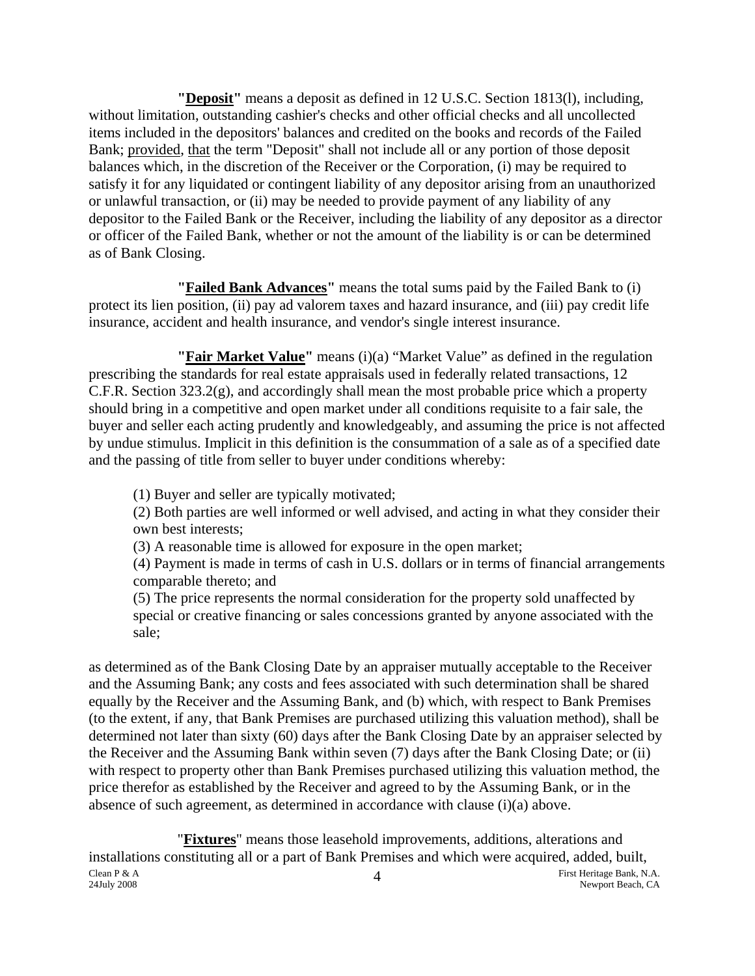**"Deposit"** means a deposit as defined in 12 U.S.C. Section 1813(l), including, without limitation, outstanding cashier's checks and other official checks and all uncollected items included in the depositors' balances and credited on the books and records of the Failed Bank; provided, that the term "Deposit" shall not include all or any portion of those deposit balances which, in the discretion of the Receiver or the Corporation, (i) may be required to satisfy it for any liquidated or contingent liability of any depositor arising from an unauthorized or unlawful transaction, or (ii) may be needed to provide payment of any liability of any depositor to the Failed Bank or the Receiver, including the liability of any depositor as a director or officer of the Failed Bank, whether or not the amount of the liability is or can be determined as of Bank Closing.

**"Failed Bank Advances"** means the total sums paid by the Failed Bank to (i) protect its lien position, (ii) pay ad valorem taxes and hazard insurance, and (iii) pay credit life insurance, accident and health insurance, and vendor's single interest insurance.

**"Fair Market Value"** means (i)(a) "Market Value" as defined in the regulation prescribing the standards for real estate appraisals used in federally related transactions, 12 C.F.R. Section 323.2(g), and accordingly shall mean the most probable price which a property should bring in a competitive and open market under all conditions requisite to a fair sale, the buyer and seller each acting prudently and knowledgeably, and assuming the price is not affected by undue stimulus. Implicit in this definition is the consummation of a sale as of a specified date and the passing of title from seller to buyer under conditions whereby:

(1) Buyer and seller are typically motivated;

(2) Both parties are well informed or well advised, and acting in what they consider their own best interests;

(3) A reasonable time is allowed for exposure in the open market;

(4) Payment is made in terms of cash in U.S. dollars or in terms of financial arrangements comparable thereto; and

(5) The price represents the normal consideration for the property sold unaffected by special or creative financing or sales concessions granted by anyone associated with the sale;

as determined as of the Bank Closing Date by an appraiser mutually acceptable to the Receiver and the Assuming Bank; any costs and fees associated with such determination shall be shared equally by the Receiver and the Assuming Bank, and (b) which, with respect to Bank Premises (to the extent, if any, that Bank Premises are purchased utilizing this valuation method), shall be determined not later than sixty (60) days after the Bank Closing Date by an appraiser selected by the Receiver and the Assuming Bank within seven (7) days after the Bank Closing Date; or (ii) with respect to property other than Bank Premises purchased utilizing this valuation method, the price therefor as established by the Receiver and agreed to by the Assuming Bank, or in the absence of such agreement, as determined in accordance with clause (i)(a) above.

"**Fixtures**" means those leasehold improvements, additions, alterations and installations constituting all or a part of Bank Premises and which were acquired, added, built, Clean P & A First Heritage Bank, N.A.  $\frac{1}{4}$  First Heritage Bank, N.A. 24July 2008 Newport Beach, CA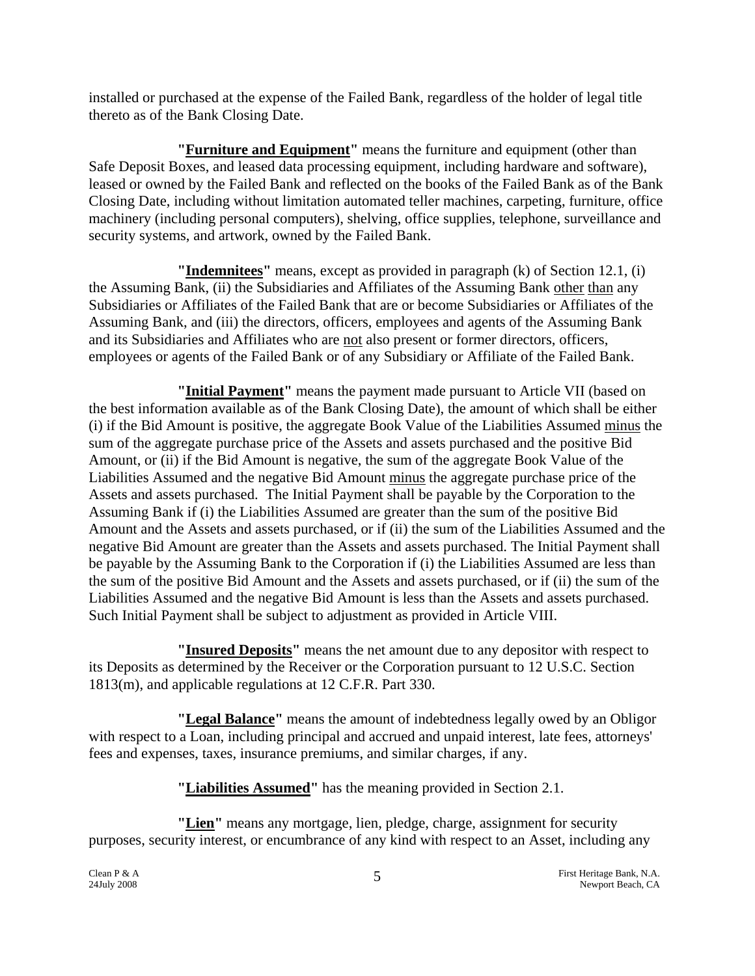installed or purchased at the expense of the Failed Bank, regardless of the holder of legal title thereto as of the Bank Closing Date.

**"Furniture and Equipment"** means the furniture and equipment (other than Safe Deposit Boxes, and leased data processing equipment, including hardware and software), leased or owned by the Failed Bank and reflected on the books of the Failed Bank as of the Bank Closing Date, including without limitation automated teller machines, carpeting, furniture, office machinery (including personal computers), shelving, office supplies, telephone, surveillance and security systems, and artwork, owned by the Failed Bank.

**"Indemnitees"** means, except as provided in paragraph (k) of Section 12.1, (i) the Assuming Bank, (ii) the Subsidiaries and Affiliates of the Assuming Bank other than any Subsidiaries or Affiliates of the Failed Bank that are or become Subsidiaries or Affiliates of the Assuming Bank, and (iii) the directors, officers, employees and agents of the Assuming Bank and its Subsidiaries and Affiliates who are not also present or former directors, officers, employees or agents of the Failed Bank or of any Subsidiary or Affiliate of the Failed Bank.

**"Initial Payment"** means the payment made pursuant to Article VII (based on the best information available as of the Bank Closing Date), the amount of which shall be either (i) if the Bid Amount is positive, the aggregate Book Value of the Liabilities Assumed minus the sum of the aggregate purchase price of the Assets and assets purchased and the positive Bid Amount, or (ii) if the Bid Amount is negative, the sum of the aggregate Book Value of the Liabilities Assumed and the negative Bid Amount minus the aggregate purchase price of the Assets and assets purchased. The Initial Payment shall be payable by the Corporation to the Assuming Bank if (i) the Liabilities Assumed are greater than the sum of the positive Bid Amount and the Assets and assets purchased, or if (ii) the sum of the Liabilities Assumed and the negative Bid Amount are greater than the Assets and assets purchased. The Initial Payment shall be payable by the Assuming Bank to the Corporation if (i) the Liabilities Assumed are less than the sum of the positive Bid Amount and the Assets and assets purchased, or if (ii) the sum of the Liabilities Assumed and the negative Bid Amount is less than the Assets and assets purchased. Such Initial Payment shall be subject to adjustment as provided in Article VIII.

**"Insured Deposits"** means the net amount due to any depositor with respect to its Deposits as determined by the Receiver or the Corporation pursuant to 12 U.S.C. Section 1813(m), and applicable regulations at 12 C.F.R. Part 330.

**"Legal Balance"** means the amount of indebtedness legally owed by an Obligor with respect to a Loan, including principal and accrued and unpaid interest, late fees, attorneys' fees and expenses, taxes, insurance premiums, and similar charges, if any.

**"Liabilities Assumed"** has the meaning provided in Section 2.1.

**"Lien"** means any mortgage, lien, pledge, charge, assignment for security purposes, security interest, or encumbrance of any kind with respect to an Asset, including any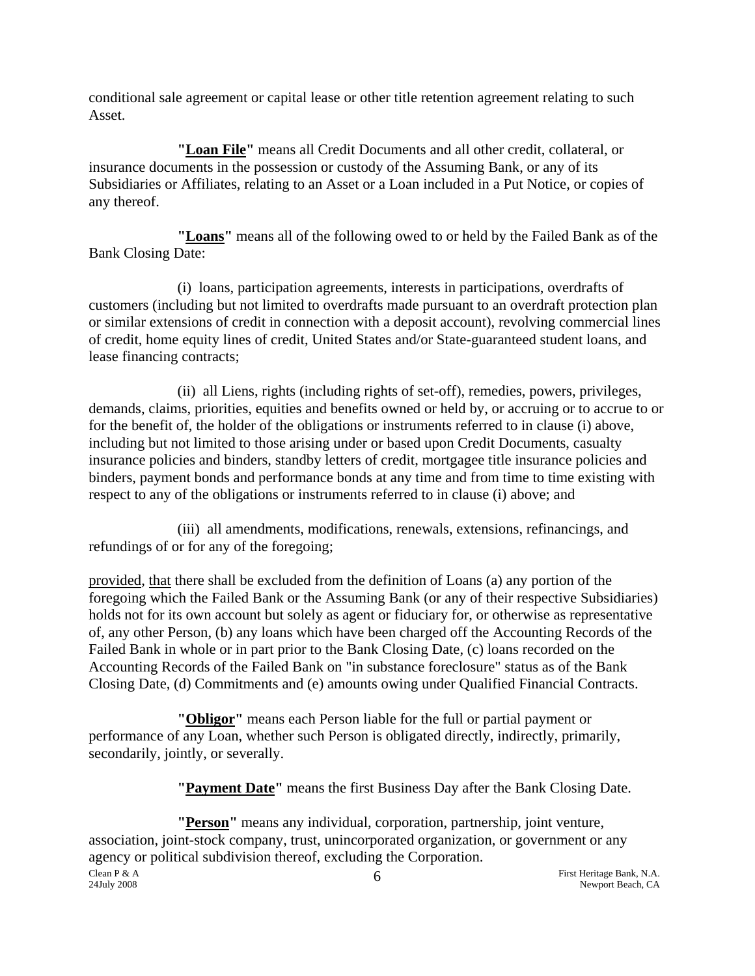conditional sale agreement or capital lease or other title retention agreement relating to such Asset.

 any thereof. **"Loan File"** means all Credit Documents and all other credit, collateral, or insurance documents in the possession or custody of the Assuming Bank, or any of its Subsidiaries or Affiliates, relating to an Asset or a Loan included in a Put Notice, or copies of

**"Loans"** means all of the following owed to or held by the Failed Bank as of the Bank Closing Date:

(i) loans, participation agreements, interests in participations, overdrafts of customers (including but not limited to overdrafts made pursuant to an overdraft protection plan or similar extensions of credit in connection with a deposit account), revolving commercial lines of credit, home equity lines of credit, United States and/or State-guaranteed student loans, and lease financing contracts;

(ii) all Liens, rights (including rights of set-off), remedies, powers, privileges, demands, claims, priorities, equities and benefits owned or held by, or accruing or to accrue to or for the benefit of, the holder of the obligations or instruments referred to in clause (i) above, including but not limited to those arising under or based upon Credit Documents, casualty insurance policies and binders, standby letters of credit, mortgagee title insurance policies and binders, payment bonds and performance bonds at any time and from time to time existing with respect to any of the obligations or instruments referred to in clause (i) above; and

(iii) all amendments, modifications, renewals, extensions, refinancings, and refundings of or for any of the foregoing;

provided, that there shall be excluded from the definition of Loans (a) any portion of the foregoing which the Failed Bank or the Assuming Bank (or any of their respective Subsidiaries) holds not for its own account but solely as agent or fiduciary for, or otherwise as representative of, any other Person, (b) any loans which have been charged off the Accounting Records of the Failed Bank in whole or in part prior to the Bank Closing Date, (c) loans recorded on the Accounting Records of the Failed Bank on "in substance foreclosure" status as of the Bank Closing Date, (d) Commitments and (e) amounts owing under Qualified Financial Contracts.

**"Obligor"** means each Person liable for the full or partial payment or performance of any Loan, whether such Person is obligated directly, indirectly, primarily, secondarily, jointly, or severally.

**"Payment Date"** means the first Business Day after the Bank Closing Date.

**"Person"** means any individual, corporation, partnership, joint venture, association, joint-stock company, trust, unincorporated organization, or government or any agency or political subdivision thereof, excluding the Corporation. Clean P & A First Heritage Bank, N.A. 6 24July 2008  $\qquad \qquad \qquad$  First Heritage Bank, N.A.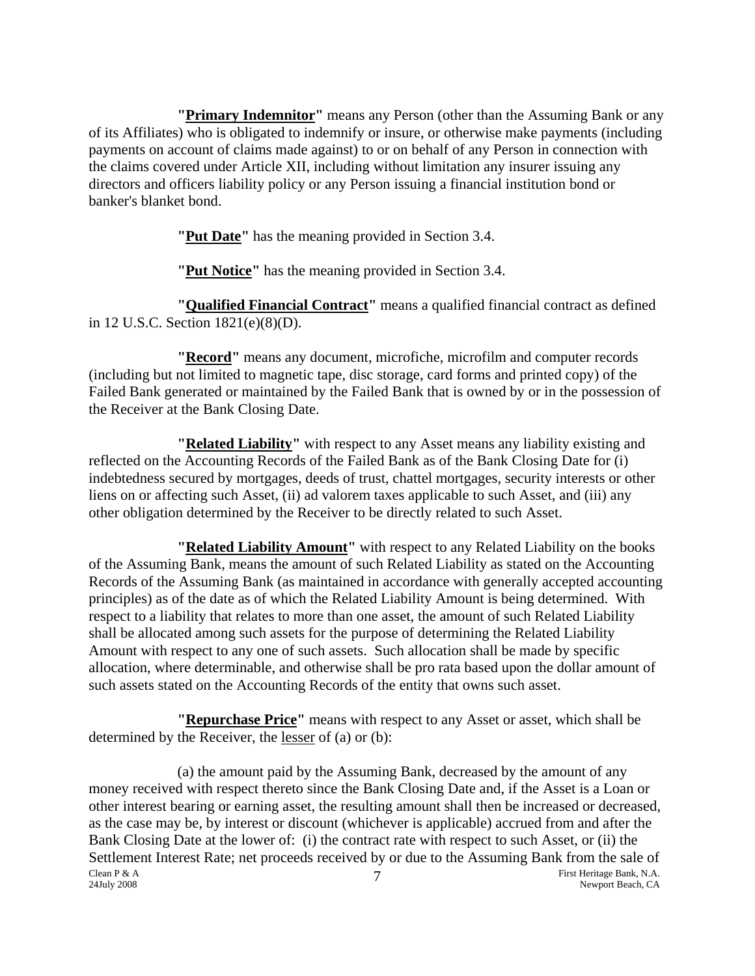**"Primary Indemnitor"** means any Person (other than the Assuming Bank or any of its Affiliates) who is obligated to indemnify or insure, or otherwise make payments (including payments on account of claims made against) to or on behalf of any Person in connection with the claims covered under Article XII, including without limitation any insurer issuing any directors and officers liability policy or any Person issuing a financial institution bond or banker's blanket bond.

**"Put Date"** has the meaning provided in Section 3.4.

**"Put Notice"** has the meaning provided in Section 3.4.

**"Qualified Financial Contract"** means a qualified financial contract as defined in 12 U.S.C. Section 1821(e)(8)(D).

**"Record"** means any document, microfiche, microfilm and computer records (including but not limited to magnetic tape, disc storage, card forms and printed copy) of the Failed Bank generated or maintained by the Failed Bank that is owned by or in the possession of the Receiver at the Bank Closing Date.

**"Related Liability"** with respect to any Asset means any liability existing and reflected on the Accounting Records of the Failed Bank as of the Bank Closing Date for (i) indebtedness secured by mortgages, deeds of trust, chattel mortgages, security interests or other liens on or affecting such Asset, (ii) ad valorem taxes applicable to such Asset, and (iii) any other obligation determined by the Receiver to be directly related to such Asset.

**"Related Liability Amount"** with respect to any Related Liability on the books of the Assuming Bank, means the amount of such Related Liability as stated on the Accounting Records of the Assuming Bank (as maintained in accordance with generally accepted accounting principles) as of the date as of which the Related Liability Amount is being determined. With respect to a liability that relates to more than one asset, the amount of such Related Liability shall be allocated among such assets for the purpose of determining the Related Liability Amount with respect to any one of such assets. Such allocation shall be made by specific allocation, where determinable, and otherwise shall be pro rata based upon the dollar amount of such assets stated on the Accounting Records of the entity that owns such asset.

**"Repurchase Price"** means with respect to any Asset or asset, which shall be determined by the Receiver, the lesser of (a) or (b):

(a) the amount paid by the Assuming Bank, decreased by the amount of any money received with respect thereto since the Bank Closing Date and, if the Asset is a Loan or other interest bearing or earning asset, the resulting amount shall then be increased or decreased, as the case may be, by interest or discount (whichever is applicable) accrued from and after the Bank Closing Date at the lower of: (i) the contract rate with respect to such Asset, or (ii) the Settlement Interest Rate; net proceeds received by or due to the Assuming Bank from the sale of Clean P & A First Heritage Bank, N.A.  $\frac{1}{2}$  First Heritage Bank, N.A. 24July 2008 Newport Beach, CA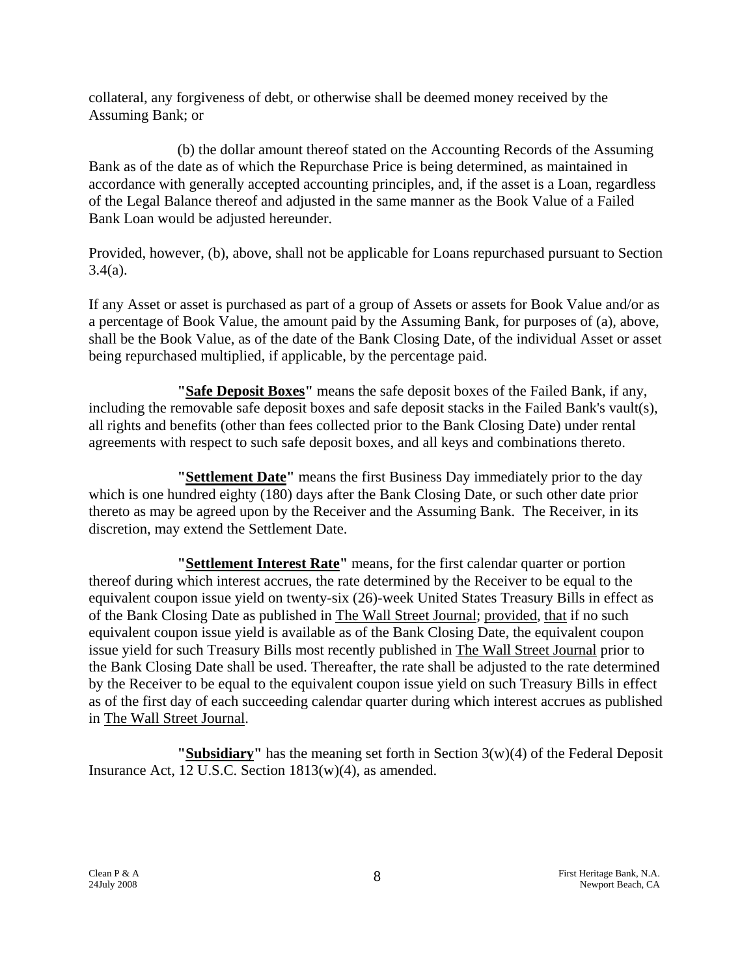collateral, any forgiveness of debt, or otherwise shall be deemed money received by the Assuming Bank; or

(b) the dollar amount thereof stated on the Accounting Records of the Assuming Bank as of the date as of which the Repurchase Price is being determined, as maintained in accordance with generally accepted accounting principles, and, if the asset is a Loan, regardless of the Legal Balance thereof and adjusted in the same manner as the Book Value of a Failed Bank Loan would be adjusted hereunder.

Provided, however, (b), above, shall not be applicable for Loans repurchased pursuant to Section  $3.4(a)$ .

If any Asset or asset is purchased as part of a group of Assets or assets for Book Value and/or as a percentage of Book Value, the amount paid by the Assuming Bank, for purposes of (a), above, shall be the Book Value, as of the date of the Bank Closing Date, of the individual Asset or asset being repurchased multiplied, if applicable, by the percentage paid.

**"Safe Deposit Boxes"** means the safe deposit boxes of the Failed Bank, if any, including the removable safe deposit boxes and safe deposit stacks in the Failed Bank's vault(s), all rights and benefits (other than fees collected prior to the Bank Closing Date) under rental agreements with respect to such safe deposit boxes, and all keys and combinations thereto.

**"Settlement Date"** means the first Business Day immediately prior to the day which is one hundred eighty (180) days after the Bank Closing Date, or such other date prior thereto as may be agreed upon by the Receiver and the Assuming Bank. The Receiver, in its discretion, may extend the Settlement Date.

**"Settlement Interest Rate"** means, for the first calendar quarter or portion thereof during which interest accrues, the rate determined by the Receiver to be equal to the equivalent coupon issue yield on twenty-six (26)-week United States Treasury Bills in effect as of the Bank Closing Date as published in The Wall Street Journal; provided, that if no such equivalent coupon issue yield is available as of the Bank Closing Date, the equivalent coupon issue yield for such Treasury Bills most recently published in The Wall Street Journal prior to the Bank Closing Date shall be used. Thereafter, the rate shall be adjusted to the rate determined by the Receiver to be equal to the equivalent coupon issue yield on such Treasury Bills in effect as of the first day of each succeeding calendar quarter during which interest accrues as published in The Wall Street Journal.

**"Subsidiary"** has the meaning set forth in Section 3(w)(4) of the Federal Deposit Insurance Act, 12 U.S.C. Section 1813(w)(4), as amended.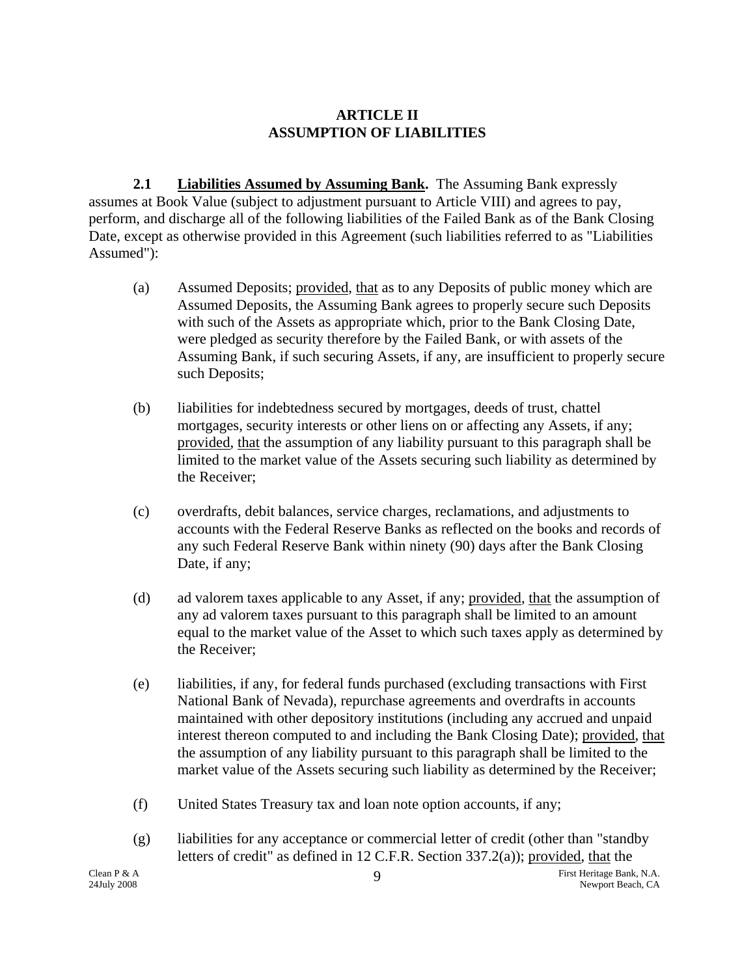### **ARTICLE II ASSUMPTION OF LIABILITIES**

**2.1 Liabilities Assumed by Assuming Bank.** The Assuming Bank expressly assumes at Book Value (subject to adjustment pursuant to Article VIII) and agrees to pay, perform, and discharge all of the following liabilities of the Failed Bank as of the Bank Closing Date, except as otherwise provided in this Agreement (such liabilities referred to as "Liabilities Assumed"):

- (a) Assumed Deposits; provided, that as to any Deposits of public money which are Assumed Deposits, the Assuming Bank agrees to properly secure such Deposits with such of the Assets as appropriate which, prior to the Bank Closing Date, were pledged as security therefore by the Failed Bank, or with assets of the Assuming Bank, if such securing Assets, if any, are insufficient to properly secure such Deposits;
- (b) liabilities for indebtedness secured by mortgages, deeds of trust, chattel mortgages, security interests or other liens on or affecting any Assets, if any; provided, that the assumption of any liability pursuant to this paragraph shall be limited to the market value of the Assets securing such liability as determined by the Receiver;
- (c) overdrafts, debit balances, service charges, reclamations, and adjustments to accounts with the Federal Reserve Banks as reflected on the books and records of any such Federal Reserve Bank within ninety (90) days after the Bank Closing Date, if any;
- (d) ad valorem taxes applicable to any Asset, if any; provided, that the assumption of any ad valorem taxes pursuant to this paragraph shall be limited to an amount equal to the market value of the Asset to which such taxes apply as determined by the Receiver;
- (e) liabilities, if any, for federal funds purchased (excluding transactions with First National Bank of Nevada), repurchase agreements and overdrafts in accounts maintained with other depository institutions (including any accrued and unpaid interest thereon computed to and including the Bank Closing Date); provided, that the assumption of any liability pursuant to this paragraph shall be limited to the market value of the Assets securing such liability as determined by the Receiver;
- (f) United States Treasury tax and loan note option accounts, if any;
- (g) liabilities for any acceptance or commercial letter of credit (other than "standby letters of credit" as defined in 12 C.F.R. Section 337.2(a)); provided, that the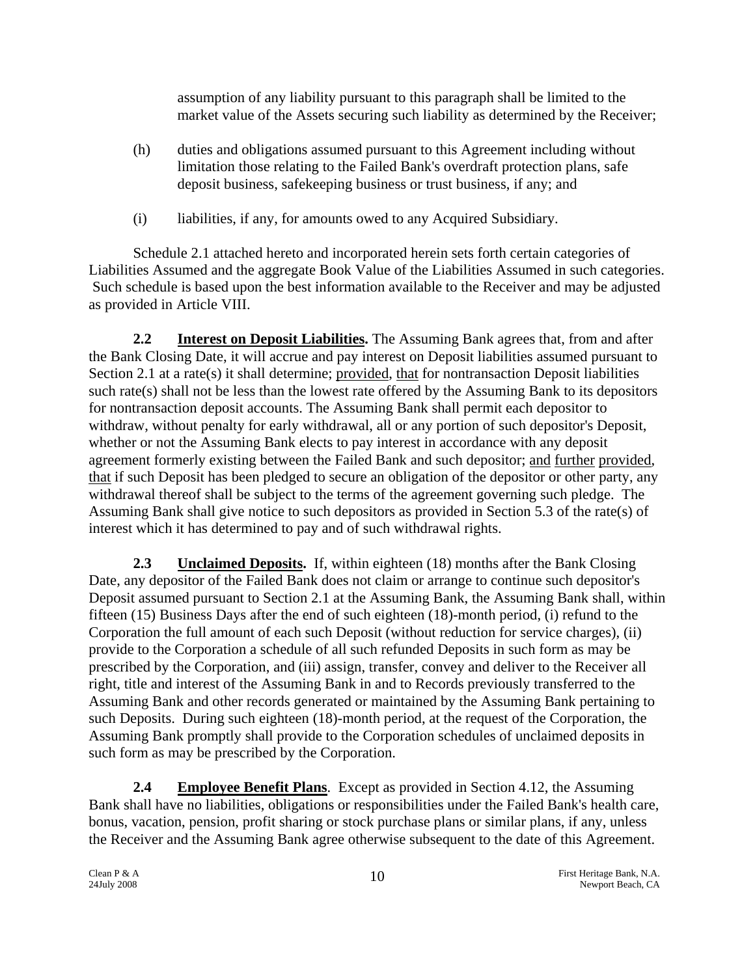assumption of any liability pursuant to this paragraph shall be limited to the market value of the Assets securing such liability as determined by the Receiver;

- <span id="page-13-0"></span>(h) duties and obligations assumed pursuant to this Agreement including without limitation those relating to the Failed Bank's overdraft protection plans, safe deposit business, safekeeping business or trust business, if any; and
- (i) liabilities, if any, for amounts owed to any Acquired Subsidiary.

Schedule 2.1 attached hereto and incorporated herein sets forth certain categories of Liabilities Assumed and the aggregate Book Value of the Liabilities Assumed in such categories. Such schedule is based upon the best information available to the Receiver and may be adjusted as provided in Article VIII.

**2.2 Interest on Deposit Liabilities.** The Assuming Bank agrees that, from and after the Bank Closing Date, it will accrue and pay interest on Deposit liabilities assumed pursuant to Section 2.1 at a rate(s) it shall determine; provided, that for nontransaction Deposit liabilities such rate(s) shall not be less than the lowest rate offered by the Assuming Bank to its depositors for nontransaction deposit accounts. The Assuming Bank shall permit each depositor to withdraw, without penalty for early withdrawal, all or any portion of such depositor's Deposit, whether or not the Assuming Bank elects to pay interest in accordance with any deposit agreement formerly existing between the Failed Bank and such depositor; and further provided, that if such Deposit has been pledged to secure an obligation of the depositor or other party, any withdrawal thereof shall be subject to the terms of the agreement governing such pledge. The Assuming Bank shall give notice to such depositors as provided in Section 5.3 of the rate(s) of interest which it has determined to pay and of such withdrawal rights.

**2.3 Unclaimed Deposits.** If, within eighteen (18) months after the Bank Closing Date, any depositor of the Failed Bank does not claim or arrange to continue such depositor's Deposit assumed pursuant to Section 2.1 at the Assuming Bank, the Assuming Bank shall, within fifteen (15) Business Days after the end of such eighteen (18)-month period, (i) refund to the Corporation the full amount of each such Deposit (without reduction for service charges), (ii) provide to the Corporation a schedule of all such refunded Deposits in such form as may be prescribed by the Corporation, and (iii) assign, transfer, convey and deliver to the Receiver all right, title and interest of the Assuming Bank in and to Records previously transferred to the Assuming Bank and other records generated or maintained by the Assuming Bank pertaining to such Deposits. During such eighteen (18)-month period, at the request of the Corporation, the Assuming Bank promptly shall provide to the Corporation schedules of unclaimed deposits in such form as may be prescribed by the Corporation.

**2.4 Employee Benefit Plans**. Except as provided in Section 4.12, the Assuming Bank shall have no liabilities, obligations or responsibilities under the Failed Bank's health care, bonus, vacation, pension, profit sharing or stock purchase plans or similar plans, if any, unless the Receiver and the Assuming Bank agree otherwise subsequent to the date of this Agreement.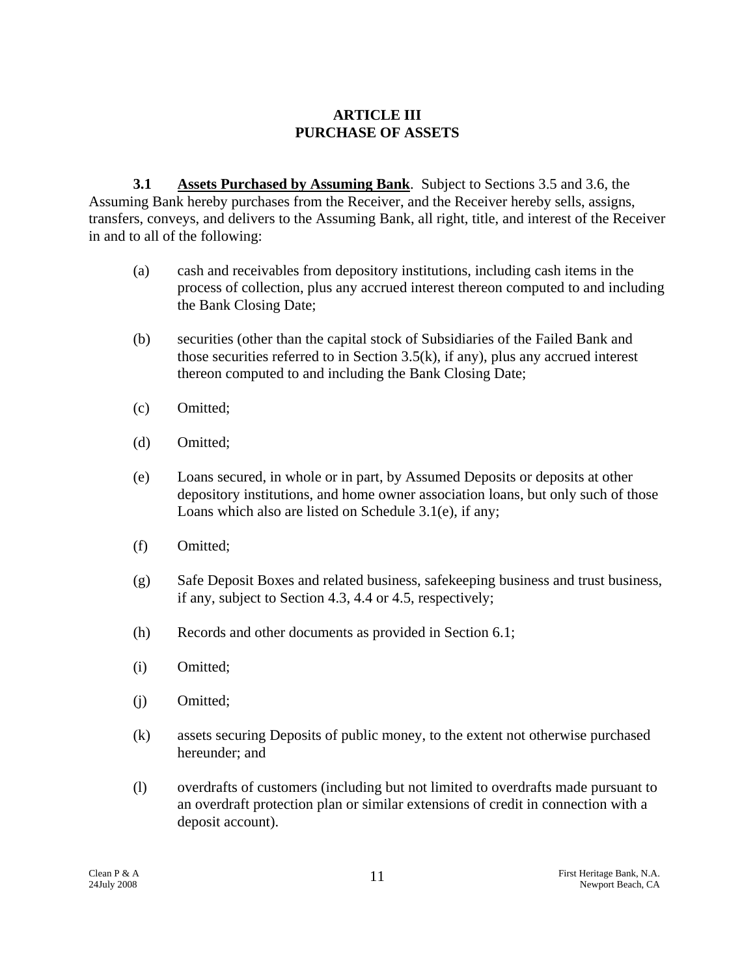### **ARTICLE III PURCHASE OF ASSETS**

<span id="page-14-0"></span>**3.1 Assets Purchased by Assuming Bank**. Subject to Sections 3.5 and 3.6, the Assuming Bank hereby purchases from the Receiver, and the Receiver hereby sells, assigns, transfers, conveys, and delivers to the Assuming Bank, all right, title, and interest of the Receiver in and to all of the following:

- (a) cash and receivables from depository institutions, including cash items in the process of collection, plus any accrued interest thereon computed to and including the Bank Closing Date;
- (b) securities (other than the capital stock of Subsidiaries of the Failed Bank and those securities referred to in Section  $3.5(k)$ , if any), plus any accrued interest thereon computed to and including the Bank Closing Date;
- (c) Omitted;
- (d) Omitted;
- (e) Loans secured, in whole or in part, by Assumed Deposits or deposits at other depository institutions, and home owner association loans, but only such of those Loans which also are listed on Schedule 3.1(e), if any;
- (f) Omitted;
- (g) Safe Deposit Boxes and related business, safekeeping business and trust business, if any, subject to Section 4.3, 4.4 or 4.5, respectively;
- (h) Records and other documents as provided in Section 6.1;
- (i) Omitted;
- (j) Omitted;
- (k) assets securing Deposits of public money, to the extent not otherwise purchased hereunder; and
- (l) overdrafts of customers (including but not limited to overdrafts made pursuant to an overdraft protection plan or similar extensions of credit in connection with a deposit account).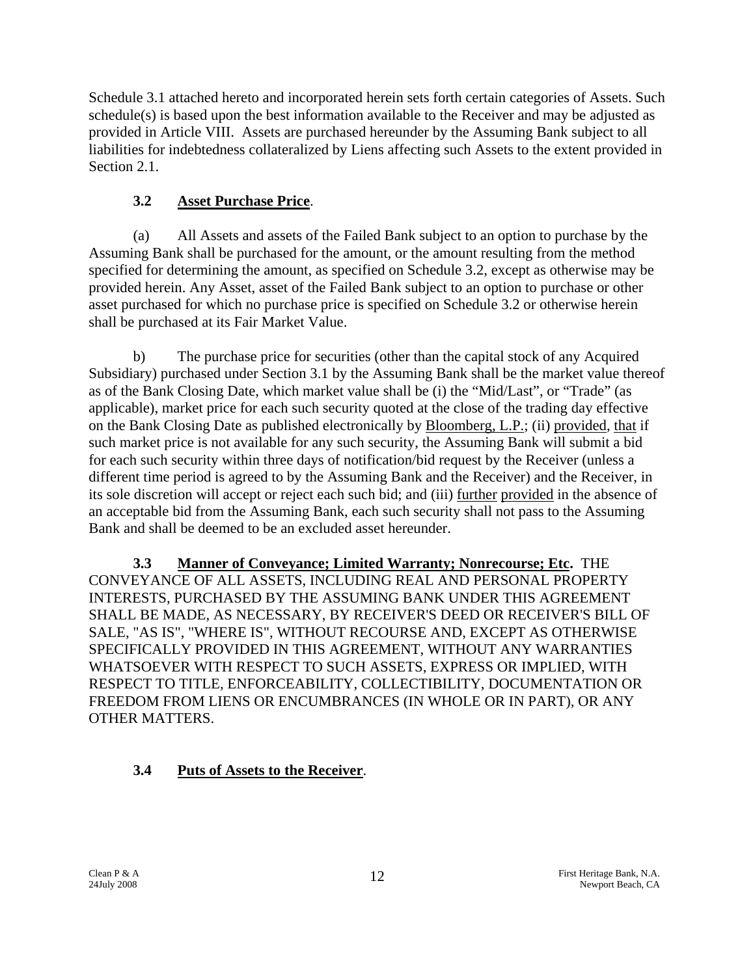<span id="page-15-0"></span>Schedule 3.1 attached hereto and incorporated herein sets forth certain categories of Assets. Such schedule(s) is based upon the best information available to the Receiver and may be adjusted as provided in Article VIII. Assets are purchased hereunder by the Assuming Bank subject to all liabilities for indebtedness collateralized by Liens affecting such Assets to the extent provided in Section 2.1.

## **3.2 Asset Purchase Price**.

(a) All Assets and assets of the Failed Bank subject to an option to purchase by the Assuming Bank shall be purchased for the amount, or the amount resulting from the method specified for determining the amount, as specified on Schedule 3.2, except as otherwise may be provided herein. Any Asset, asset of the Failed Bank subject to an option to purchase or other asset purchased for which no purchase price is specified on Schedule 3.2 or otherwise herein shall be purchased at its Fair Market Value.

b) The purchase price for securities (other than the capital stock of any Acquired Subsidiary) purchased under Section 3.1 by the Assuming Bank shall be the market value thereof as of the Bank Closing Date, which market value shall be (i) the "Mid/Last", or "Trade" (as applicable), market price for each such security quoted at the close of the trading day effective on the Bank Closing Date as published electronically by Bloomberg, L.P.; (ii) provided, that if such market price is not available for any such security, the Assuming Bank will submit a bid for each such security within three days of notification/bid request by the Receiver (unless a different time period is agreed to by the Assuming Bank and the Receiver) and the Receiver, in its sole discretion will accept or reject each such bid; and (iii) further provided in the absence of an acceptable bid from the Assuming Bank, each such security shall not pass to the Assuming Bank and shall be deemed to be an excluded asset hereunder.

**3.3 Manner of Conveyance; Limited Warranty; Nonrecourse; Etc.** THE CONVEYANCE OF ALL ASSETS, INCLUDING REAL AND PERSONAL PROPERTY INTERESTS, PURCHASED BY THE ASSUMING BANK UNDER THIS AGREEMENT SHALL BE MADE, AS NECESSARY, BY RECEIVER'S DEED OR RECEIVER'S BILL OF SALE, "AS IS", "WHERE IS", WITHOUT RECOURSE AND, EXCEPT AS OTHERWISE SPECIFICALLY PROVIDED IN THIS AGREEMENT, WITHOUT ANY WARRANTIES WHATSOEVER WITH RESPECT TO SUCH ASSETS, EXPRESS OR IMPLIED, WITH RESPECT TO TITLE, ENFORCEABILITY, COLLECTIBILITY, DOCUMENTATION OR FREEDOM FROM LIENS OR ENCUMBRANCES (IN WHOLE OR IN PART), OR ANY OTHER MATTERS.

# **3.4 Puts of Assets to the Receiver**.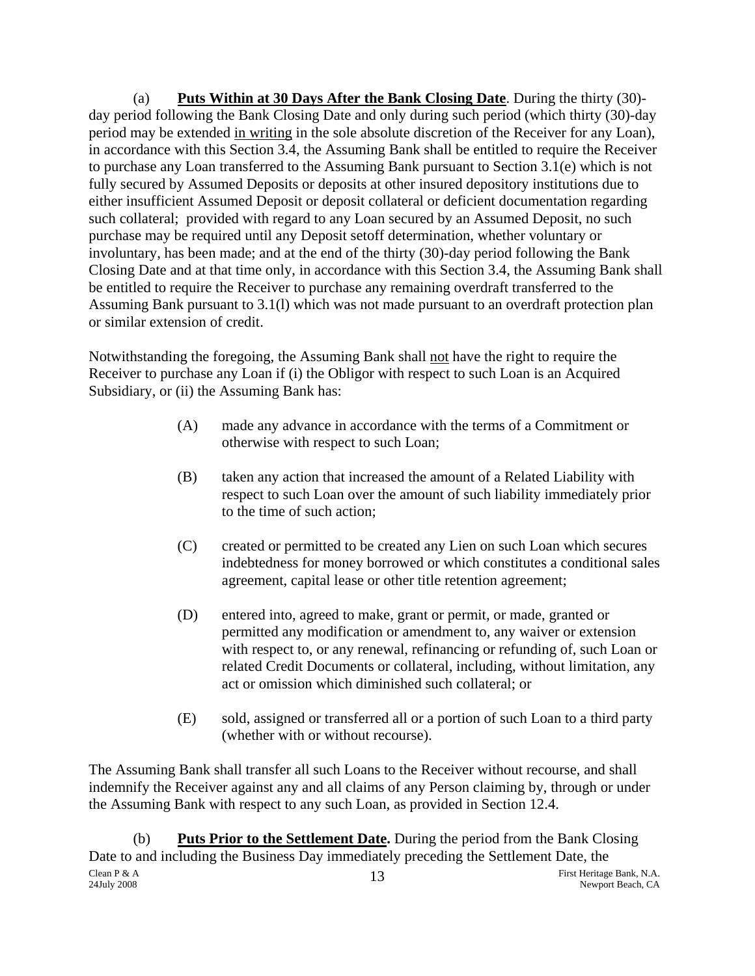(a) **Puts Within at 30 Days After the Bank Closing Date**. During the thirty (30) day period following the Bank Closing Date and only during such period (which thirty (30)-day period may be extended in writing in the sole absolute discretion of the Receiver for any Loan), in accordance with this Section 3.4, the Assuming Bank shall be entitled to require the Receiver to purchase any Loan transferred to the Assuming Bank pursuant to Section 3.1(e) which is not fully secured by Assumed Deposits or deposits at other insured depository institutions due to either insufficient Assumed Deposit or deposit collateral or deficient documentation regarding such collateral; provided with regard to any Loan secured by an Assumed Deposit, no such purchase may be required until any Deposit setoff determination, whether voluntary or involuntary, has been made; and at the end of the thirty (30)-day period following the Bank Closing Date and at that time only, in accordance with this Section 3.4, the Assuming Bank shall be entitled to require the Receiver to purchase any remaining overdraft transferred to the Assuming Bank pursuant to 3.1(l) which was not made pursuant to an overdraft protection plan or similar extension of credit.

Notwithstanding the foregoing, the Assuming Bank shall not have the right to require the Receiver to purchase any Loan if (i) the Obligor with respect to such Loan is an Acquired Subsidiary, or (ii) the Assuming Bank has:

- (A) made any advance in accordance with the terms of a Commitment or otherwise with respect to such Loan;
- (B) taken any action that increased the amount of a Related Liability with respect to such Loan over the amount of such liability immediately prior to the time of such action;
- (C) created or permitted to be created any Lien on such Loan which secures indebtedness for money borrowed or which constitutes a conditional sales agreement, capital lease or other title retention agreement;
- (D) entered into, agreed to make, grant or permit, or made, granted or permitted any modification or amendment to, any waiver or extension with respect to, or any renewal, refinancing or refunding of, such Loan or related Credit Documents or collateral, including, without limitation, any act or omission which diminished such collateral; or
- (E) sold, assigned or transferred all or a portion of such Loan to a third party (whether with or without recourse).

The Assuming Bank shall transfer all such Loans to the Receiver without recourse, and shall indemnify the Receiver against any and all claims of any Person claiming by, through or under the Assuming Bank with respect to any such Loan, as provided in Section 12.4.

(b) **Puts Prior to the Settlement Date.** During the period from the Bank Closing Date to and including the Business Day immediately preceding the Settlement Date, the Clean P & A First Heritage Bank, N.A. 24July 2008 Newport Beach, CA Review P & A First Heritage Bank, N.A.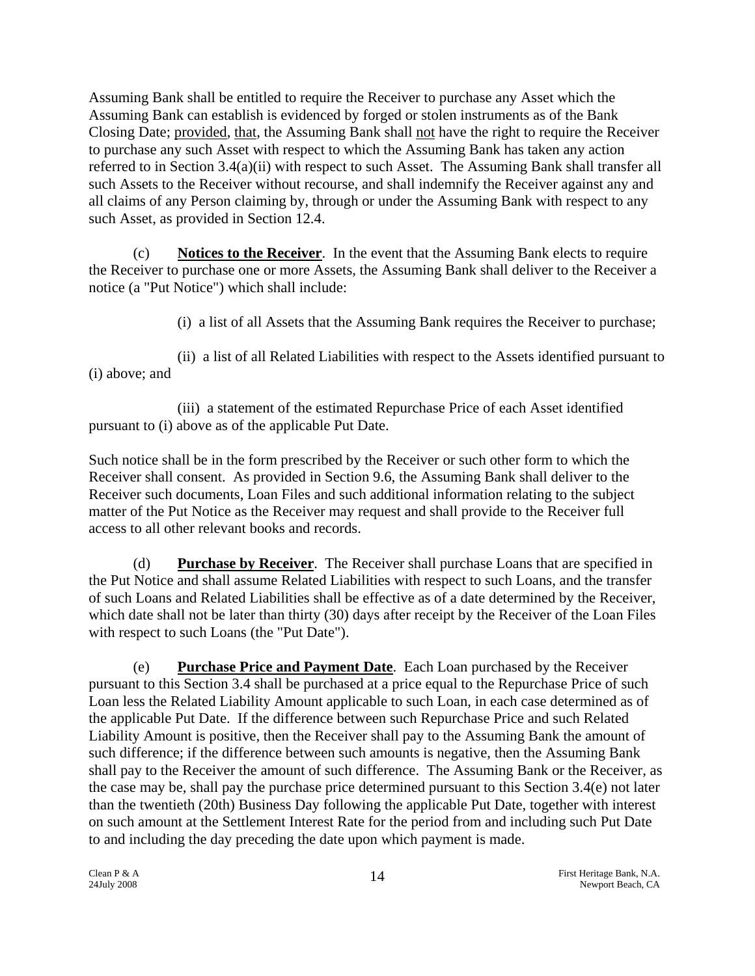Assuming Bank shall be entitled to require the Receiver to purchase any Asset which the Assuming Bank can establish is evidenced by forged or stolen instruments as of the Bank Closing Date; provided, that, the Assuming Bank shall not have the right to require the Receiver to purchase any such Asset with respect to which the Assuming Bank has taken any action referred to in Section 3.4(a)(ii) with respect to such Asset. The Assuming Bank shall transfer all such Assets to the Receiver without recourse, and shall indemnify the Receiver against any and all claims of any Person claiming by, through or under the Assuming Bank with respect to any such Asset, as provided in Section 12.4.

(c) **Notices to the Receiver**. In the event that the Assuming Bank elects to require the Receiver to purchase one or more Assets, the Assuming Bank shall deliver to the Receiver a notice (a "Put Notice") which shall include:

(i) a list of all Assets that the Assuming Bank requires the Receiver to purchase;

(ii) a list of all Related Liabilities with respect to the Assets identified pursuant to (i) above; and

(iii) a statement of the estimated Repurchase Price of each Asset identified pursuant to (i) above as of the applicable Put Date.

Such notice shall be in the form prescribed by the Receiver or such other form to which the Receiver shall consent. As provided in Section 9.6, the Assuming Bank shall deliver to the Receiver such documents, Loan Files and such additional information relating to the subject matter of the Put Notice as the Receiver may request and shall provide to the Receiver full access to all other relevant books and records.

(d) **Purchase by Receiver**. The Receiver shall purchase Loans that are specified in the Put Notice and shall assume Related Liabilities with respect to such Loans, and the transfer of such Loans and Related Liabilities shall be effective as of a date determined by the Receiver, which date shall not be later than thirty (30) days after receipt by the Receiver of the Loan Files with respect to such Loans (the "Put Date").

(e) **Purchase Price and Payment Date**. Each Loan purchased by the Receiver pursuant to this Section 3.4 shall be purchased at a price equal to the Repurchase Price of such Loan less the Related Liability Amount applicable to such Loan, in each case determined as of the applicable Put Date. If the difference between such Repurchase Price and such Related Liability Amount is positive, then the Receiver shall pay to the Assuming Bank the amount of such difference; if the difference between such amounts is negative, then the Assuming Bank shall pay to the Receiver the amount of such difference. The Assuming Bank or the Receiver, as the case may be, shall pay the purchase price determined pursuant to this Section 3.4(e) not later than the twentieth (20th) Business Day following the applicable Put Date, together with interest on such amount at the Settlement Interest Rate for the period from and including such Put Date to and including the day preceding the date upon which payment is made.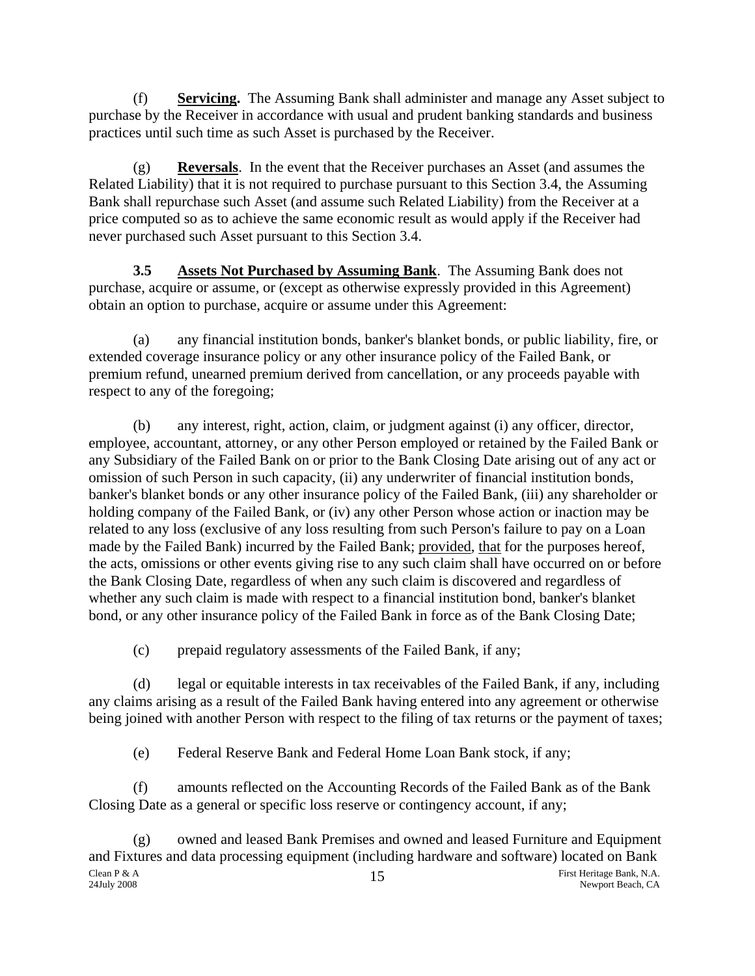<span id="page-18-0"></span> (f) **Servicing.** The Assuming Bank shall administer and manage any Asset subject to purchase by the Receiver in accordance with usual and prudent banking standards and business practices until such time as such Asset is purchased by the Receiver.

(g) **Reversals**. In the event that the Receiver purchases an Asset (and assumes the Related Liability) that it is not required to purchase pursuant to this Section 3.4, the Assuming Bank shall repurchase such Asset (and assume such Related Liability) from the Receiver at a price computed so as to achieve the same economic result as would apply if the Receiver had never purchased such Asset pursuant to this Section 3.4.

**3.5 Assets Not Purchased by Assuming Bank**. The Assuming Bank does not purchase, acquire or assume, or (except as otherwise expressly provided in this Agreement) obtain an option to purchase, acquire or assume under this Agreement:

(a) any financial institution bonds, banker's blanket bonds, or public liability, fire, or extended coverage insurance policy or any other insurance policy of the Failed Bank, or premium refund, unearned premium derived from cancellation, or any proceeds payable with respect to any of the foregoing;

(b) any interest, right, action, claim, or judgment against (i) any officer, director, employee, accountant, attorney, or any other Person employed or retained by the Failed Bank or any Subsidiary of the Failed Bank on or prior to the Bank Closing Date arising out of any act or omission of such Person in such capacity, (ii) any underwriter of financial institution bonds, banker's blanket bonds or any other insurance policy of the Failed Bank, (iii) any shareholder or holding company of the Failed Bank, or (iv) any other Person whose action or inaction may be related to any loss (exclusive of any loss resulting from such Person's failure to pay on a Loan made by the Failed Bank) incurred by the Failed Bank; provided, that for the purposes hereof, the acts, omissions or other events giving rise to any such claim shall have occurred on or before the Bank Closing Date, regardless of when any such claim is discovered and regardless of whether any such claim is made with respect to a financial institution bond, banker's blanket bond, or any other insurance policy of the Failed Bank in force as of the Bank Closing Date;

(c) prepaid regulatory assessments of the Failed Bank, if any;

(d) legal or equitable interests in tax receivables of the Failed Bank, if any, including any claims arising as a result of the Failed Bank having entered into any agreement or otherwise being joined with another Person with respect to the filing of tax returns or the payment of taxes;

(e) Federal Reserve Bank and Federal Home Loan Bank stock, if any;

(f) amounts reflected on the Accounting Records of the Failed Bank as of the Bank Closing Date as a general or specific loss reserve or contingency account, if any;

(g) owned and leased Bank Premises and owned and leased Furniture and Equipment and Fixtures and data processing equipment (including hardware and software) located on Bank Clean P & A First Heritage Bank, N.A. (24July 2008 Newport Beach, CA Server All 24July 2008 Newport Beach, CA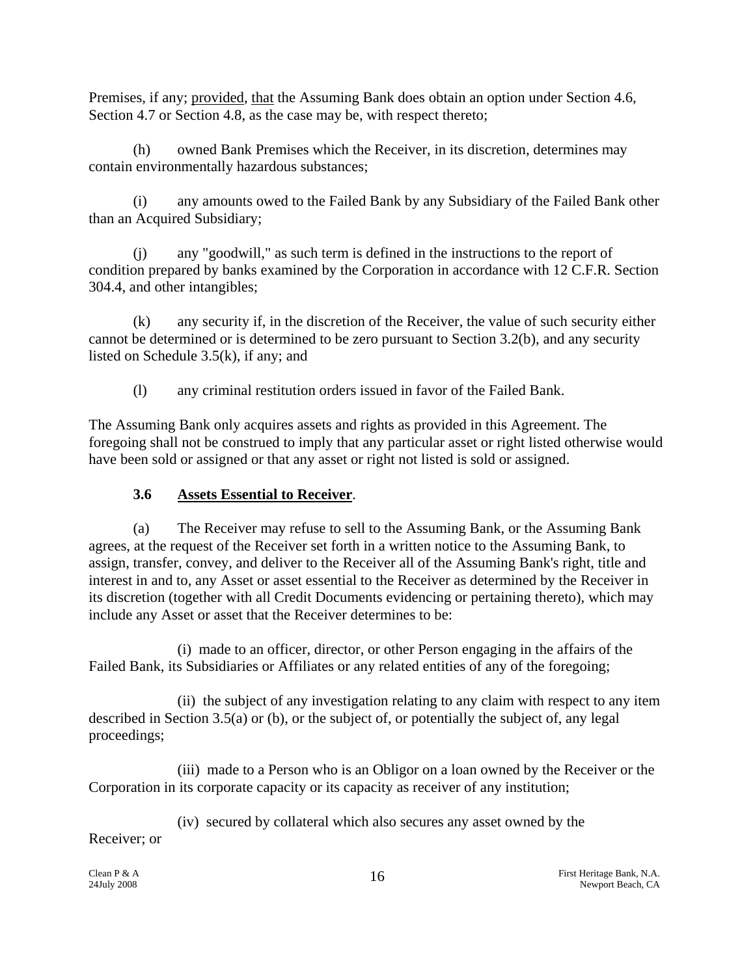<span id="page-19-0"></span>Premises, if any; provided, that the Assuming Bank does obtain an option under Section 4.6, Section 4.7 or Section 4.8, as the case may be, with respect thereto;

(h) owned Bank Premises which the Receiver, in its discretion, determines may contain environmentally hazardous substances;

(i) any amounts owed to the Failed Bank by any Subsidiary of the Failed Bank other than an Acquired Subsidiary;

(j) any "goodwill," as such term is defined in the instructions to the report of condition prepared by banks examined by the Corporation in accordance with 12 C.F.R. Section 304.4, and other intangibles;

(k) any security if, in the discretion of the Receiver, the value of such security either cannot be determined or is determined to be zero pursuant to Section 3.2(b), and any security listed on Schedule 3.5(k), if any; and

(l) any criminal restitution orders issued in favor of the Failed Bank.

The Assuming Bank only acquires assets and rights as provided in this Agreement. The foregoing shall not be construed to imply that any particular asset or right listed otherwise would have been sold or assigned or that any asset or right not listed is sold or assigned.

## **3.6 Assets Essential to Receiver**.

(a) The Receiver may refuse to sell to the Assuming Bank, or the Assuming Bank agrees, at the request of the Receiver set forth in a written notice to the Assuming Bank, to assign, transfer, convey, and deliver to the Receiver all of the Assuming Bank's right, title and interest in and to, any Asset or asset essential to the Receiver as determined by the Receiver in its discretion (together with all Credit Documents evidencing or pertaining thereto), which may include any Asset or asset that the Receiver determines to be:

(i) made to an officer, director, or other Person engaging in the affairs of the Failed Bank, its Subsidiaries or Affiliates or any related entities of any of the foregoing;

(ii) the subject of any investigation relating to any claim with respect to any item described in Section 3.5(a) or (b), or the subject of, or potentially the subject of, any legal proceedings;

(iii) made to a Person who is an Obligor on a loan owned by the Receiver or the Corporation in its corporate capacity or its capacity as receiver of any institution;

(iv) secured by collateral which also secures any asset owned by the

Receiver; or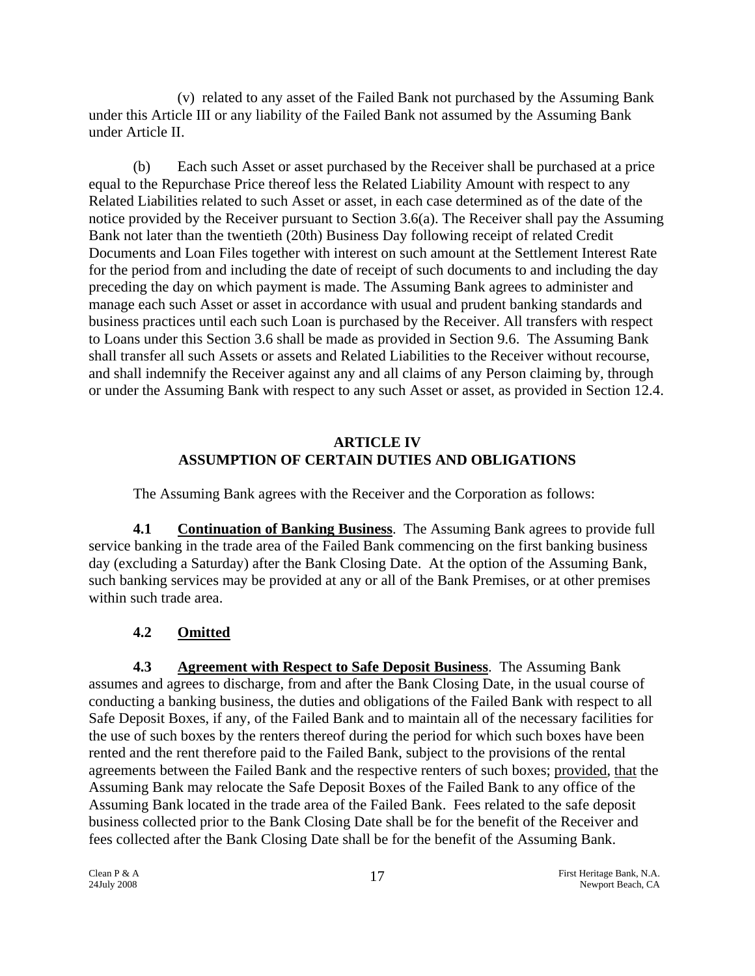<span id="page-20-0"></span>(v) related to any asset of the Failed Bank not purchased by the Assuming Bank under this Article III or any liability of the Failed Bank not assumed by the Assuming Bank under Article II.

(b) Each such Asset or asset purchased by the Receiver shall be purchased at a price equal to the Repurchase Price thereof less the Related Liability Amount with respect to any Related Liabilities related to such Asset or asset, in each case determined as of the date of the notice provided by the Receiver pursuant to Section 3.6(a). The Receiver shall pay the Assuming Bank not later than the twentieth (20th) Business Day following receipt of related Credit Documents and Loan Files together with interest on such amount at the Settlement Interest Rate for the period from and including the date of receipt of such documents to and including the day preceding the day on which payment is made. The Assuming Bank agrees to administer and manage each such Asset or asset in accordance with usual and prudent banking standards and business practices until each such Loan is purchased by the Receiver. All transfers with respect to Loans under this Section 3.6 shall be made as provided in Section 9.6. The Assuming Bank shall transfer all such Assets or assets and Related Liabilities to the Receiver without recourse, and shall indemnify the Receiver against any and all claims of any Person claiming by, through or under the Assuming Bank with respect to any such Asset or asset, as provided in Section 12.4.

### **ARTICLE IV ASSUMPTION OF CERTAIN DUTIES AND OBLIGATIONS**

The Assuming Bank agrees with the Receiver and the Corporation as follows:

**4.1 Continuation of Banking Business**. The Assuming Bank agrees to provide full service banking in the trade area of the Failed Bank commencing on the first banking business day (excluding a Saturday) after the Bank Closing Date. At the option of the Assuming Bank, such banking services may be provided at any or all of the Bank Premises, or at other premises within such trade area.

## **4.2 Omitted**

**4.3 Agreement with Respect to Safe Deposit Business**. The Assuming Bank assumes and agrees to discharge, from and after the Bank Closing Date, in the usual course of conducting a banking business, the duties and obligations of the Failed Bank with respect to all Safe Deposit Boxes, if any, of the Failed Bank and to maintain all of the necessary facilities for the use of such boxes by the renters thereof during the period for which such boxes have been rented and the rent therefore paid to the Failed Bank, subject to the provisions of the rental agreements between the Failed Bank and the respective renters of such boxes; provided, that the Assuming Bank may relocate the Safe Deposit Boxes of the Failed Bank to any office of the Assuming Bank located in the trade area of the Failed Bank. Fees related to the safe deposit business collected prior to the Bank Closing Date shall be for the benefit of the Receiver and fees collected after the Bank Closing Date shall be for the benefit of the Assuming Bank.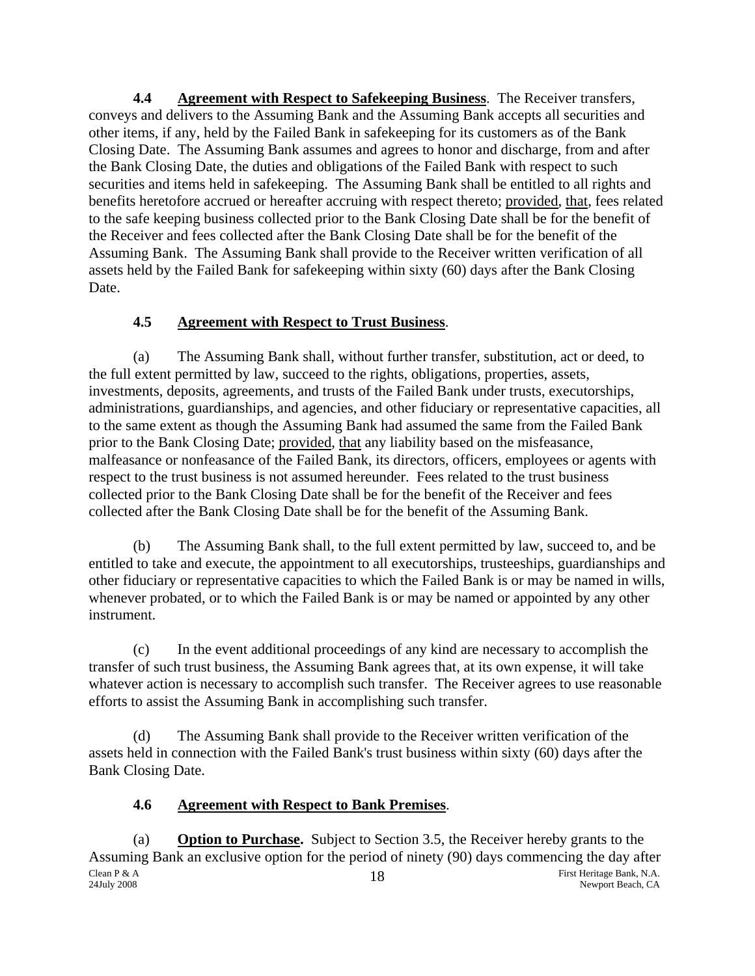<span id="page-21-0"></span>**4.4 Agreement with Respect to Safekeeping Business**. The Receiver transfers, conveys and delivers to the Assuming Bank and the Assuming Bank accepts all securities and other items, if any, held by the Failed Bank in safekeeping for its customers as of the Bank Closing Date. The Assuming Bank assumes and agrees to honor and discharge, from and after the Bank Closing Date, the duties and obligations of the Failed Bank with respect to such securities and items held in safekeeping. The Assuming Bank shall be entitled to all rights and benefits heretofore accrued or hereafter accruing with respect thereto; provided, that, fees related to the safe keeping business collected prior to the Bank Closing Date shall be for the benefit of the Receiver and fees collected after the Bank Closing Date shall be for the benefit of the Assuming Bank. The Assuming Bank shall provide to the Receiver written verification of all assets held by the Failed Bank for safekeeping within sixty (60) days after the Bank Closing Date.

## **4.5 Agreement with Respect to Trust Business**.

(a) The Assuming Bank shall, without further transfer, substitution, act or deed, to the full extent permitted by law, succeed to the rights, obligations, properties, assets, investments, deposits, agreements, and trusts of the Failed Bank under trusts, executorships, administrations, guardianships, and agencies, and other fiduciary or representative capacities, all to the same extent as though the Assuming Bank had assumed the same from the Failed Bank prior to the Bank Closing Date; provided, that any liability based on the misfeasance, malfeasance or nonfeasance of the Failed Bank, its directors, officers, employees or agents with respect to the trust business is not assumed hereunder. Fees related to the trust business collected prior to the Bank Closing Date shall be for the benefit of the Receiver and fees collected after the Bank Closing Date shall be for the benefit of the Assuming Bank.

(b) The Assuming Bank shall, to the full extent permitted by law, succeed to, and be entitled to take and execute, the appointment to all executorships, trusteeships, guardianships and other fiduciary or representative capacities to which the Failed Bank is or may be named in wills, whenever probated, or to which the Failed Bank is or may be named or appointed by any other instrument.

(c) In the event additional proceedings of any kind are necessary to accomplish the transfer of such trust business, the Assuming Bank agrees that, at its own expense, it will take whatever action is necessary to accomplish such transfer. The Receiver agrees to use reasonable efforts to assist the Assuming Bank in accomplishing such transfer.

(d) The Assuming Bank shall provide to the Receiver written verification of the assets held in connection with the Failed Bank's trust business within sixty (60) days after the Bank Closing Date.

## **4.6 Agreement with Respect to Bank Premises**.

(a) **Option to Purchase.** Subject to Section 3.5, the Receiver hereby grants to the Assuming Bank an exclusive option for the period of ninety (90) days commencing the day after Clean P & A First Heritage Bank, N.A. 24July 2008 Newport Beach, CA Research P & A Research P & A Research P & A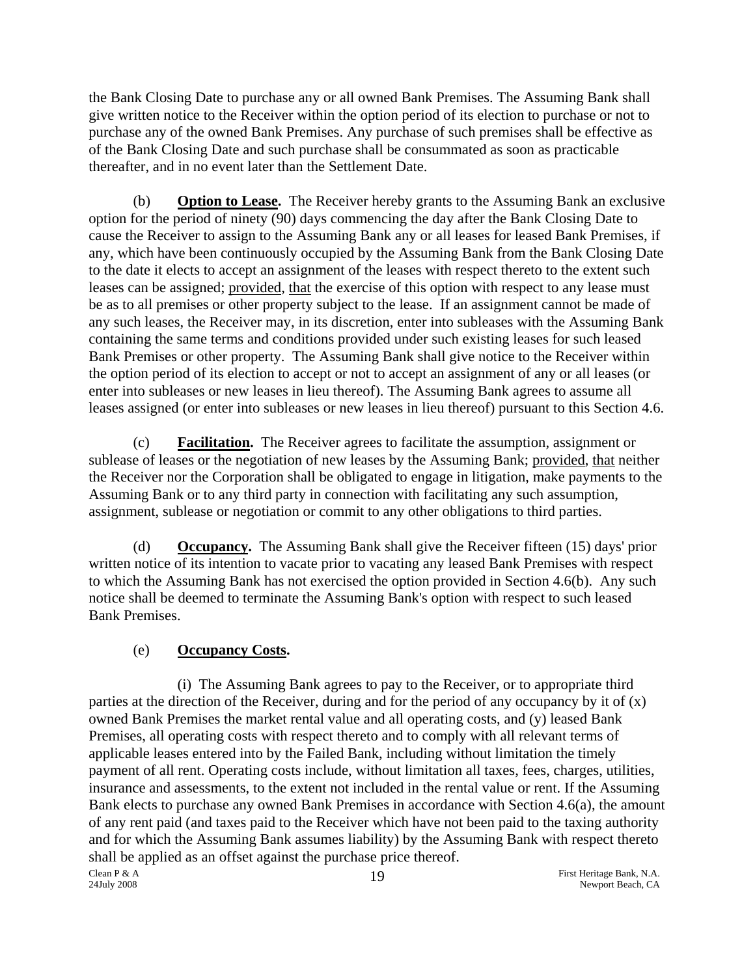the Bank Closing Date to purchase any or all owned Bank Premises. The Assuming Bank shall give written notice to the Receiver within the option period of its election to purchase or not to purchase any of the owned Bank Premises. Any purchase of such premises shall be effective as of the Bank Closing Date and such purchase shall be consummated as soon as practicable thereafter, and in no event later than the Settlement Date.

(b) **Option to Lease.** The Receiver hereby grants to the Assuming Bank an exclusive option for the period of ninety (90) days commencing the day after the Bank Closing Date to cause the Receiver to assign to the Assuming Bank any or all leases for leased Bank Premises, if any, which have been continuously occupied by the Assuming Bank from the Bank Closing Date to the date it elects to accept an assignment of the leases with respect thereto to the extent such leases can be assigned; provided, that the exercise of this option with respect to any lease must be as to all premises or other property subject to the lease. If an assignment cannot be made of any such leases, the Receiver may, in its discretion, enter into subleases with the Assuming Bank containing the same terms and conditions provided under such existing leases for such leased Bank Premises or other property. The Assuming Bank shall give notice to the Receiver within the option period of its election to accept or not to accept an assignment of any or all leases (or enter into subleases or new leases in lieu thereof). The Assuming Bank agrees to assume all leases assigned (or enter into subleases or new leases in lieu thereof) pursuant to this Section 4.6.

(c) **Facilitation.** The Receiver agrees to facilitate the assumption, assignment or sublease of leases or the negotiation of new leases by the Assuming Bank; provided, that neither the Receiver nor the Corporation shall be obligated to engage in litigation, make payments to the Assuming Bank or to any third party in connection with facilitating any such assumption, assignment, sublease or negotiation or commit to any other obligations to third parties.

(d) **Occupancy.** The Assuming Bank shall give the Receiver fifteen (15) days' prior written notice of its intention to vacate prior to vacating any leased Bank Premises with respect to which the Assuming Bank has not exercised the option provided in Section 4.6(b). Any such notice shall be deemed to terminate the Assuming Bank's option with respect to such leased Bank Premises.

### (e) **Occupancy Costs.**

(i) The Assuming Bank agrees to pay to the Receiver, or to appropriate third parties at the direction of the Receiver, during and for the period of any occupancy by it of (x) owned Bank Premises the market rental value and all operating costs, and (y) leased Bank Premises, all operating costs with respect thereto and to comply with all relevant terms of applicable leases entered into by the Failed Bank, including without limitation the timely payment of all rent. Operating costs include, without limitation all taxes, fees, charges, utilities, insurance and assessments, to the extent not included in the rental value or rent. If the Assuming Bank elects to purchase any owned Bank Premises in accordance with Section 4.6(a), the amount of any rent paid (and taxes paid to the Receiver which have not been paid to the taxing authority and for which the Assuming Bank assumes liability) by the Assuming Bank with respect thereto shall be applied as an offset against the purchase price thereof. Clean P & A First Heritage Bank, N.A. 24July 2008<br>24July 2008 24July 2008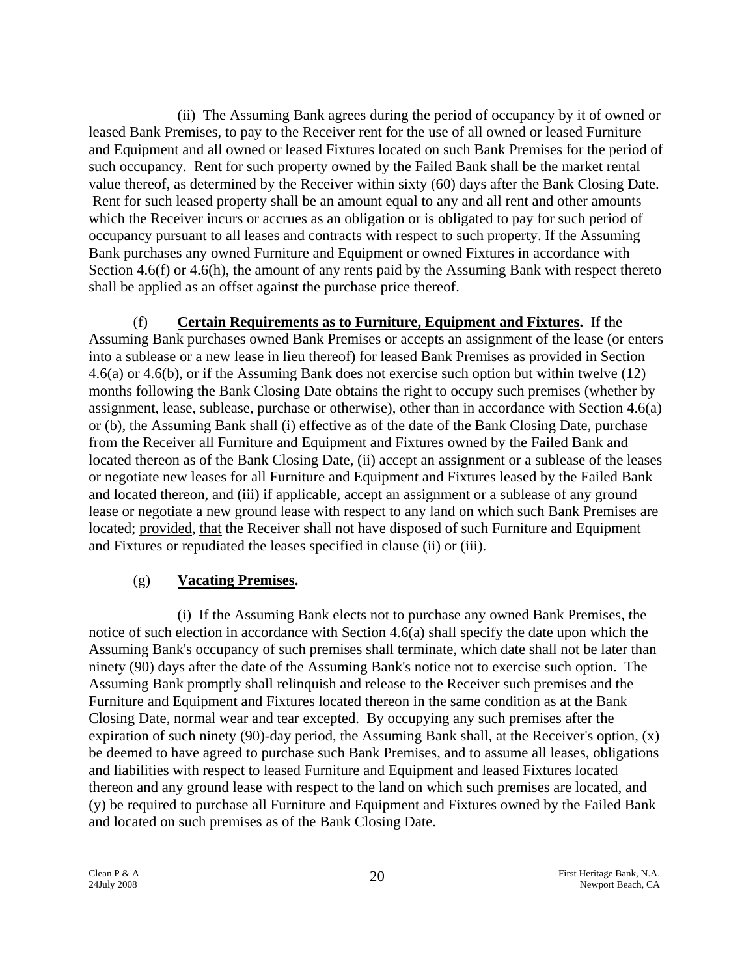(ii) The Assuming Bank agrees during the period of occupancy by it of owned or leased Bank Premises, to pay to the Receiver rent for the use of all owned or leased Furniture and Equipment and all owned or leased Fixtures located on such Bank Premises for the period of such occupancy. Rent for such property owned by the Failed Bank shall be the market rental value thereof, as determined by the Receiver within sixty (60) days after the Bank Closing Date. Rent for such leased property shall be an amount equal to any and all rent and other amounts which the Receiver incurs or accrues as an obligation or is obligated to pay for such period of occupancy pursuant to all leases and contracts with respect to such property. If the Assuming Bank purchases any owned Furniture and Equipment or owned Fixtures in accordance with Section 4.6(f) or 4.6(h), the amount of any rents paid by the Assuming Bank with respect thereto shall be applied as an offset against the purchase price thereof.

(f) **Certain Requirements as to Furniture, Equipment and Fixtures.** If the Assuming Bank purchases owned Bank Premises or accepts an assignment of the lease (or enters into a sublease or a new lease in lieu thereof) for leased Bank Premises as provided in Section 4.6(a) or 4.6(b), or if the Assuming Bank does not exercise such option but within twelve (12) months following the Bank Closing Date obtains the right to occupy such premises (whether by assignment, lease, sublease, purchase or otherwise), other than in accordance with Section 4.6(a) or (b), the Assuming Bank shall (i) effective as of the date of the Bank Closing Date, purchase from the Receiver all Furniture and Equipment and Fixtures owned by the Failed Bank and located thereon as of the Bank Closing Date, (ii) accept an assignment or a sublease of the leases or negotiate new leases for all Furniture and Equipment and Fixtures leased by the Failed Bank and located thereon, and (iii) if applicable, accept an assignment or a sublease of any ground lease or negotiate a new ground lease with respect to any land on which such Bank Premises are located; provided, that the Receiver shall not have disposed of such Furniture and Equipment and Fixtures or repudiated the leases specified in clause (ii) or (iii).

#### (g) **Vacating Premises.**

(i) If the Assuming Bank elects not to purchase any owned Bank Premises, the notice of such election in accordance with Section 4.6(a) shall specify the date upon which the Assuming Bank's occupancy of such premises shall terminate, which date shall not be later than ninety (90) days after the date of the Assuming Bank's notice not to exercise such option. The Assuming Bank promptly shall relinquish and release to the Receiver such premises and the Furniture and Equipment and Fixtures located thereon in the same condition as at the Bank Closing Date, normal wear and tear excepted. By occupying any such premises after the expiration of such ninety (90)-day period, the Assuming Bank shall, at the Receiver's option, (x) be deemed to have agreed to purchase such Bank Premises, and to assume all leases, obligations and liabilities with respect to leased Furniture and Equipment and leased Fixtures located thereon and any ground lease with respect to the land on which such premises are located, and (y) be required to purchase all Furniture and Equipment and Fixtures owned by the Failed Bank and located on such premises as of the Bank Closing Date.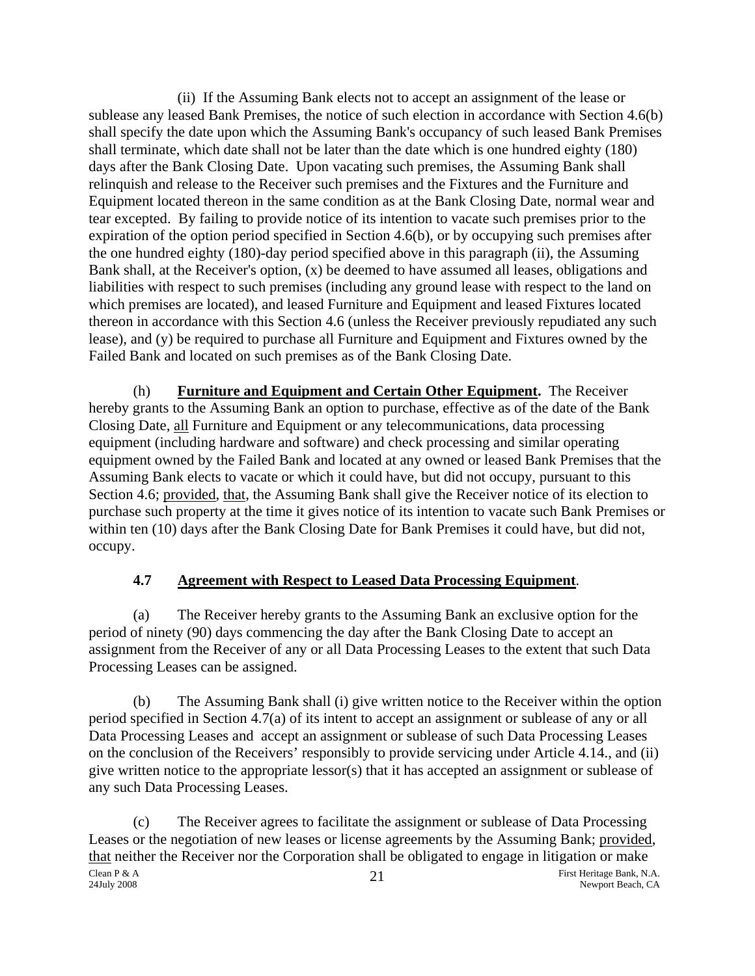<span id="page-24-0"></span>(ii) If the Assuming Bank elects not to accept an assignment of the lease or sublease any leased Bank Premises, the notice of such election in accordance with Section 4.6(b) shall specify the date upon which the Assuming Bank's occupancy of such leased Bank Premises shall terminate, which date shall not be later than the date which is one hundred eighty (180) days after the Bank Closing Date. Upon vacating such premises, the Assuming Bank shall relinquish and release to the Receiver such premises and the Fixtures and the Furniture and Equipment located thereon in the same condition as at the Bank Closing Date, normal wear and tear excepted. By failing to provide notice of its intention to vacate such premises prior to the expiration of the option period specified in Section 4.6(b), or by occupying such premises after the one hundred eighty (180)-day period specified above in this paragraph (ii), the Assuming Bank shall, at the Receiver's option, (x) be deemed to have assumed all leases, obligations and liabilities with respect to such premises (including any ground lease with respect to the land on which premises are located), and leased Furniture and Equipment and leased Fixtures located thereon in accordance with this Section 4.6 (unless the Receiver previously repudiated any such lease), and (y) be required to purchase all Furniture and Equipment and Fixtures owned by the Failed Bank and located on such premises as of the Bank Closing Date.

(h) **Furniture and Equipment and Certain Other Equipment.** The Receiver hereby grants to the Assuming Bank an option to purchase, effective as of the date of the Bank Closing Date, all Furniture and Equipment or any telecommunications, data processing equipment (including hardware and software) and check processing and similar operating equipment owned by the Failed Bank and located at any owned or leased Bank Premises that the Assuming Bank elects to vacate or which it could have, but did not occupy, pursuant to this Section 4.6; provided, that, the Assuming Bank shall give the Receiver notice of its election to purchase such property at the time it gives notice of its intention to vacate such Bank Premises or within ten (10) days after the Bank Closing Date for Bank Premises it could have, but did not, occupy.

### **4.7 Agreement with Respect to Leased Data Processing Equipment**.

(a) The Receiver hereby grants to the Assuming Bank an exclusive option for the period of ninety (90) days commencing the day after the Bank Closing Date to accept an assignment from the Receiver of any or all Data Processing Leases to the extent that such Data Processing Leases can be assigned.

(b) The Assuming Bank shall (i) give written notice to the Receiver within the option period specified in Section 4.7(a) of its intent to accept an assignment or sublease of any or all Data Processing Leases and accept an assignment or sublease of such Data Processing Leases on the conclusion of the Receivers' responsibly to provide servicing under Article 4.14., and (ii) give written notice to the appropriate lessor(s) that it has accepted an assignment or sublease of any such Data Processing Leases.

(c) The Receiver agrees to facilitate the assignment or sublease of Data Processing Leases or the negotiation of new leases or license agreements by the Assuming Bank; provided, that neither the Receiver nor the Corporation shall be obligated to engage in litigation or make Clean P & A First Heritage Bank, N.A.  $21$  First Heritage Bank, N.A. 24July 2008 Newport Beach, CA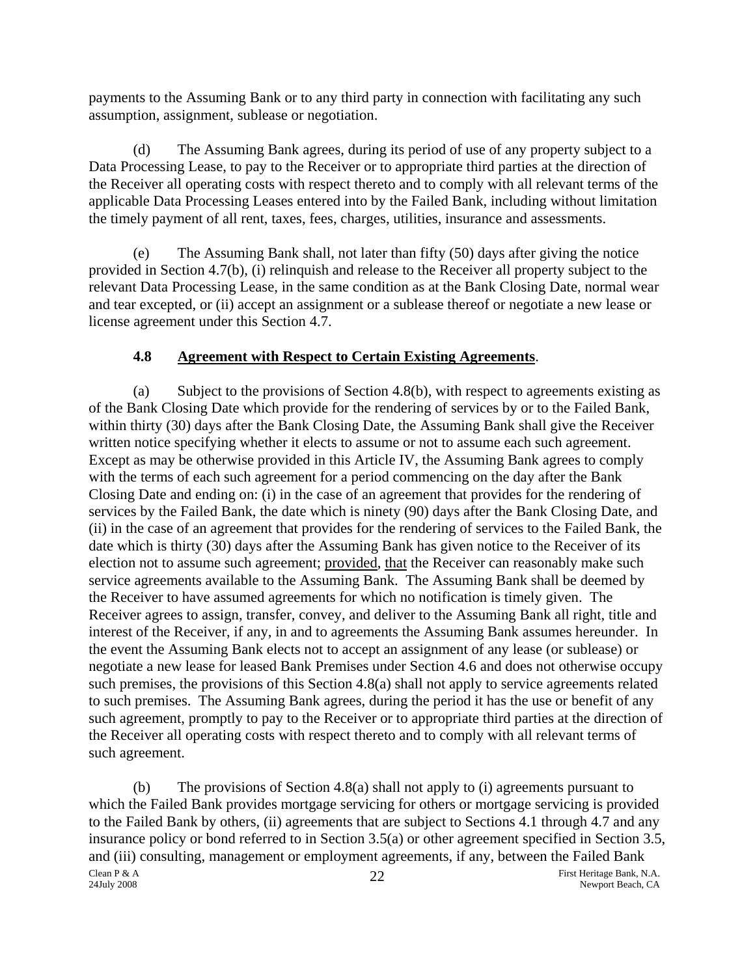<span id="page-25-0"></span>payments to the Assuming Bank or to any third party in connection with facilitating any such assumption, assignment, sublease or negotiation.

(d) The Assuming Bank agrees, during its period of use of any property subject to a Data Processing Lease, to pay to the Receiver or to appropriate third parties at the direction of the Receiver all operating costs with respect thereto and to comply with all relevant terms of the applicable Data Processing Leases entered into by the Failed Bank, including without limitation the timely payment of all rent, taxes, fees, charges, utilities, insurance and assessments.

(e) The Assuming Bank shall, not later than fifty (50) days after giving the notice provided in Section 4.7(b), (i) relinquish and release to the Receiver all property subject to the relevant Data Processing Lease, in the same condition as at the Bank Closing Date, normal wear and tear excepted, or (ii) accept an assignment or a sublease thereof or negotiate a new lease or license agreement under this Section 4.7.

## **4.8 Agreement with Respect to Certain Existing Agreements**.

(a) Subject to the provisions of Section 4.8(b), with respect to agreements existing as of the Bank Closing Date which provide for the rendering of services by or to the Failed Bank, within thirty (30) days after the Bank Closing Date, the Assuming Bank shall give the Receiver written notice specifying whether it elects to assume or not to assume each such agreement. Except as may be otherwise provided in this Article IV, the Assuming Bank agrees to comply with the terms of each such agreement for a period commencing on the day after the Bank Closing Date and ending on: (i) in the case of an agreement that provides for the rendering of services by the Failed Bank, the date which is ninety (90) days after the Bank Closing Date, and (ii) in the case of an agreement that provides for the rendering of services to the Failed Bank, the date which is thirty (30) days after the Assuming Bank has given notice to the Receiver of its election not to assume such agreement; provided, that the Receiver can reasonably make such service agreements available to the Assuming Bank. The Assuming Bank shall be deemed by the Receiver to have assumed agreements for which no notification is timely given. The Receiver agrees to assign, transfer, convey, and deliver to the Assuming Bank all right, title and interest of the Receiver, if any, in and to agreements the Assuming Bank assumes hereunder. In the event the Assuming Bank elects not to accept an assignment of any lease (or sublease) or negotiate a new lease for leased Bank Premises under Section 4.6 and does not otherwise occupy such premises, the provisions of this Section 4.8(a) shall not apply to service agreements related to such premises. The Assuming Bank agrees, during the period it has the use or benefit of any such agreement, promptly to pay to the Receiver or to appropriate third parties at the direction of the Receiver all operating costs with respect thereto and to comply with all relevant terms of such agreement.

(b) The provisions of Section 4.8(a) shall not apply to (i) agreements pursuant to which the Failed Bank provides mortgage servicing for others or mortgage servicing is provided to the Failed Bank by others, (ii) agreements that are subject to Sections 4.1 through 4.7 and any insurance policy or bond referred to in Section 3.5(a) or other agreement specified in Section 3.5, and (iii) consulting, management or employment agreements, if any, between the Failed Bank Clean P & A First Heritage Bank, N.A.  $22$  First Heritage Bank, N.A. 24July 2008 Newport Beach, CA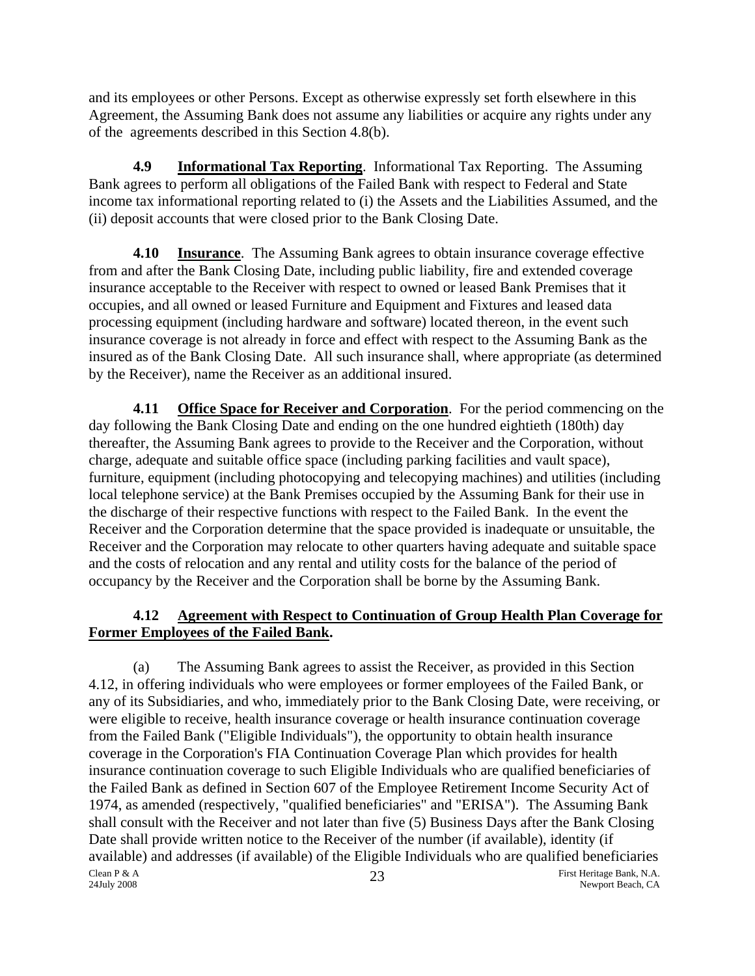<span id="page-26-0"></span>and its employees or other Persons. Except as otherwise expressly set forth elsewhere in this Agreement, the Assuming Bank does not assume any liabilities or acquire any rights under any of the agreements described in this Section 4.8(b).

**4.9 Informational Tax Reporting**. Informational Tax Reporting. The Assuming Bank agrees to perform all obligations of the Failed Bank with respect to Federal and State income tax informational reporting related to (i) the Assets and the Liabilities Assumed, and the (ii) deposit accounts that were closed prior to the Bank Closing Date.

**4.10 Insurance**. The Assuming Bank agrees to obtain insurance coverage effective from and after the Bank Closing Date, including public liability, fire and extended coverage insurance acceptable to the Receiver with respect to owned or leased Bank Premises that it occupies, and all owned or leased Furniture and Equipment and Fixtures and leased data processing equipment (including hardware and software) located thereon, in the event such insurance coverage is not already in force and effect with respect to the Assuming Bank as the insured as of the Bank Closing Date. All such insurance shall, where appropriate (as determined by the Receiver), name the Receiver as an additional insured.

**4.11 Office Space for Receiver and Corporation**. For the period commencing on the day following the Bank Closing Date and ending on the one hundred eightieth (180th) day thereafter, the Assuming Bank agrees to provide to the Receiver and the Corporation, without charge, adequate and suitable office space (including parking facilities and vault space), furniture, equipment (including photocopying and telecopying machines) and utilities (including local telephone service) at the Bank Premises occupied by the Assuming Bank for their use in the discharge of their respective functions with respect to the Failed Bank. In the event the Receiver and the Corporation determine that the space provided is inadequate or unsuitable, the Receiver and the Corporation may relocate to other quarters having adequate and suitable space and the costs of relocation and any rental and utility costs for the balance of the period of occupancy by the Receiver and the Corporation shall be borne by the Assuming Bank.

## **4.12 Agreement with Respect to Continuation of Group Health Plan Coverage for Former Employees of the Failed Bank.**

(a) The Assuming Bank agrees to assist the Receiver, as provided in this Section 4.12, in offering individuals who were employees or former employees of the Failed Bank, or any of its Subsidiaries, and who, immediately prior to the Bank Closing Date, were receiving, or were eligible to receive, health insurance coverage or health insurance continuation coverage from the Failed Bank ("Eligible Individuals"), the opportunity to obtain health insurance coverage in the Corporation's FIA Continuation Coverage Plan which provides for health insurance continuation coverage to such Eligible Individuals who are qualified beneficiaries of the Failed Bank as defined in Section 607 of the Employee Retirement Income Security Act of 1974, as amended (respectively, "qualified beneficiaries" and "ERISA"). The Assuming Bank shall consult with the Receiver and not later than five (5) Business Days after the Bank Closing Date shall provide written notice to the Receiver of the number (if available), identity (if available) and addresses (if available) of the Eligible Individuals who are qualified beneficiaries Clean P & A First Heritage Bank, N.A. 23 23<br>24July 2008 24July 2008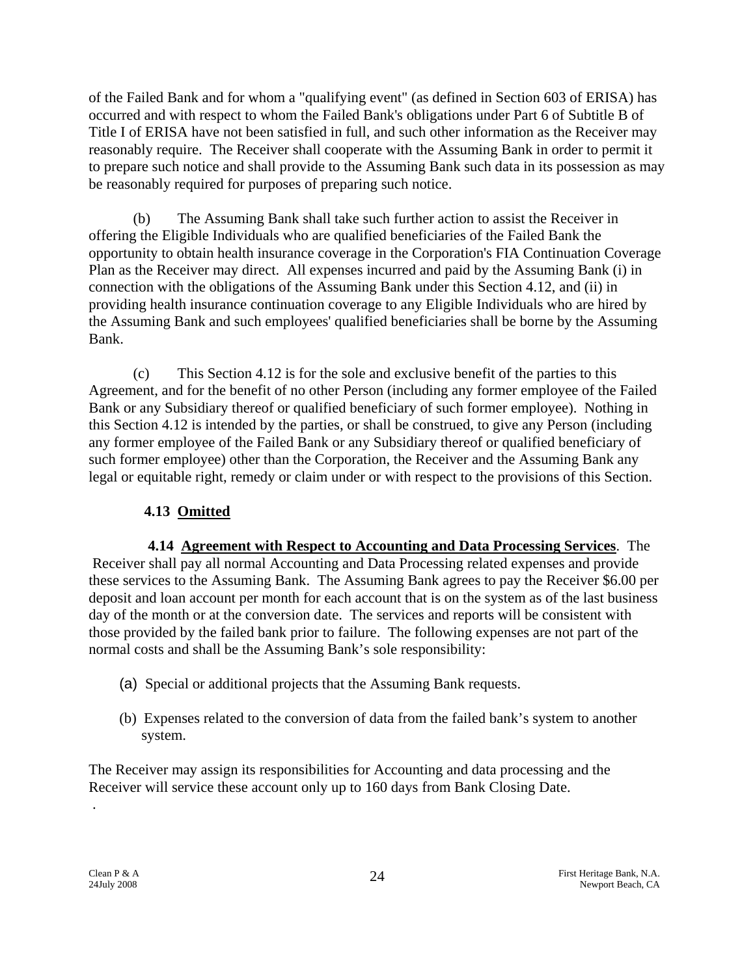<span id="page-27-0"></span>of the Failed Bank and for whom a "qualifying event" (as defined in Section 603 of ERISA) has occurred and with respect to whom the Failed Bank's obligations under Part 6 of Subtitle B of Title I of ERISA have not been satisfied in full, and such other information as the Receiver may reasonably require. The Receiver shall cooperate with the Assuming Bank in order to permit it to prepare such notice and shall provide to the Assuming Bank such data in its possession as may be reasonably required for purposes of preparing such notice.

(b) The Assuming Bank shall take such further action to assist the Receiver in offering the Eligible Individuals who are qualified beneficiaries of the Failed Bank the opportunity to obtain health insurance coverage in the Corporation's FIA Continuation Coverage Plan as the Receiver may direct. All expenses incurred and paid by the Assuming Bank (i) in connection with the obligations of the Assuming Bank under this Section 4.12, and (ii) in providing health insurance continuation coverage to any Eligible Individuals who are hired by the Assuming Bank and such employees' qualified beneficiaries shall be borne by the Assuming Bank.

(c) This Section 4.12 is for the sole and exclusive benefit of the parties to this Agreement, and for the benefit of no other Person (including any former employee of the Failed Bank or any Subsidiary thereof or qualified beneficiary of such former employee). Nothing in this Section 4.12 is intended by the parties, or shall be construed, to give any Person (including any former employee of the Failed Bank or any Subsidiary thereof or qualified beneficiary of such former employee) other than the Corporation, the Receiver and the Assuming Bank any legal or equitable right, remedy or claim under or with respect to the provisions of this Section.

## **4.13 Omitted**

**4.14 Agreement with Respect to Accounting and Data Processing Services**. The Receiver shall pay all normal Accounting and Data Processing related expenses and provide these services to the Assuming Bank. The Assuming Bank agrees to pay the Receiver \$6.00 per deposit and loan account per month for each account that is on the system as of the last business day of the month or at the conversion date. The services and reports will be consistent with those provided by the failed bank prior to failure. The following expenses are not part of the normal costs and shall be the Assuming Bank's sole responsibility:

- (a) Special or additional projects that the Assuming Bank requests.
- (b) Expenses related to the conversion of data from the failed bank's system to another system.

The Receiver may assign its responsibilities for Accounting and data processing and the Receiver will service these account only up to 160 days from Bank Closing Date.

.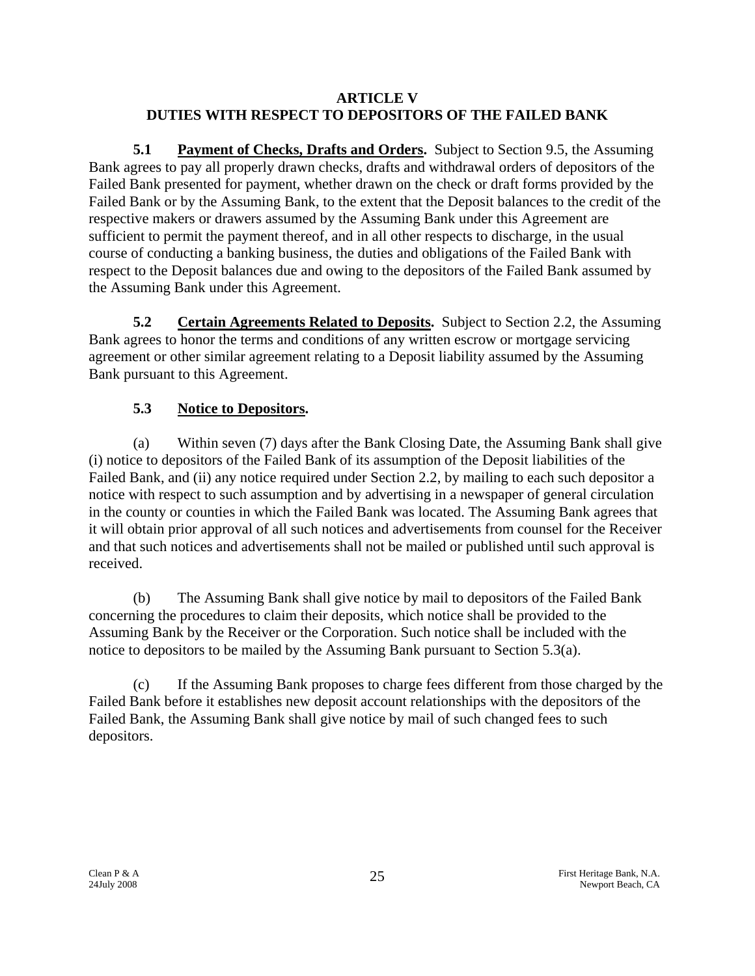### **ARTICLE V DUTIES WITH RESPECT TO DEPOSITORS OF THE FAILED BANK**

<span id="page-28-0"></span>**5.1 Payment of Checks, Drafts and Orders.** Subject to Section 9.5, the Assuming Bank agrees to pay all properly drawn checks, drafts and withdrawal orders of depositors of the Failed Bank presented for payment, whether drawn on the check or draft forms provided by the Failed Bank or by the Assuming Bank, to the extent that the Deposit balances to the credit of the respective makers or drawers assumed by the Assuming Bank under this Agreement are sufficient to permit the payment thereof, and in all other respects to discharge, in the usual course of conducting a banking business, the duties and obligations of the Failed Bank with respect to the Deposit balances due and owing to the depositors of the Failed Bank assumed by the Assuming Bank under this Agreement.

**5.2** Certain Agreements Related to Deposits. Subject to Section 2.2, the Assuming Bank agrees to honor the terms and conditions of any written escrow or mortgage servicing agreement or other similar agreement relating to a Deposit liability assumed by the Assuming Bank pursuant to this Agreement.

## **5.3 Notice to Depositors.**

(a) Within seven (7) days after the Bank Closing Date, the Assuming Bank shall give (i) notice to depositors of the Failed Bank of its assumption of the Deposit liabilities of the Failed Bank, and (ii) any notice required under Section 2.2, by mailing to each such depositor a notice with respect to such assumption and by advertising in a newspaper of general circulation in the county or counties in which the Failed Bank was located. The Assuming Bank agrees that it will obtain prior approval of all such notices and advertisements from counsel for the Receiver and that such notices and advertisements shall not be mailed or published until such approval is received.

(b) The Assuming Bank shall give notice by mail to depositors of the Failed Bank concerning the procedures to claim their deposits, which notice shall be provided to the Assuming Bank by the Receiver or the Corporation. Such notice shall be included with the notice to depositors to be mailed by the Assuming Bank pursuant to Section 5.3(a).

(c) If the Assuming Bank proposes to charge fees different from those charged by the Failed Bank before it establishes new deposit account relationships with the depositors of the Failed Bank, the Assuming Bank shall give notice by mail of such changed fees to such depositors.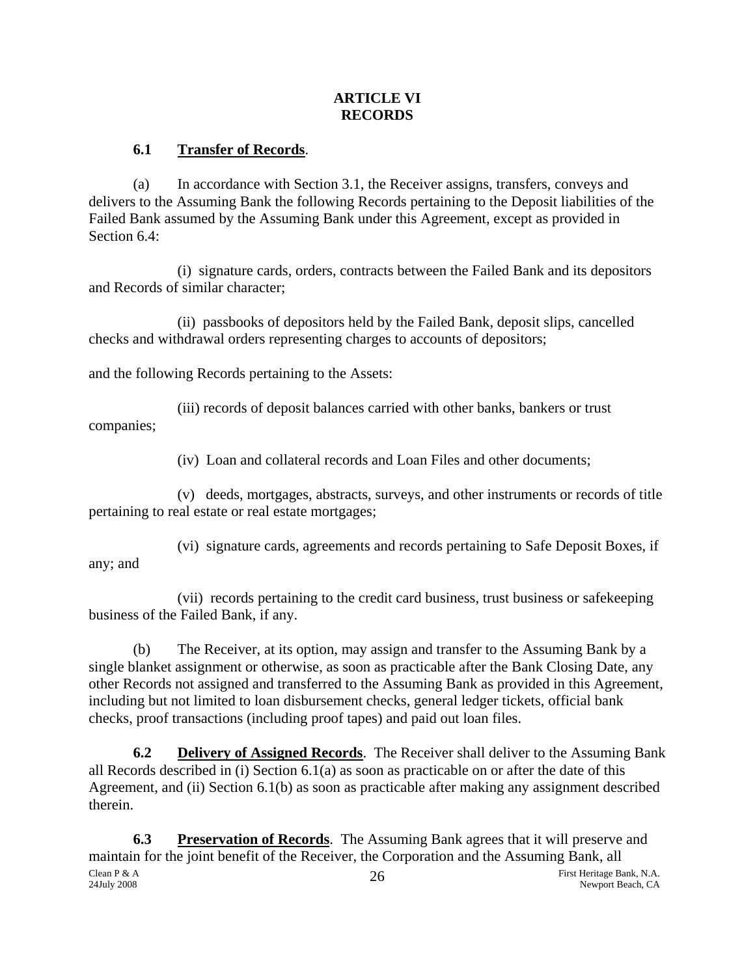### **ARTICLE VI RECORDS**

### <span id="page-29-0"></span>**6.1 Transfer of Records**.

(a) In accordance with Section 3.1, the Receiver assigns, transfers, conveys and delivers to the Assuming Bank the following Records pertaining to the Deposit liabilities of the Failed Bank assumed by the Assuming Bank under this Agreement, except as provided in Section 6.4:

(i) signature cards, orders, contracts between the Failed Bank and its depositors and Records of similar character;

(ii) passbooks of depositors held by the Failed Bank, deposit slips, cancelled checks and withdrawal orders representing charges to accounts of depositors;

and the following Records pertaining to the Assets:

(iii) records of deposit balances carried with other banks, bankers or trust companies;

(iv) Loan and collateral records and Loan Files and other documents;

(v) deeds, mortgages, abstracts, surveys, and other instruments or records of title pertaining to real estate or real estate mortgages;

(vi) signature cards, agreements and records pertaining to Safe Deposit Boxes, if any; and

(vii) records pertaining to the credit card business, trust business or safekeeping business of the Failed Bank, if any.

(b) The Receiver, at its option, may assign and transfer to the Assuming Bank by a single blanket assignment or otherwise, as soon as practicable after the Bank Closing Date, any other Records not assigned and transferred to the Assuming Bank as provided in this Agreement, including but not limited to loan disbursement checks, general ledger tickets, official bank checks, proof transactions (including proof tapes) and paid out loan files.

**6.2 Delivery of Assigned Records**. The Receiver shall deliver to the Assuming Bank all Records described in (i) Section 6.1(a) as soon as practicable on or after the date of this Agreement, and (ii) Section 6.1(b) as soon as practicable after making any assignment described therein.

**6.3 Preservation of Records**. The Assuming Bank agrees that it will preserve and maintain for the joint benefit of the Receiver, the Corporation and the Assuming Bank, all Clean P & A First Heritage Bank, N.A. 24July 2008  $26$  Research Development Beach, CA Research CA Newport Beach, CA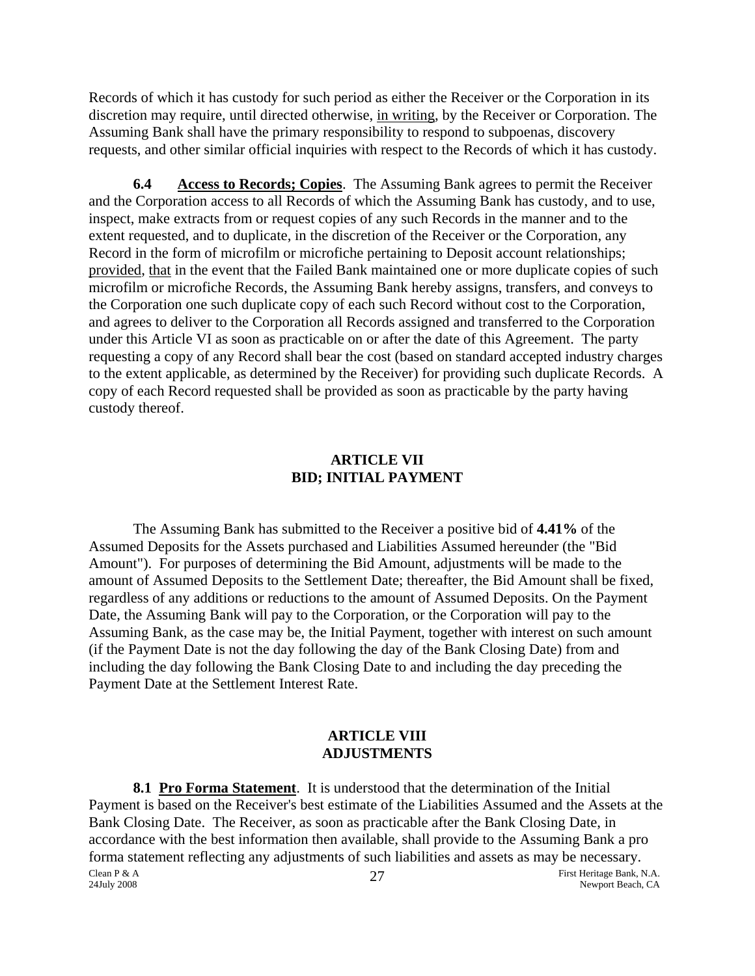<span id="page-30-0"></span>Records of which it has custody for such period as either the Receiver or the Corporation in its discretion may require, until directed otherwise, in writing, by the Receiver or Corporation. The Assuming Bank shall have the primary responsibility to respond to subpoenas, discovery requests, and other similar official inquiries with respect to the Records of which it has custody.

**6.4 Access to Records; Copies**. The Assuming Bank agrees to permit the Receiver and the Corporation access to all Records of which the Assuming Bank has custody, and to use, inspect, make extracts from or request copies of any such Records in the manner and to the extent requested, and to duplicate, in the discretion of the Receiver or the Corporation, any Record in the form of microfilm or microfiche pertaining to Deposit account relationships; provided, that in the event that the Failed Bank maintained one or more duplicate copies of such microfilm or microfiche Records, the Assuming Bank hereby assigns, transfers, and conveys to the Corporation one such duplicate copy of each such Record without cost to the Corporation, and agrees to deliver to the Corporation all Records assigned and transferred to the Corporation under this Article VI as soon as practicable on or after the date of this Agreement. The party requesting a copy of any Record shall bear the cost (based on standard accepted industry charges to the extent applicable, as determined by the Receiver) for providing such duplicate Records. A copy of each Record requested shall be provided as soon as practicable by the party having custody thereof.

#### **ARTICLE VII BID; INITIAL PAYMENT**

The Assuming Bank has submitted to the Receiver a positive bid of **4.41%** of the Assumed Deposits for the Assets purchased and Liabilities Assumed hereunder (the "Bid Amount"). For purposes of determining the Bid Amount, adjustments will be made to the amount of Assumed Deposits to the Settlement Date; thereafter, the Bid Amount shall be fixed, regardless of any additions or reductions to the amount of Assumed Deposits. On the Payment Date, the Assuming Bank will pay to the Corporation, or the Corporation will pay to the Assuming Bank, as the case may be, the Initial Payment, together with interest on such amount (if the Payment Date is not the day following the day of the Bank Closing Date) from and including the day following the Bank Closing Date to and including the day preceding the Payment Date at the Settlement Interest Rate.

#### **ARTICLE VIII ADJUSTMENTS**

**8.1 Pro Forma Statement**. It is understood that the determination of the Initial Payment is based on the Receiver's best estimate of the Liabilities Assumed and the Assets at the Bank Closing Date. The Receiver, as soon as practicable after the Bank Closing Date, in accordance with the best information then available, shall provide to the Assuming Bank a pro forma statement reflecting any adjustments of such liabilities and assets as may be necessary. Clean P & A First Heritage Bank, N.A.  $27$  First Heritage Bank, N.A. 24July 2008 Newport Beach, CA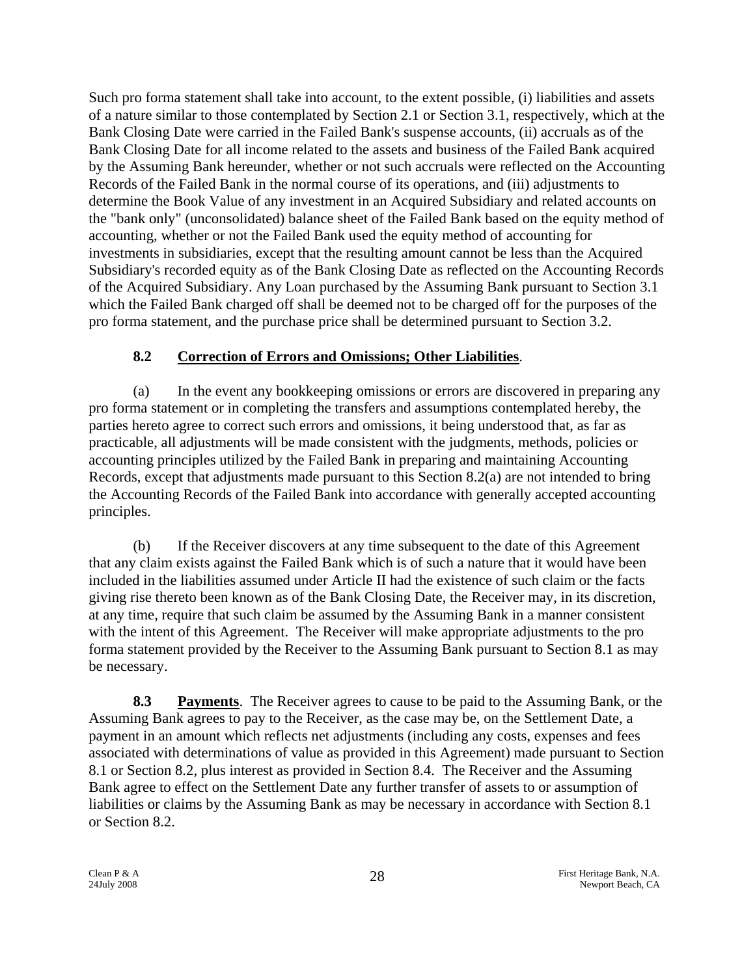<span id="page-31-0"></span>Such pro forma statement shall take into account, to the extent possible, (i) liabilities and assets of a nature similar to those contemplated by Section 2.1 or Section 3.1, respectively, which at the Bank Closing Date were carried in the Failed Bank's suspense accounts, (ii) accruals as of the Bank Closing Date for all income related to the assets and business of the Failed Bank acquired by the Assuming Bank hereunder, whether or not such accruals were reflected on the Accounting Records of the Failed Bank in the normal course of its operations, and (iii) adjustments to determine the Book Value of any investment in an Acquired Subsidiary and related accounts on the "bank only" (unconsolidated) balance sheet of the Failed Bank based on the equity method of accounting, whether or not the Failed Bank used the equity method of accounting for investments in subsidiaries, except that the resulting amount cannot be less than the Acquired Subsidiary's recorded equity as of the Bank Closing Date as reflected on the Accounting Records of the Acquired Subsidiary. Any Loan purchased by the Assuming Bank pursuant to Section 3.1 which the Failed Bank charged off shall be deemed not to be charged off for the purposes of the pro forma statement, and the purchase price shall be determined pursuant to Section 3.2.

### **8.2 Correction of Errors and Omissions; Other Liabilities**.

(a) In the event any bookkeeping omissions or errors are discovered in preparing any pro forma statement or in completing the transfers and assumptions contemplated hereby, the parties hereto agree to correct such errors and omissions, it being understood that, as far as practicable, all adjustments will be made consistent with the judgments, methods, policies or accounting principles utilized by the Failed Bank in preparing and maintaining Accounting Records, except that adjustments made pursuant to this Section 8.2(a) are not intended to bring the Accounting Records of the Failed Bank into accordance with generally accepted accounting principles.

(b) If the Receiver discovers at any time subsequent to the date of this Agreement that any claim exists against the Failed Bank which is of such a nature that it would have been included in the liabilities assumed under Article II had the existence of such claim or the facts giving rise thereto been known as of the Bank Closing Date, the Receiver may, in its discretion, at any time, require that such claim be assumed by the Assuming Bank in a manner consistent with the intent of this Agreement. The Receiver will make appropriate adjustments to the pro forma statement provided by the Receiver to the Assuming Bank pursuant to Section 8.1 as may be necessary.

**8.3 Payments**. The Receiver agrees to cause to be paid to the Assuming Bank, or the Assuming Bank agrees to pay to the Receiver, as the case may be, on the Settlement Date, a payment in an amount which reflects net adjustments (including any costs, expenses and fees associated with determinations of value as provided in this Agreement) made pursuant to Section 8.1 or Section 8.2, plus interest as provided in Section 8.4. The Receiver and the Assuming Bank agree to effect on the Settlement Date any further transfer of assets to or assumption of liabilities or claims by the Assuming Bank as may be necessary in accordance with Section 8.1 or Section 8.2.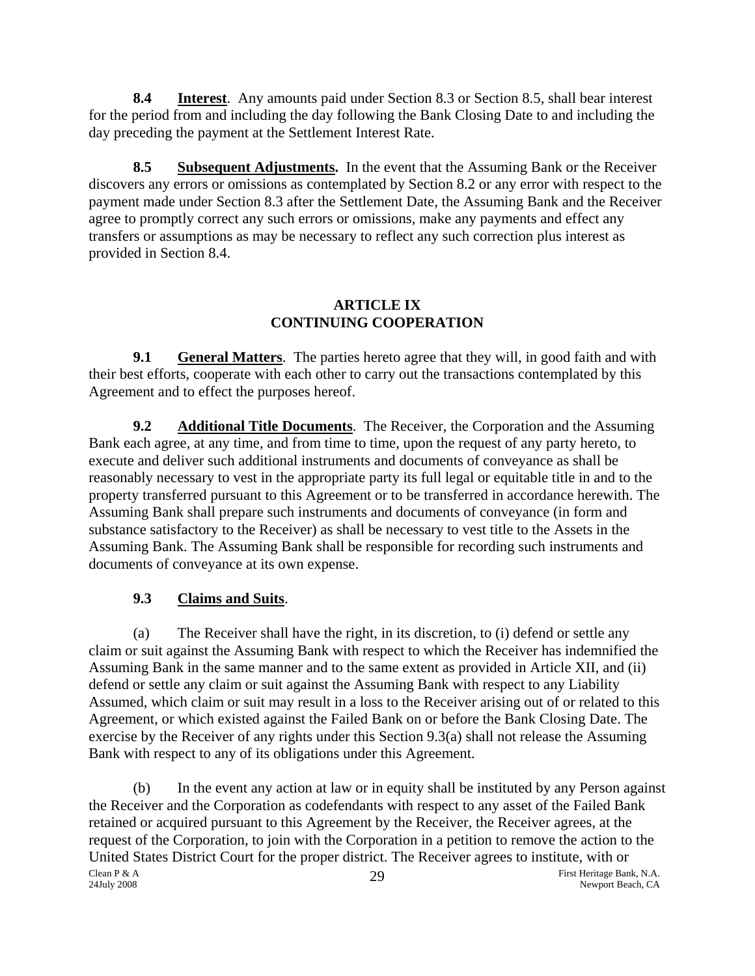<span id="page-32-0"></span>**8.4 Interest**. Any amounts paid under Section 8.3 or Section 8.5, shall bear interest for the period from and including the day following the Bank Closing Date to and including the day preceding the payment at the Settlement Interest Rate.

**8.5 Subsequent Adjustments.** In the event that the Assuming Bank or the Receiver discovers any errors or omissions as contemplated by Section 8.2 or any error with respect to the payment made under Section 8.3 after the Settlement Date, the Assuming Bank and the Receiver agree to promptly correct any such errors or omissions, make any payments and effect any transfers or assumptions as may be necessary to reflect any such correction plus interest as provided in Section 8.4.

### **ARTICLE IX CONTINUING COOPERATION**

**9.1** General Matters. The parties hereto agree that they will, in good faith and with their best efforts, cooperate with each other to carry out the transactions contemplated by this Agreement and to effect the purposes hereof.

**9.2 Additional Title Documents**. The Receiver, the Corporation and the Assuming Bank each agree, at any time, and from time to time, upon the request of any party hereto, to execute and deliver such additional instruments and documents of conveyance as shall be reasonably necessary to vest in the appropriate party its full legal or equitable title in and to the property transferred pursuant to this Agreement or to be transferred in accordance herewith. The Assuming Bank shall prepare such instruments and documents of conveyance (in form and substance satisfactory to the Receiver) as shall be necessary to vest title to the Assets in the Assuming Bank. The Assuming Bank shall be responsible for recording such instruments and documents of conveyance at its own expense.

## **9.3 Claims and Suits**.

(a) The Receiver shall have the right, in its discretion, to (i) defend or settle any claim or suit against the Assuming Bank with respect to which the Receiver has indemnified the Assuming Bank in the same manner and to the same extent as provided in Article XII, and (ii) defend or settle any claim or suit against the Assuming Bank with respect to any Liability Assumed, which claim or suit may result in a loss to the Receiver arising out of or related to this Agreement, or which existed against the Failed Bank on or before the Bank Closing Date. The exercise by the Receiver of any rights under this Section 9.3(a) shall not release the Assuming Bank with respect to any of its obligations under this Agreement.

(b) In the event any action at law or in equity shall be instituted by any Person against the Receiver and the Corporation as codefendants with respect to any asset of the Failed Bank retained or acquired pursuant to this Agreement by the Receiver, the Receiver agrees, at the request of the Corporation, to join with the Corporation in a petition to remove the action to the United States District Court for the proper district. The Receiver agrees to institute, with or Clean P & A First Heritage Bank, N.A. 29 29 29 First Heritage Bank, N.A. 24July 2008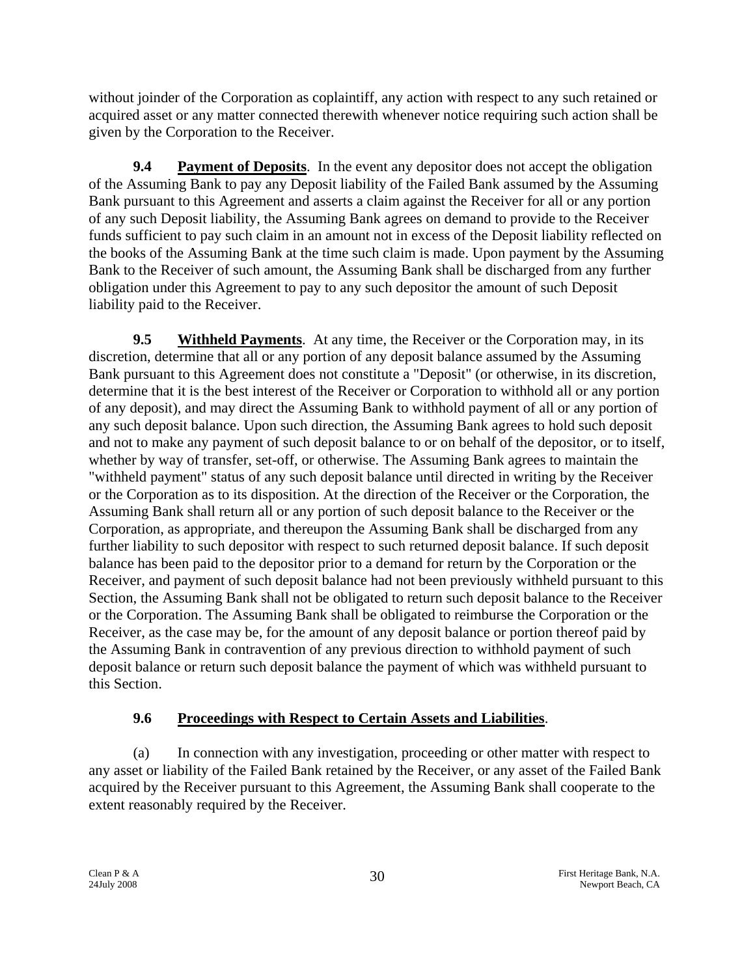<span id="page-33-0"></span>without joinder of the Corporation as coplaintiff, any action with respect to any such retained or acquired asset or any matter connected therewith whenever notice requiring such action shall be given by the Corporation to the Receiver.

**9.4** Payment of Deposits. In the event any depositor does not accept the obligation of the Assuming Bank to pay any Deposit liability of the Failed Bank assumed by the Assuming Bank pursuant to this Agreement and asserts a claim against the Receiver for all or any portion of any such Deposit liability, the Assuming Bank agrees on demand to provide to the Receiver funds sufficient to pay such claim in an amount not in excess of the Deposit liability reflected on the books of the Assuming Bank at the time such claim is made. Upon payment by the Assuming Bank to the Receiver of such amount, the Assuming Bank shall be discharged from any further obligation under this Agreement to pay to any such depositor the amount of such Deposit liability paid to the Receiver.

**9.5 Withheld Payments**. At any time, the Receiver or the Corporation may, in its discretion, determine that all or any portion of any deposit balance assumed by the Assuming Bank pursuant to this Agreement does not constitute a "Deposit" (or otherwise, in its discretion, determine that it is the best interest of the Receiver or Corporation to withhold all or any portion of any deposit), and may direct the Assuming Bank to withhold payment of all or any portion of any such deposit balance. Upon such direction, the Assuming Bank agrees to hold such deposit and not to make any payment of such deposit balance to or on behalf of the depositor, or to itself, whether by way of transfer, set-off, or otherwise. The Assuming Bank agrees to maintain the "withheld payment" status of any such deposit balance until directed in writing by the Receiver or the Corporation as to its disposition. At the direction of the Receiver or the Corporation, the Assuming Bank shall return all or any portion of such deposit balance to the Receiver or the Corporation, as appropriate, and thereupon the Assuming Bank shall be discharged from any further liability to such depositor with respect to such returned deposit balance. If such deposit balance has been paid to the depositor prior to a demand for return by the Corporation or the Receiver, and payment of such deposit balance had not been previously withheld pursuant to this Section, the Assuming Bank shall not be obligated to return such deposit balance to the Receiver or the Corporation. The Assuming Bank shall be obligated to reimburse the Corporation or the Receiver, as the case may be, for the amount of any deposit balance or portion thereof paid by the Assuming Bank in contravention of any previous direction to withhold payment of such deposit balance or return such deposit balance the payment of which was withheld pursuant to this Section.

## **9.6 Proceedings with Respect to Certain Assets and Liabilities**.

(a) In connection with any investigation, proceeding or other matter with respect to any asset or liability of the Failed Bank retained by the Receiver, or any asset of the Failed Bank acquired by the Receiver pursuant to this Agreement, the Assuming Bank shall cooperate to the extent reasonably required by the Receiver.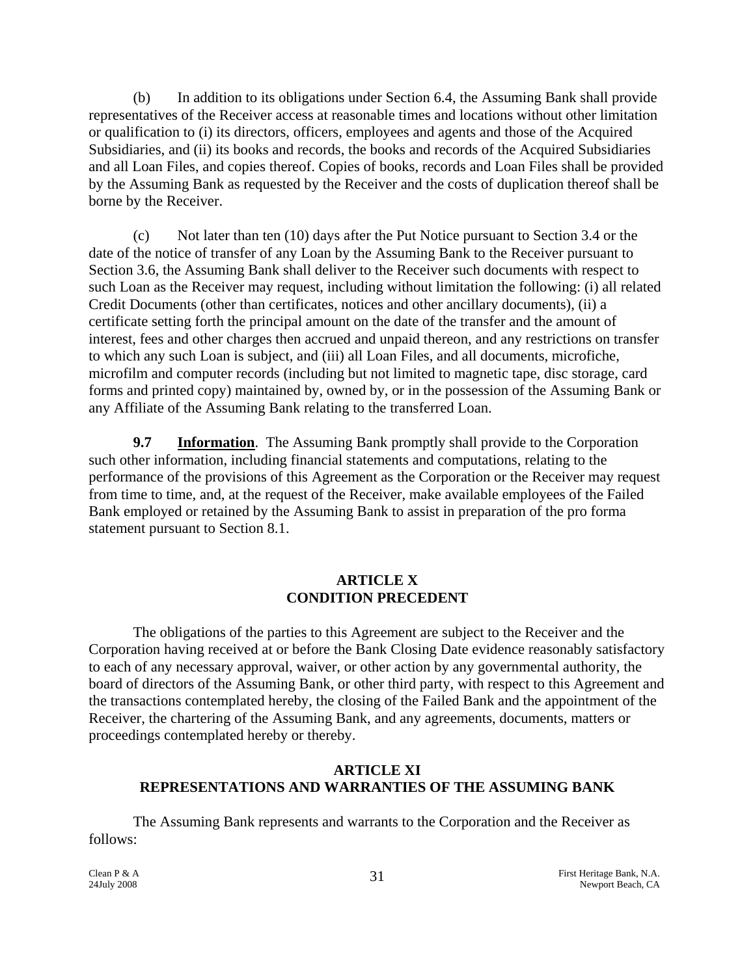<span id="page-34-0"></span>(b) In addition to its obligations under Section 6.4, the Assuming Bank shall provide representatives of the Receiver access at reasonable times and locations without other limitation or qualification to (i) its directors, officers, employees and agents and those of the Acquired Subsidiaries, and (ii) its books and records, the books and records of the Acquired Subsidiaries and all Loan Files, and copies thereof. Copies of books, records and Loan Files shall be provided by the Assuming Bank as requested by the Receiver and the costs of duplication thereof shall be borne by the Receiver.

(c) Not later than ten (10) days after the Put Notice pursuant to Section 3.4 or the date of the notice of transfer of any Loan by the Assuming Bank to the Receiver pursuant to Section 3.6, the Assuming Bank shall deliver to the Receiver such documents with respect to such Loan as the Receiver may request, including without limitation the following: (i) all related Credit Documents (other than certificates, notices and other ancillary documents), (ii) a certificate setting forth the principal amount on the date of the transfer and the amount of interest, fees and other charges then accrued and unpaid thereon, and any restrictions on transfer to which any such Loan is subject, and (iii) all Loan Files, and all documents, microfiche, microfilm and computer records (including but not limited to magnetic tape, disc storage, card forms and printed copy) maintained by, owned by, or in the possession of the Assuming Bank or any Affiliate of the Assuming Bank relating to the transferred Loan.

**9.7** Information. The Assuming Bank promptly shall provide to the Corporation such other information, including financial statements and computations, relating to the performance of the provisions of this Agreement as the Corporation or the Receiver may request from time to time, and, at the request of the Receiver, make available employees of the Failed Bank employed or retained by the Assuming Bank to assist in preparation of the pro forma statement pursuant to Section 8.1.

#### **ARTICLE X CONDITION PRECEDENT**

The obligations of the parties to this Agreement are subject to the Receiver and the Corporation having received at or before the Bank Closing Date evidence reasonably satisfactory to each of any necessary approval, waiver, or other action by any governmental authority, the board of directors of the Assuming Bank, or other third party, with respect to this Agreement and the transactions contemplated hereby, the closing of the Failed Bank and the appointment of the Receiver, the chartering of the Assuming Bank, and any agreements, documents, matters or proceedings contemplated hereby or thereby.

#### **ARTICLE XI REPRESENTATIONS AND WARRANTIES OF THE ASSUMING BANK**

The Assuming Bank represents and warrants to the Corporation and the Receiver as follows: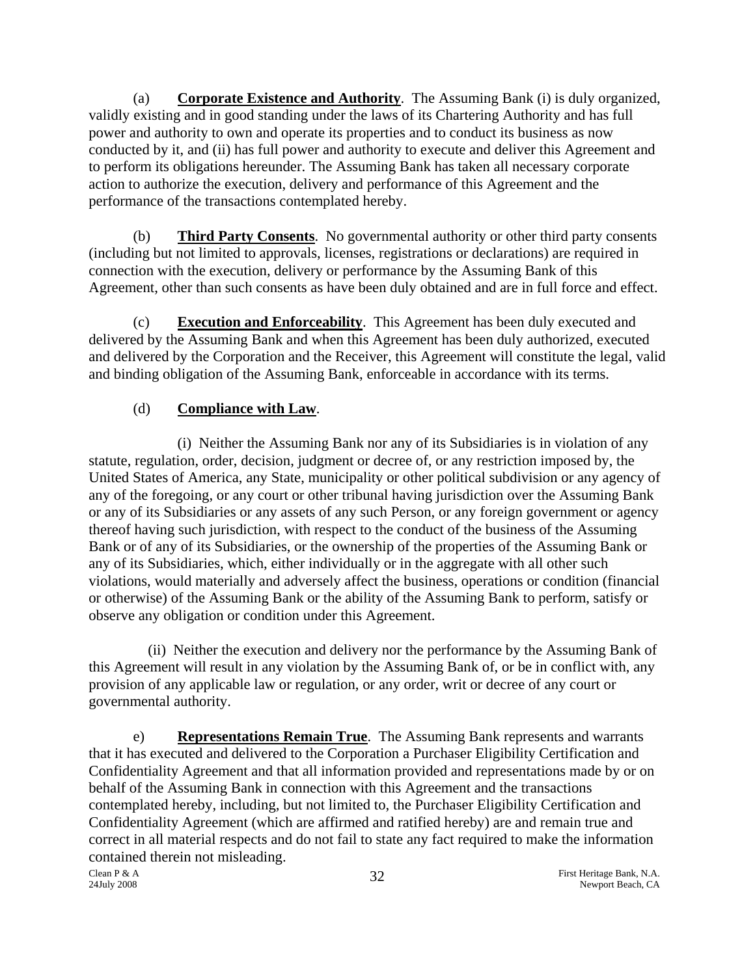(a) **Corporate Existence and Authority**. The Assuming Bank (i) is duly organized, validly existing and in good standing under the laws of its Chartering Authority and has full power and authority to own and operate its properties and to conduct its business as now conducted by it, and (ii) has full power and authority to execute and deliver this Agreement and to perform its obligations hereunder. The Assuming Bank has taken all necessary corporate action to authorize the execution, delivery and performance of this Agreement and the performance of the transactions contemplated hereby.

(b) **Third Party Consents**. No governmental authority or other third party consents (including but not limited to approvals, licenses, registrations or declarations) are required in connection with the execution, delivery or performance by the Assuming Bank of this Agreement, other than such consents as have been duly obtained and are in full force and effect.

(c) **Execution and Enforceability**. This Agreement has been duly executed and delivered by the Assuming Bank and when this Agreement has been duly authorized, executed and delivered by the Corporation and the Receiver, this Agreement will constitute the legal, valid and binding obligation of the Assuming Bank, enforceable in accordance with its terms.

## (d) **Compliance with Law**.

(i) Neither the Assuming Bank nor any of its Subsidiaries is in violation of any statute, regulation, order, decision, judgment or decree of, or any restriction imposed by, the United States of America, any State, municipality or other political subdivision or any agency of any of the foregoing, or any court or other tribunal having jurisdiction over the Assuming Bank or any of its Subsidiaries or any assets of any such Person, or any foreign government or agency thereof having such jurisdiction, with respect to the conduct of the business of the Assuming Bank or of any of its Subsidiaries, or the ownership of the properties of the Assuming Bank or any of its Subsidiaries, which, either individually or in the aggregate with all other such violations, would materially and adversely affect the business, operations or condition (financial or otherwise) of the Assuming Bank or the ability of the Assuming Bank to perform, satisfy or observe any obligation or condition under this Agreement.

(ii) Neither the execution and delivery nor the performance by the Assuming Bank of this Agreement will result in any violation by the Assuming Bank of, or be in conflict with, any provision of any applicable law or regulation, or any order, writ or decree of any court or governmental authority.

e) **Representations Remain True**. The Assuming Bank represents and warrants that it has executed and delivered to the Corporation a Purchaser Eligibility Certification and Confidentiality Agreement and that all information provided and representations made by or on behalf of the Assuming Bank in connection with this Agreement and the transactions contemplated hereby, including, but not limited to, the Purchaser Eligibility Certification and Confidentiality Agreement (which are affirmed and ratified hereby) are and remain true and correct in all material respects and do not fail to state any fact required to make the information contained therein not misleading.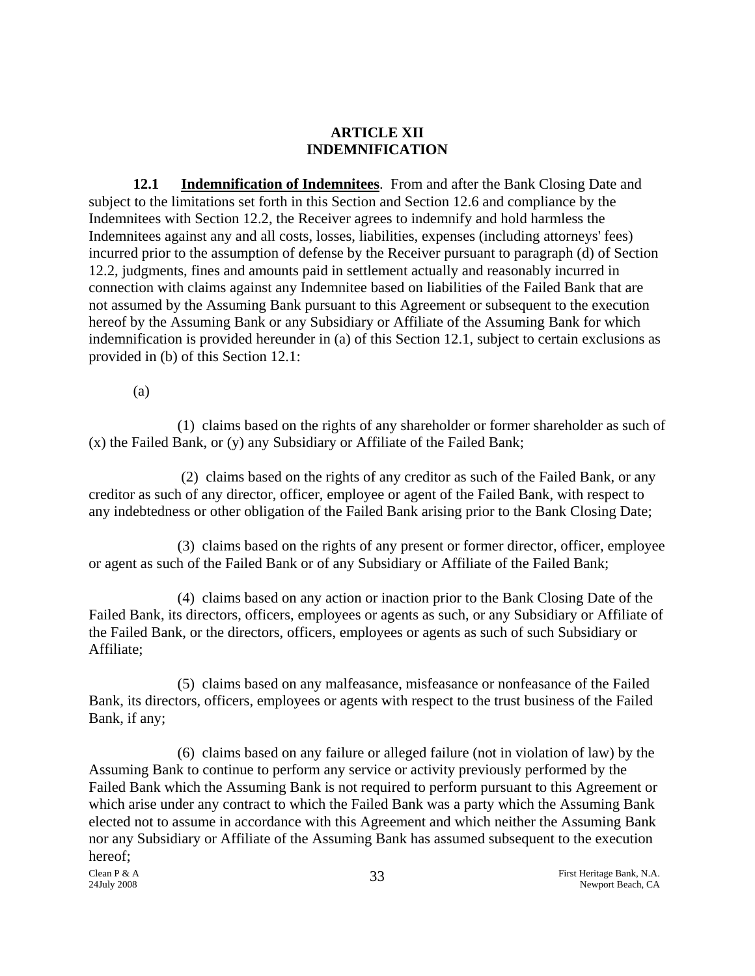#### **ARTICLE XII INDEMNIFICATION**

<span id="page-36-0"></span>**12.1 Indemnification of Indemnitees**. From and after the Bank Closing Date and subject to the limitations set forth in this Section and Section 12.6 and compliance by the Indemnitees with Section 12.2, the Receiver agrees to indemnify and hold harmless the Indemnitees against any and all costs, losses, liabilities, expenses (including attorneys' fees) incurred prior to the assumption of defense by the Receiver pursuant to paragraph (d) of Section 12.2, judgments, fines and amounts paid in settlement actually and reasonably incurred in connection with claims against any Indemnitee based on liabilities of the Failed Bank that are not assumed by the Assuming Bank pursuant to this Agreement or subsequent to the execution hereof by the Assuming Bank or any Subsidiary or Affiliate of the Assuming Bank for which indemnification is provided hereunder in (a) of this Section 12.1, subject to certain exclusions as provided in (b) of this Section 12.1:

(a)

(1) claims based on the rights of any shareholder or former shareholder as such of (x) the Failed Bank, or (y) any Subsidiary or Affiliate of the Failed Bank;

(2) claims based on the rights of any creditor as such of the Failed Bank, or any creditor as such of any director, officer, employee or agent of the Failed Bank, with respect to any indebtedness or other obligation of the Failed Bank arising prior to the Bank Closing Date;

(3) claims based on the rights of any present or former director, officer, employee or agent as such of the Failed Bank or of any Subsidiary or Affiliate of the Failed Bank;

(4) claims based on any action or inaction prior to the Bank Closing Date of the Failed Bank, its directors, officers, employees or agents as such, or any Subsidiary or Affiliate of the Failed Bank, or the directors, officers, employees or agents as such of such Subsidiary or Affiliate;

(5) claims based on any malfeasance, misfeasance or nonfeasance of the Failed Bank, its directors, officers, employees or agents with respect to the trust business of the Failed Bank, if any;

(6) claims based on any failure or alleged failure (not in violation of law) by the Assuming Bank to continue to perform any service or activity previously performed by the Failed Bank which the Assuming Bank is not required to perform pursuant to this Agreement or which arise under any contract to which the Failed Bank was a party which the Assuming Bank elected not to assume in accordance with this Agreement and which neither the Assuming Bank nor any Subsidiary or Affiliate of the Assuming Bank has assumed subsequent to the execution hereof;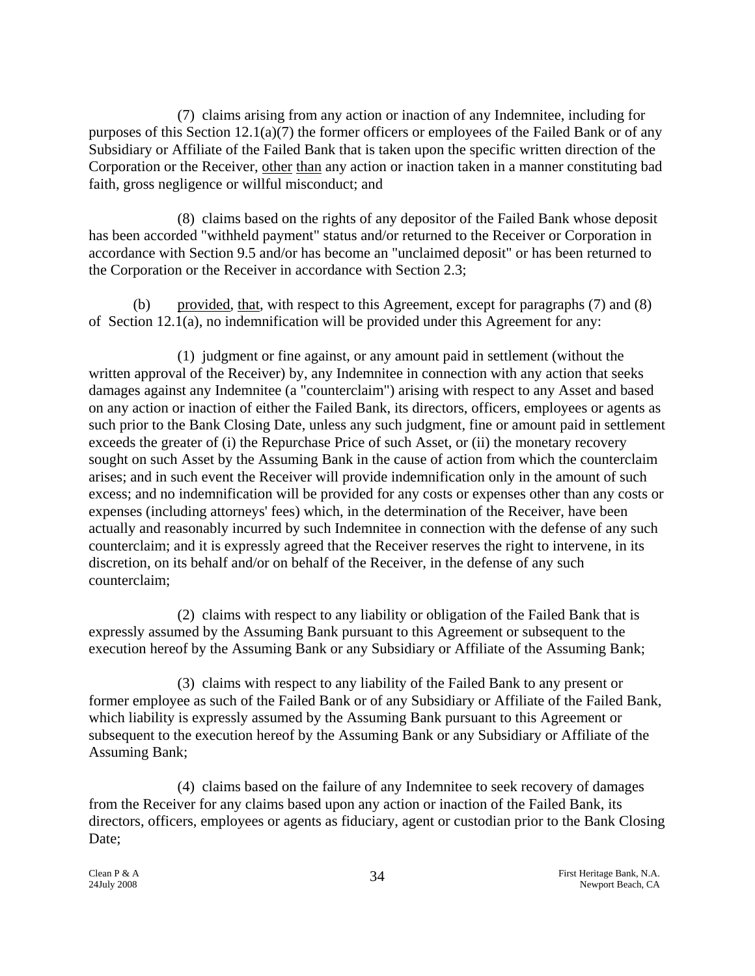(7) claims arising from any action or inaction of any Indemnitee, including for purposes of this Section 12.1(a)(7) the former officers or employees of the Failed Bank or of any Subsidiary or Affiliate of the Failed Bank that is taken upon the specific written direction of the Corporation or the Receiver, other than any action or inaction taken in a manner constituting bad faith, gross negligence or willful misconduct; and

(8) claims based on the rights of any depositor of the Failed Bank whose deposit has been accorded "withheld payment" status and/or returned to the Receiver or Corporation in accordance with Section 9.5 and/or has become an "unclaimed deposit" or has been returned to the Corporation or the Receiver in accordance with Section 2.3;

(b) provided, that, with respect to this Agreement, except for paragraphs (7) and (8) of Section 12.1(a), no indemnification will be provided under this Agreement for any:

(1) judgment or fine against, or any amount paid in settlement (without the written approval of the Receiver) by, any Indemnitee in connection with any action that seeks damages against any Indemnitee (a "counterclaim") arising with respect to any Asset and based on any action or inaction of either the Failed Bank, its directors, officers, employees or agents as such prior to the Bank Closing Date, unless any such judgment, fine or amount paid in settlement exceeds the greater of (i) the Repurchase Price of such Asset, or (ii) the monetary recovery sought on such Asset by the Assuming Bank in the cause of action from which the counterclaim arises; and in such event the Receiver will provide indemnification only in the amount of such excess; and no indemnification will be provided for any costs or expenses other than any costs or expenses (including attorneys' fees) which, in the determination of the Receiver, have been actually and reasonably incurred by such Indemnitee in connection with the defense of any such counterclaim; and it is expressly agreed that the Receiver reserves the right to intervene, in its discretion, on its behalf and/or on behalf of the Receiver, in the defense of any such counterclaim;

(2) claims with respect to any liability or obligation of the Failed Bank that is expressly assumed by the Assuming Bank pursuant to this Agreement or subsequent to the execution hereof by the Assuming Bank or any Subsidiary or Affiliate of the Assuming Bank;

(3) claims with respect to any liability of the Failed Bank to any present or former employee as such of the Failed Bank or of any Subsidiary or Affiliate of the Failed Bank, which liability is expressly assumed by the Assuming Bank pursuant to this Agreement or subsequent to the execution hereof by the Assuming Bank or any Subsidiary or Affiliate of the Assuming Bank;

(4) claims based on the failure of any Indemnitee to seek recovery of damages from the Receiver for any claims based upon any action or inaction of the Failed Bank, its directors, officers, employees or agents as fiduciary, agent or custodian prior to the Bank Closing Date: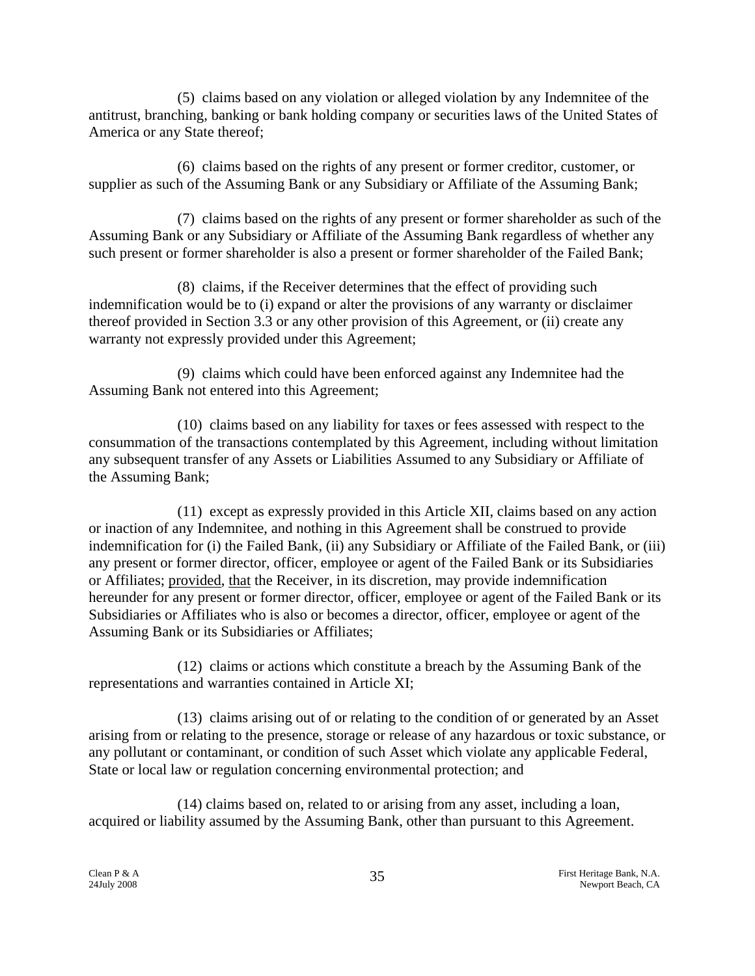(5) claims based on any violation or alleged violation by any Indemnitee of the antitrust, branching, banking or bank holding company or securities laws of the United States of America or any State thereof;

(6) claims based on the rights of any present or former creditor, customer, or supplier as such of the Assuming Bank or any Subsidiary or Affiliate of the Assuming Bank;

(7) claims based on the rights of any present or former shareholder as such of the Assuming Bank or any Subsidiary or Affiliate of the Assuming Bank regardless of whether any such present or former shareholder is also a present or former shareholder of the Failed Bank;

(8) claims, if the Receiver determines that the effect of providing such indemnification would be to (i) expand or alter the provisions of any warranty or disclaimer thereof provided in Section 3.3 or any other provision of this Agreement, or (ii) create any warranty not expressly provided under this Agreement;

(9) claims which could have been enforced against any Indemnitee had the Assuming Bank not entered into this Agreement;

(10) claims based on any liability for taxes or fees assessed with respect to the consummation of the transactions contemplated by this Agreement, including without limitation any subsequent transfer of any Assets or Liabilities Assumed to any Subsidiary or Affiliate of the Assuming Bank;

(11) except as expressly provided in this Article XII, claims based on any action or inaction of any Indemnitee, and nothing in this Agreement shall be construed to provide indemnification for (i) the Failed Bank, (ii) any Subsidiary or Affiliate of the Failed Bank, or (iii) any present or former director, officer, employee or agent of the Failed Bank or its Subsidiaries or Affiliates; provided, that the Receiver, in its discretion, may provide indemnification hereunder for any present or former director, officer, employee or agent of the Failed Bank or its Subsidiaries or Affiliates who is also or becomes a director, officer, employee or agent of the Assuming Bank or its Subsidiaries or Affiliates;

(12) claims or actions which constitute a breach by the Assuming Bank of the representations and warranties contained in Article XI;

(13) claims arising out of or relating to the condition of or generated by an Asset arising from or relating to the presence, storage or release of any hazardous or toxic substance, or any pollutant or contaminant, or condition of such Asset which violate any applicable Federal, State or local law or regulation concerning environmental protection; and

(14) claims based on, related to or arising from any asset, including a loan, acquired or liability assumed by the Assuming Bank, other than pursuant to this Agreement.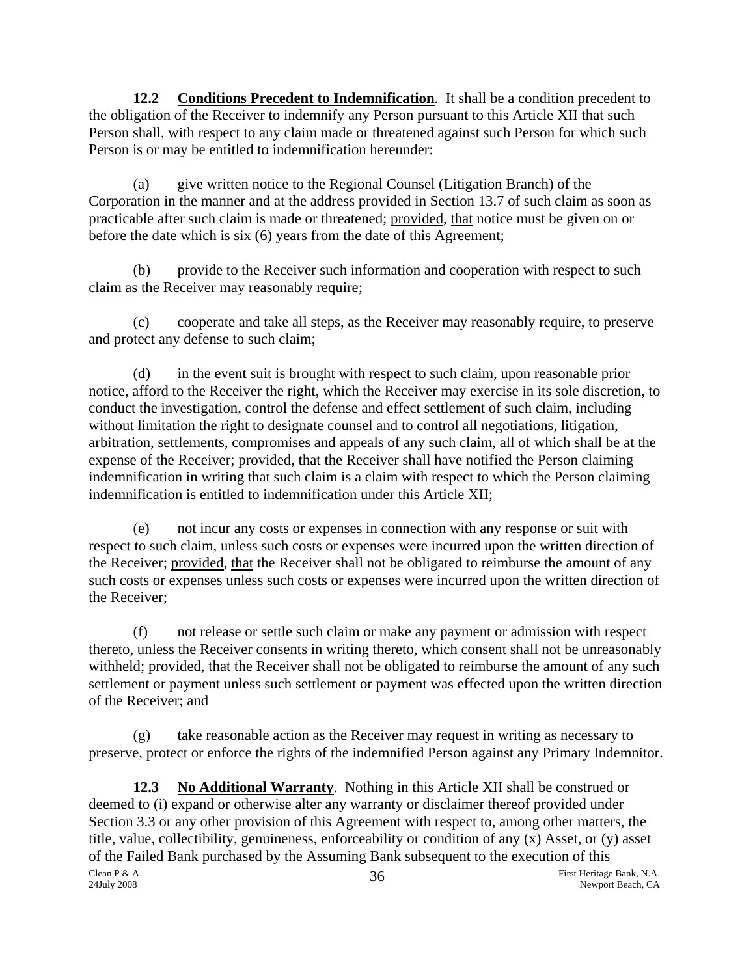<span id="page-39-0"></span> **12.2 Conditions Precedent to Indemnification**. It shall be a condition precedent to the obligation of the Receiver to indemnify any Person pursuant to this Article XII that such Person shall, with respect to any claim made or threatened against such Person for which such Person is or may be entitled to indemnification hereunder:

(a) give written notice to the Regional Counsel (Litigation Branch) of the Corporation in the manner and at the address provided in Section 13.7 of such claim as soon as practicable after such claim is made or threatened; provided, that notice must be given on or before the date which is six (6) years from the date of this Agreement;

(b) provide to the Receiver such information and cooperation with respect to such claim as the Receiver may reasonably require;

(c) cooperate and take all steps, as the Receiver may reasonably require, to preserve and protect any defense to such claim;

(d) in the event suit is brought with respect to such claim, upon reasonable prior notice, afford to the Receiver the right, which the Receiver may exercise in its sole discretion, to conduct the investigation, control the defense and effect settlement of such claim, including without limitation the right to designate counsel and to control all negotiations, litigation, arbitration, settlements, compromises and appeals of any such claim, all of which shall be at the expense of the Receiver; provided, that the Receiver shall have notified the Person claiming indemnification in writing that such claim is a claim with respect to which the Person claiming indemnification is entitled to indemnification under this Article XII;

(e) not incur any costs or expenses in connection with any response or suit with respect to such claim, unless such costs or expenses were incurred upon the written direction of the Receiver; provided, that the Receiver shall not be obligated to reimburse the amount of any such costs or expenses unless such costs or expenses were incurred upon the written direction of the Receiver;

(f) not release or settle such claim or make any payment or admission with respect thereto, unless the Receiver consents in writing thereto, which consent shall not be unreasonably withheld; provided, that the Receiver shall not be obligated to reimburse the amount of any such settlement or payment unless such settlement or payment was effected upon the written direction of the Receiver; and

(g) take reasonable action as the Receiver may request in writing as necessary to preserve, protect or enforce the rights of the indemnified Person against any Primary Indemnitor.

**12.3 No Additional Warranty**. Nothing in this Article XII shall be construed or deemed to (i) expand or otherwise alter any warranty or disclaimer thereof provided under Section 3.3 or any other provision of this Agreement with respect to, among other matters, the title, value, collectibility, genuineness, enforceability or condition of any (x) Asset, or (y) asset of the Failed Bank purchased by the Assuming Bank subsequent to the execution of this Clean P & A First Heritage Bank, N.A.  $\overline{36}$   $\overline{36}$   $\overline{36}$   $\overline{36}$   $\overline{36}$   $\overline{36}$   $\overline{36}$   $\overline{36}$   $\overline{36}$   $\overline{36}$   $\overline{36}$   $\overline{36}$   $\overline{36}$   $\overline{36}$   $\overline{36}$   $\overline{36}$   $\overline{36}$   $\overline{36}$   $\over$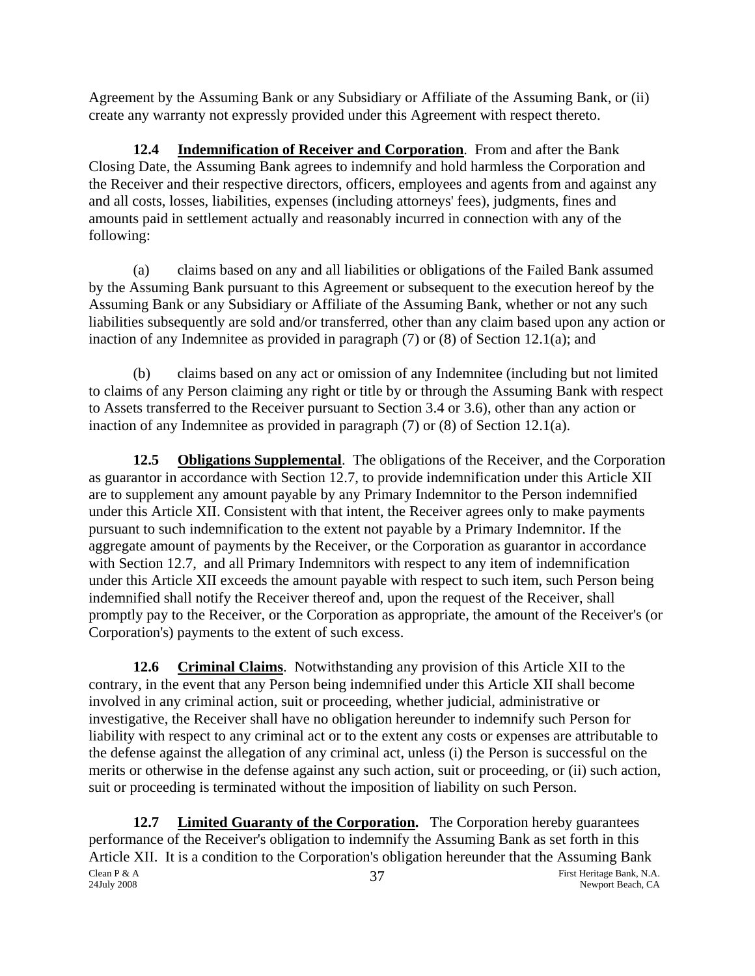<span id="page-40-0"></span>Agreement by the Assuming Bank or any Subsidiary or Affiliate of the Assuming Bank, or (ii) create any warranty not expressly provided under this Agreement with respect thereto.

**12.4 Indemnification of Receiver and Corporation**. From and after the Bank Closing Date, the Assuming Bank agrees to indemnify and hold harmless the Corporation and the Receiver and their respective directors, officers, employees and agents from and against any and all costs, losses, liabilities, expenses (including attorneys' fees), judgments, fines and amounts paid in settlement actually and reasonably incurred in connection with any of the following:

(a) claims based on any and all liabilities or obligations of the Failed Bank assumed by the Assuming Bank pursuant to this Agreement or subsequent to the execution hereof by the Assuming Bank or any Subsidiary or Affiliate of the Assuming Bank, whether or not any such liabilities subsequently are sold and/or transferred, other than any claim based upon any action or inaction of any Indemnitee as provided in paragraph (7) or (8) of Section 12.1(a); and

(b) claims based on any act or omission of any Indemnitee (including but not limited to claims of any Person claiming any right or title by or through the Assuming Bank with respect to Assets transferred to the Receiver pursuant to Section 3.4 or 3.6), other than any action or inaction of any Indemnitee as provided in paragraph (7) or (8) of Section 12.1(a).

**12.5 Obligations Supplemental**. The obligations of the Receiver, and the Corporation as guarantor in accordance with Section 12.7, to provide indemnification under this Article XII are to supplement any amount payable by any Primary Indemnitor to the Person indemnified under this Article XII. Consistent with that intent, the Receiver agrees only to make payments pursuant to such indemnification to the extent not payable by a Primary Indemnitor. If the aggregate amount of payments by the Receiver, or the Corporation as guarantor in accordance with Section 12.7, and all Primary Indemnitors with respect to any item of indemnification under this Article XII exceeds the amount payable with respect to such item, such Person being indemnified shall notify the Receiver thereof and, upon the request of the Receiver, shall promptly pay to the Receiver, or the Corporation as appropriate, the amount of the Receiver's (or Corporation's) payments to the extent of such excess.

**12.6 Criminal Claims**. Notwithstanding any provision of this Article XII to the contrary, in the event that any Person being indemnified under this Article XII shall become involved in any criminal action, suit or proceeding, whether judicial, administrative or investigative, the Receiver shall have no obligation hereunder to indemnify such Person for liability with respect to any criminal act or to the extent any costs or expenses are attributable to the defense against the allegation of any criminal act, unless (i) the Person is successful on the merits or otherwise in the defense against any such action, suit or proceeding, or (ii) such action, suit or proceeding is terminated without the imposition of liability on such Person.

**12.7 Limited Guaranty of the Corporation.** The Corporation hereby guarantees performance of the Receiver's obligation to indemnify the Assuming Bank as set forth in this Article XII. It is a condition to the Corporation's obligation hereunder that the Assuming Bank Clean P & A First Heritage Bank, N.A. 37 24July 2008 Published and Sample Associates and Sample Associates and S<br>24July 2008 24July 2008 24July 2008 25 24July 2008 25 25 26 27 27 28 29 29 2012 2012 2012 2013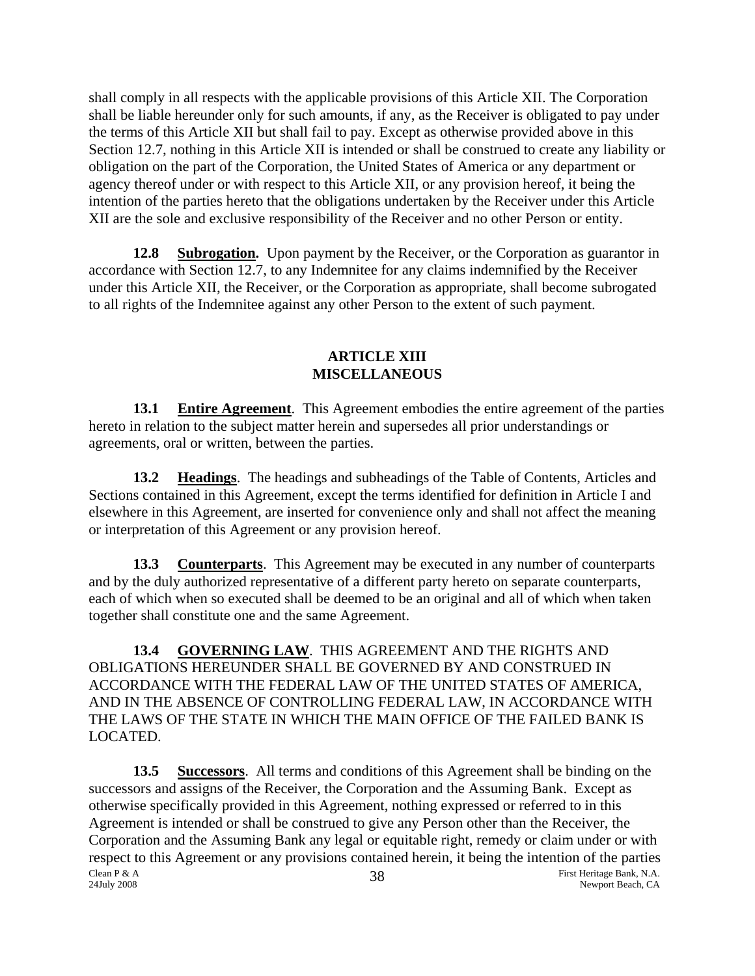<span id="page-41-0"></span>shall comply in all respects with the applicable provisions of this Article XII. The Corporation shall be liable hereunder only for such amounts, if any, as the Receiver is obligated to pay under the terms of this Article XII but shall fail to pay. Except as otherwise provided above in this Section 12.7, nothing in this Article XII is intended or shall be construed to create any liability or obligation on the part of the Corporation, the United States of America or any department or agency thereof under or with respect to this Article XII, or any provision hereof, it being the intention of the parties hereto that the obligations undertaken by the Receiver under this Article XII are the sole and exclusive responsibility of the Receiver and no other Person or entity.

**12.8 Subrogation.** Upon payment by the Receiver, or the Corporation as guarantor in accordance with Section 12.7, to any Indemnitee for any claims indemnified by the Receiver under this Article XII, the Receiver, or the Corporation as appropriate, shall become subrogated to all rights of the Indemnitee against any other Person to the extent of such payment.

#### **ARTICLE XIII MISCELLANEOUS**

**13.1 Entire Agreement**. This Agreement embodies the entire agreement of the parties hereto in relation to the subject matter herein and supersedes all prior understandings or agreements, oral or written, between the parties.

**13.2 Headings**. The headings and subheadings of the Table of Contents, Articles and Sections contained in this Agreement, except the terms identified for definition in Article I and elsewhere in this Agreement, are inserted for convenience only and shall not affect the meaning or interpretation of this Agreement or any provision hereof.

**13.3 Counterparts**. This Agreement may be executed in any number of counterparts and by the duly authorized representative of a different party hereto on separate counterparts, each of which when so executed shall be deemed to be an original and all of which when taken together shall constitute one and the same Agreement.

**13.4 GOVERNING LAW**. THIS AGREEMENT AND THE RIGHTS AND OBLIGATIONS HEREUNDER SHALL BE GOVERNED BY AND CONSTRUED IN ACCORDANCE WITH THE FEDERAL LAW OF THE UNITED STATES OF AMERICA, AND IN THE ABSENCE OF CONTROLLING FEDERAL LAW, IN ACCORDANCE WITH THE LAWS OF THE STATE IN WHICH THE MAIN OFFICE OF THE FAILED BANK IS LOCATED.

**13.5 Successors**. All terms and conditions of this Agreement shall be binding on the successors and assigns of the Receiver, the Corporation and the Assuming Bank. Except as otherwise specifically provided in this Agreement, nothing expressed or referred to in this Agreement is intended or shall be construed to give any Person other than the Receiver, the Corporation and the Assuming Bank any legal or equitable right, remedy or claim under or with respect to this Agreement or any provisions contained herein, it being the intention of the parties Clean P & A First Heritage Bank, N.A. 38 24July 2008 Pulled and Search Associated Bank, N.A. 24July 2008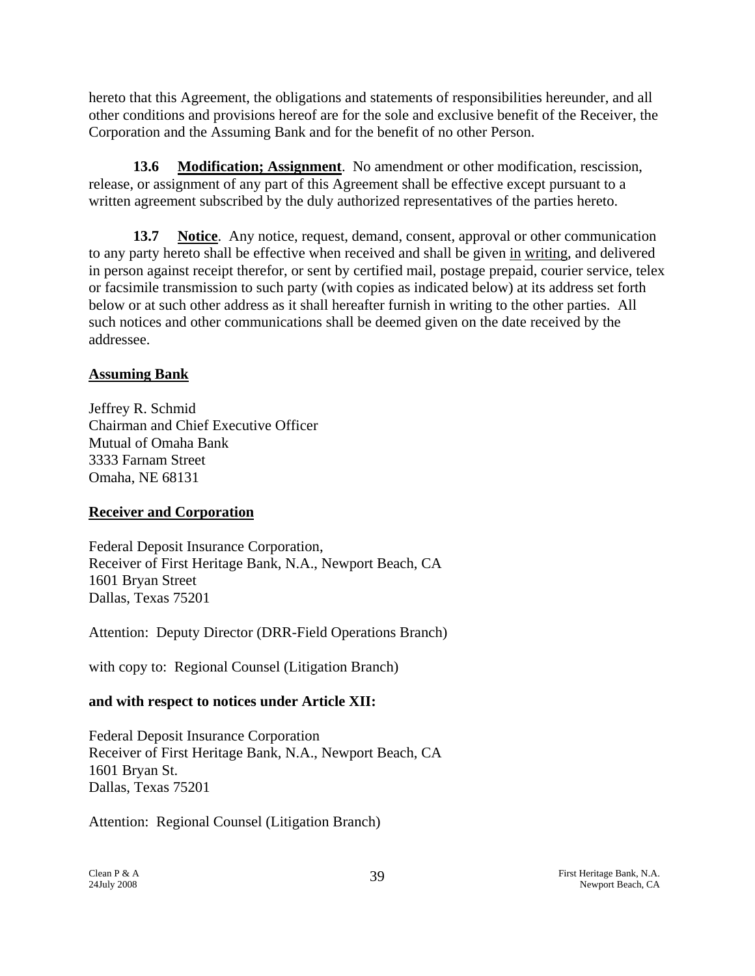<span id="page-42-0"></span>hereto that this Agreement, the obligations and statements of responsibilities hereunder, and all other conditions and provisions hereof are for the sole and exclusive benefit of the Receiver, the Corporation and the Assuming Bank and for the benefit of no other Person.

**13.6 Modification; Assignment**. No amendment or other modification, rescission, release, or assignment of any part of this Agreement shall be effective except pursuant to a written agreement subscribed by the duly authorized representatives of the parties hereto.

**13.7** Notice. Any notice, request, demand, consent, approval or other communication to any party hereto shall be effective when received and shall be given in writing, and delivered in person against receipt therefor, or sent by certified mail, postage prepaid, courier service, telex or facsimile transmission to such party (with copies as indicated below) at its address set forth below or at such other address as it shall hereafter furnish in writing to the other parties. All such notices and other communications shall be deemed given on the date received by the addressee.

### **Assuming Bank**

Jeffrey R. Schmid Chairman and Chief Executive Officer Mutual of Omaha Bank 3333 Farnam Street Omaha, NE 68131

## **Receiver and Corporation**

Federal Deposit Insurance Corporation, Receiver of First Heritage Bank, N.A., Newport Beach, CA 1601 Bryan Street Dallas, Texas 75201

Attention: Deputy Director (DRR-Field Operations Branch)

with copy to: Regional Counsel (Litigation Branch)

## **and with respect to notices under Article XII:**

Federal Deposit Insurance Corporation Receiver of First Heritage Bank, N.A., Newport Beach, CA 1601 Bryan St. Dallas, Texas 75201

Attention: Regional Counsel (Litigation Branch)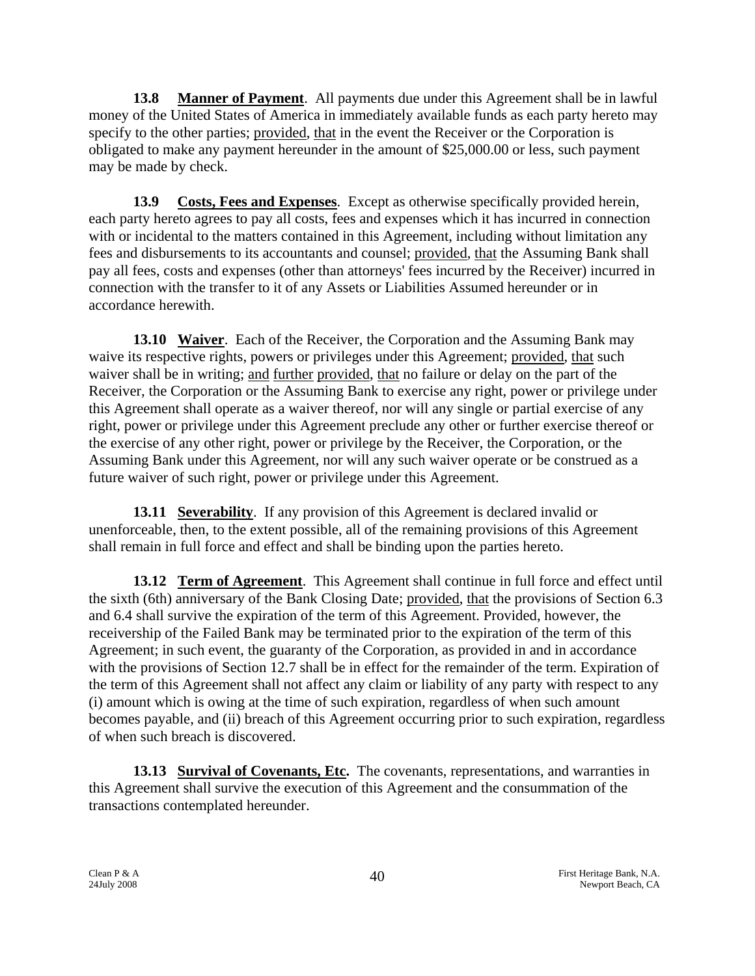<span id="page-43-0"></span>**13.8 Manner of Payment**. All payments due under this Agreement shall be in lawful money of the United States of America in immediately available funds as each party hereto may specify to the other parties; provided, that in the event the Receiver or the Corporation is obligated to make any payment hereunder in the amount of \$25,000.00 or less, such payment may be made by check.

**13.9 Costs, Fees and Expenses**. Except as otherwise specifically provided herein, each party hereto agrees to pay all costs, fees and expenses which it has incurred in connection with or incidental to the matters contained in this Agreement, including without limitation any fees and disbursements to its accountants and counsel; provided, that the Assuming Bank shall pay all fees, costs and expenses (other than attorneys' fees incurred by the Receiver) incurred in connection with the transfer to it of any Assets or Liabilities Assumed hereunder or in accordance herewith.

**13.10 Waiver**. Each of the Receiver, the Corporation and the Assuming Bank may waive its respective rights, powers or privileges under this Agreement; provided, that such waiver shall be in writing; and further provided, that no failure or delay on the part of the Receiver, the Corporation or the Assuming Bank to exercise any right, power or privilege under this Agreement shall operate as a waiver thereof, nor will any single or partial exercise of any right, power or privilege under this Agreement preclude any other or further exercise thereof or the exercise of any other right, power or privilege by the Receiver, the Corporation, or the Assuming Bank under this Agreement, nor will any such waiver operate or be construed as a future waiver of such right, power or privilege under this Agreement.

**13.11 Severability**. If any provision of this Agreement is declared invalid or unenforceable, then, to the extent possible, all of the remaining provisions of this Agreement shall remain in full force and effect and shall be binding upon the parties hereto.

**13.12 Term of Agreement**. This Agreement shall continue in full force and effect until the sixth (6th) anniversary of the Bank Closing Date; provided, that the provisions of Section 6.3 and 6.4 shall survive the expiration of the term of this Agreement. Provided, however, the receivership of the Failed Bank may be terminated prior to the expiration of the term of this Agreement; in such event, the guaranty of the Corporation, as provided in and in accordance with the provisions of Section 12.7 shall be in effect for the remainder of the term. Expiration of the term of this Agreement shall not affect any claim or liability of any party with respect to any (i) amount which is owing at the time of such expiration, regardless of when such amount becomes payable, and (ii) breach of this Agreement occurring prior to such expiration, regardless of when such breach is discovered.

**13.13 Survival of Covenants, Etc.** The covenants, representations, and warranties in this Agreement shall survive the execution of this Agreement and the consummation of the transactions contemplated hereunder.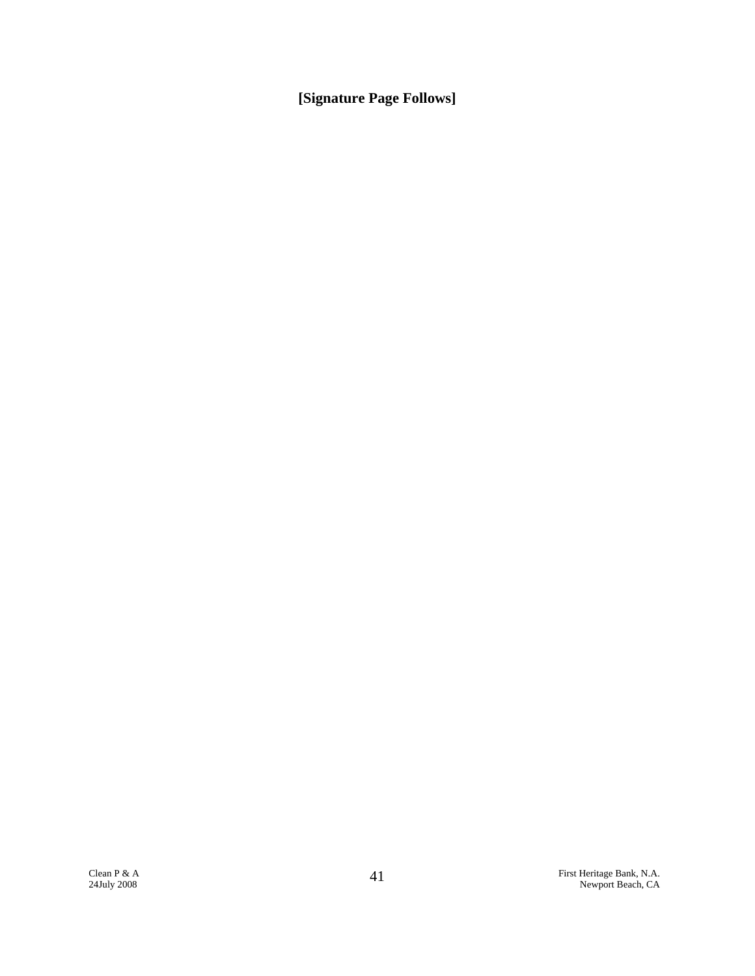**[Signature Page Follows]**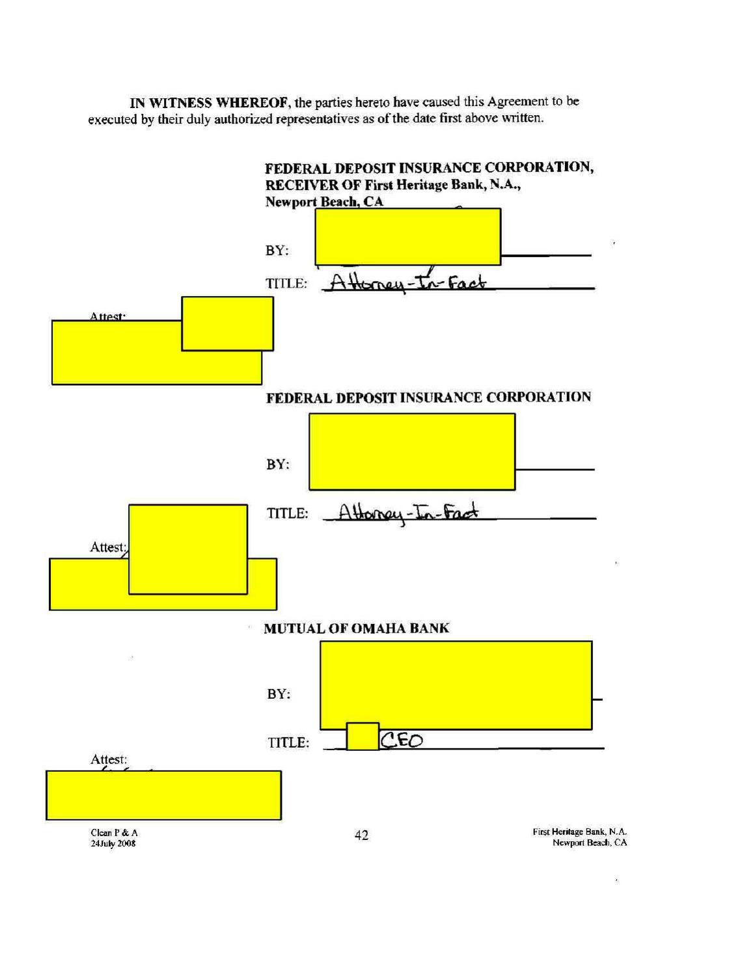IN WITNESS WHEREOF, the parties hereto have caused this Agreement to be executed by their duly authorized representatives as of the date first above written.

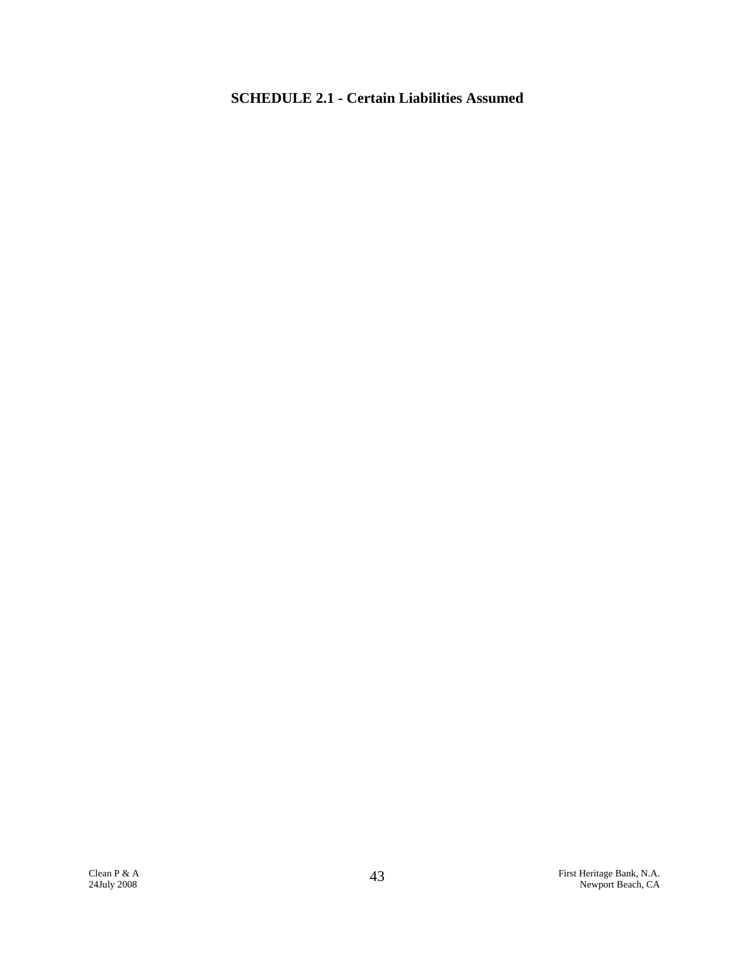<span id="page-46-0"></span>**SCHEDULE 2.1 - Certain Liabilities Assumed**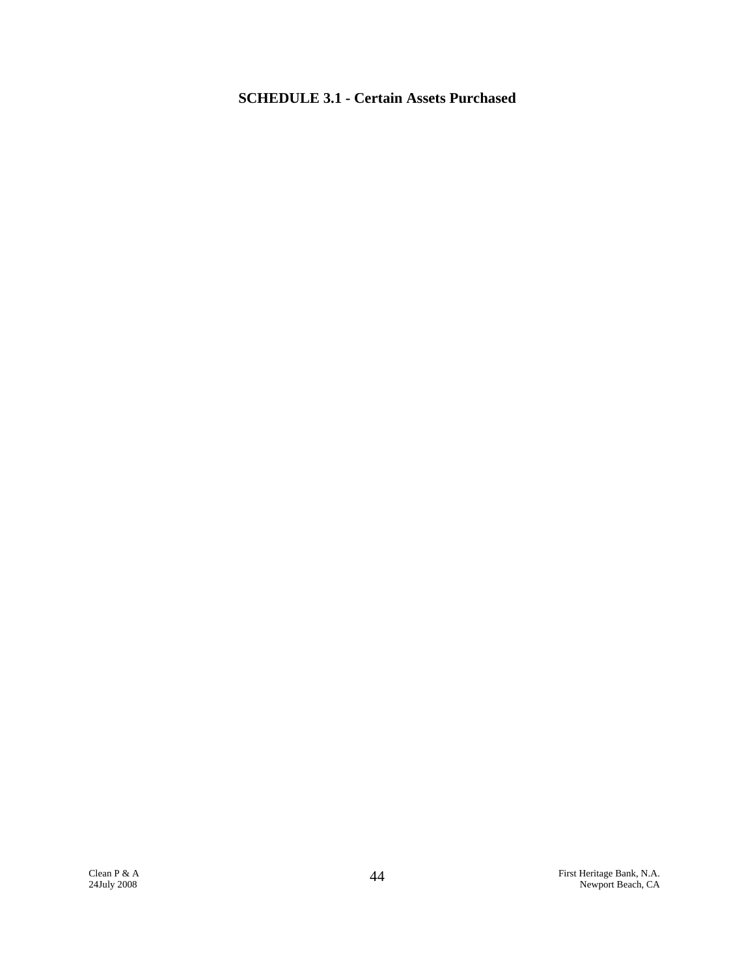<span id="page-47-0"></span>**SCHEDULE 3.1 - Certain Assets Purchased**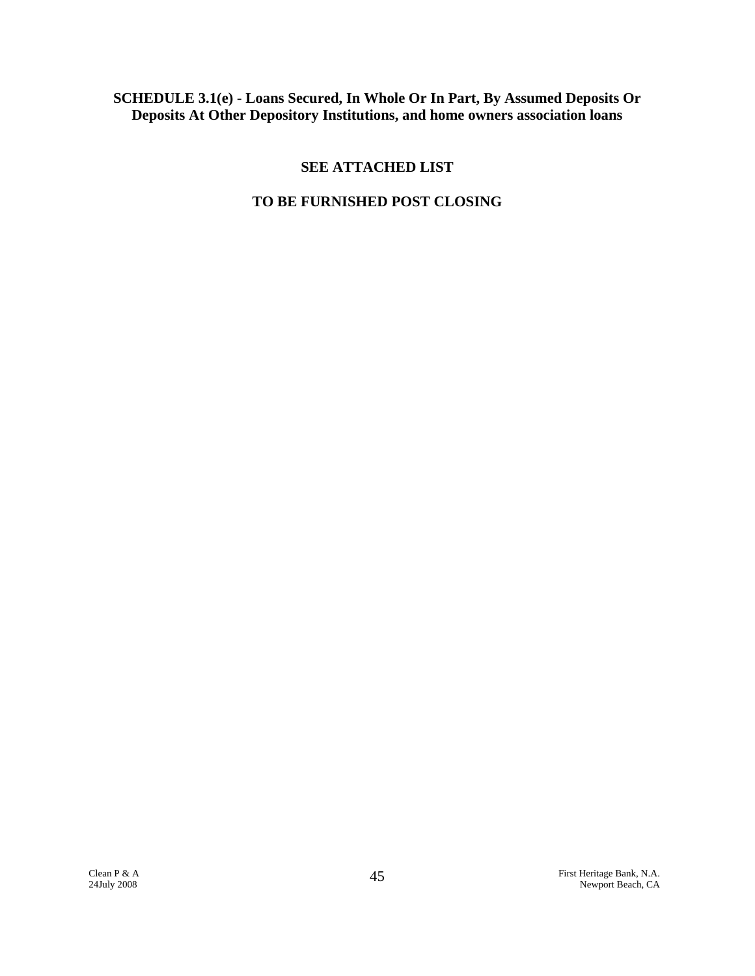### <span id="page-48-0"></span>**SCHEDULE 3.1(e) - Loans Secured, In Whole Or In Part, By Assumed Deposits Or Deposits At Other Depository Institutions, and home owners association loans**

### **SEE ATTACHED LIST**

## **TO BE FURNISHED POST CLOSING**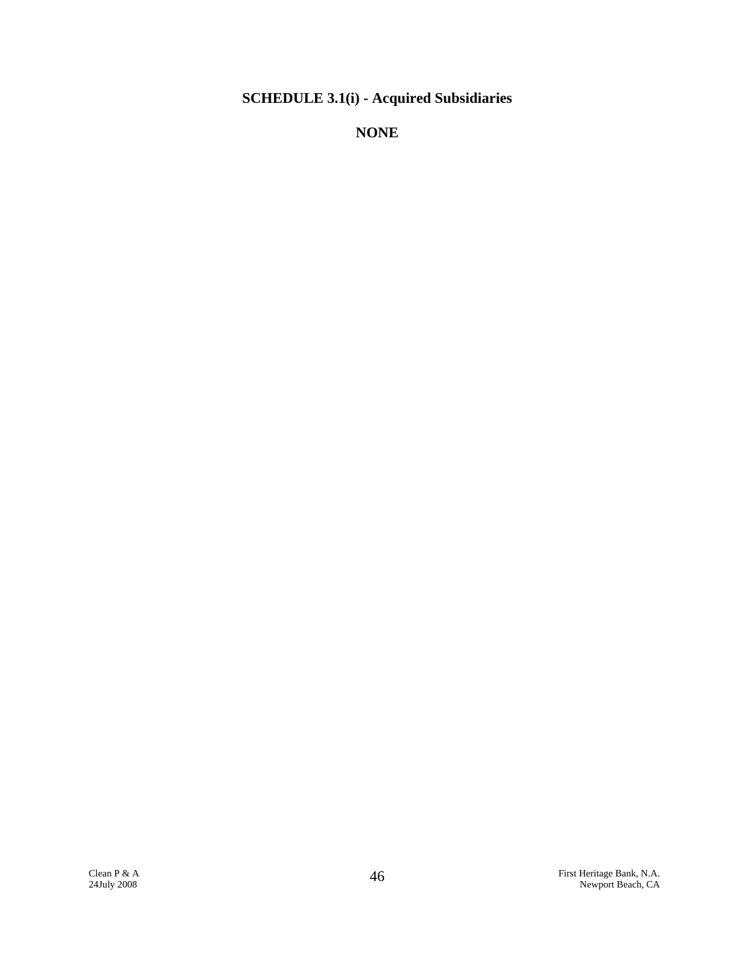<span id="page-49-0"></span>**SCHEDULE 3.1(i) - Acquired Subsidiaries** 

**NONE**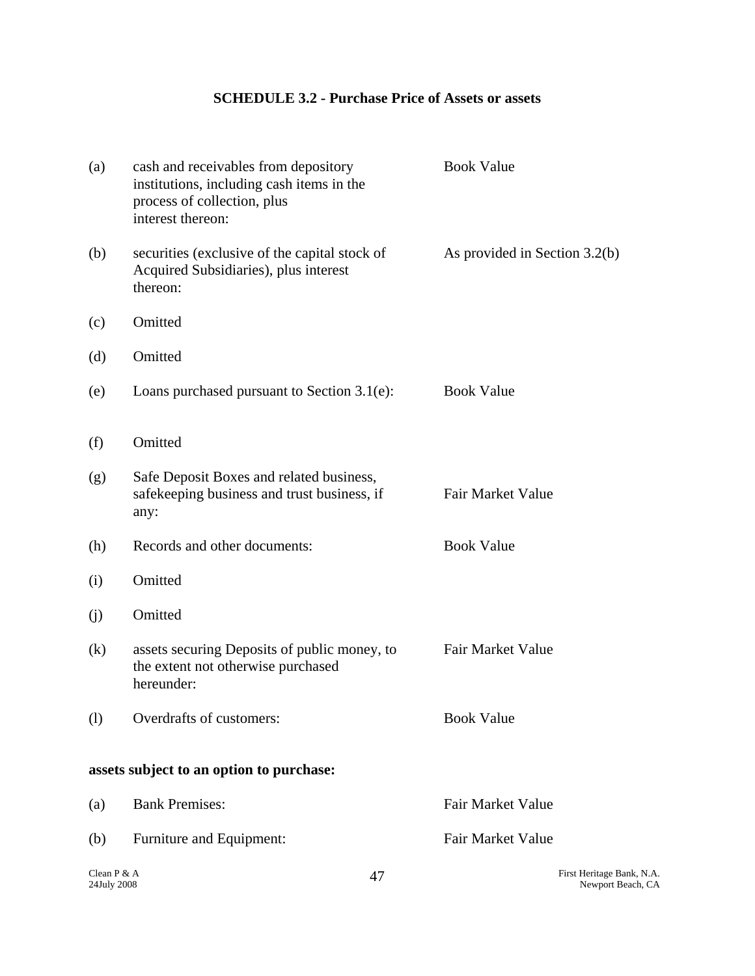## **SCHEDULE 3.2 - Purchase Price of Assets or assets**

<span id="page-50-0"></span>

| (a)                                      | cash and receivables from depository<br>institutions, including cash items in the<br>process of collection, plus<br>interest thereon: |    | <b>Book Value</b>                              |  |  |
|------------------------------------------|---------------------------------------------------------------------------------------------------------------------------------------|----|------------------------------------------------|--|--|
| (b)                                      | securities (exclusive of the capital stock of<br>Acquired Subsidiaries), plus interest<br>thereon:                                    |    | As provided in Section 3.2(b)                  |  |  |
| (c)                                      | Omitted                                                                                                                               |    |                                                |  |  |
| (d)                                      | Omitted                                                                                                                               |    |                                                |  |  |
| (e)                                      | Loans purchased pursuant to Section $3.1(e)$ :                                                                                        |    | <b>Book Value</b>                              |  |  |
| (f)                                      | Omitted                                                                                                                               |    |                                                |  |  |
| (g)                                      | Safe Deposit Boxes and related business,<br>safekeeping business and trust business, if<br>any:                                       |    | Fair Market Value                              |  |  |
| (h)                                      | Records and other documents:                                                                                                          |    | <b>Book Value</b>                              |  |  |
| (i)                                      | Omitted                                                                                                                               |    |                                                |  |  |
| (j)                                      | Omitted                                                                                                                               |    |                                                |  |  |
| (k)                                      | assets securing Deposits of public money, to<br>the extent not otherwise purchased<br>hereunder:                                      |    | Fair Market Value                              |  |  |
| (1)                                      | Overdrafts of customers:                                                                                                              |    | <b>Book Value</b>                              |  |  |
| assets subject to an option to purchase: |                                                                                                                                       |    |                                                |  |  |
| (a)                                      | <b>Bank Premises:</b>                                                                                                                 |    | <b>Fair Market Value</b>                       |  |  |
| (b)                                      | Furniture and Equipment:                                                                                                              |    | <b>Fair Market Value</b>                       |  |  |
| Clean P & A<br>24July 2008               |                                                                                                                                       | 47 | First Heritage Bank, N.A.<br>Newport Beach, CA |  |  |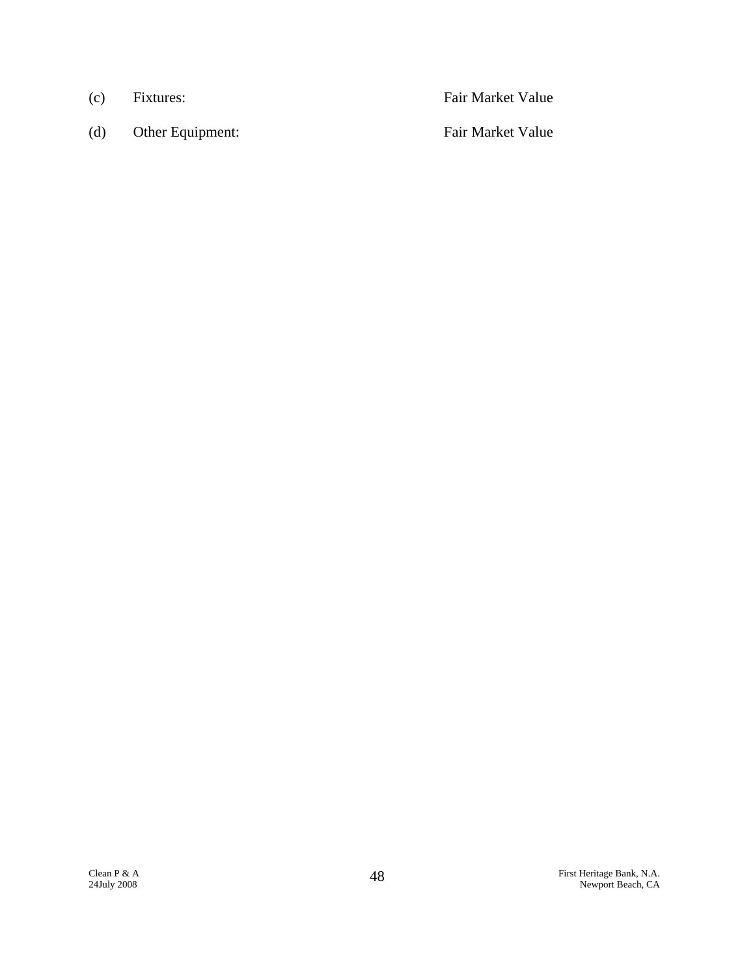(c) Fixtures: Fair Market Value

(d) Other Equipment: Fair Market Value